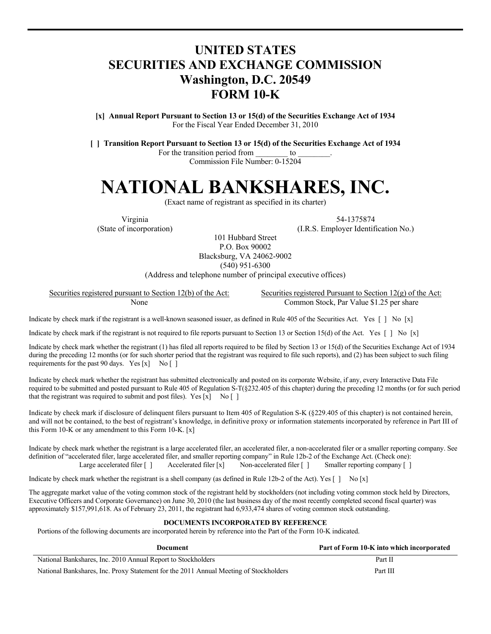## **UNITED STATES SECURITIES AND EXCHANGE COMMISSION Washington, D.C. 20549 FORM 10-K**

**[x] Annual Report Pursuant to Section 13 or 15(d) of the Securities Exchange Act of 1934**  For the Fiscal Year Ended December 31, 2010

**[ ] Transition Report Pursuant to Section 13 or 15(d) of the Securities Exchange Act of 1934**  For the transition period from to Commission File Number: 0-15204

# **NATIONAL BANKSHARES, INC.**

(Exact name of registrant as specified in its charter)

Virginia (State of incorporation)

54-1375874 (I.R.S. Employer Identification No.)

101 Hubbard Street P.O. Box 90002 Blacksburg, VA 24062-9002 (540) 951-6300

(Address and telephone number of principal executive offices)

Securities registered pursuant to Section 12(b) of the Act: None

Securities registered Pursuant to Section 12(g) of the Act: Common Stock, Par Value \$1.25 per share

Indicate by check mark if the registrant is a well-known seasoned issuer, as defined in Rule 405 of the Securities Act. Yes [] No [x]

Indicate by check mark if the registrant is not required to file reports pursuant to Section 13 or Section 15(d) of the Act. Yes [ ] No [x]

Indicate by check mark whether the registrant (1) has filed all reports required to be filed by Section 13 or 15(d) of the Securities Exchange Act of 1934 during the preceding 12 months (or for such shorter period that the registrant was required to file such reports), and (2) has been subject to such filing requirements for the past 90 days. Yes  $[x]$  No  $[ ]$ 

Indicate by check mark whether the registrant has submitted electronically and posted on its corporate Website, if any, every Interactive Data File required to be submitted and posted pursuant to Rule 405 of Regulation S-T(§232.405 of this chapter) during the preceding 12 months (or for such period that the registrant was required to submit and post files). Yes  $[x]$  No  $[ ]$ 

Indicate by check mark if disclosure of delinquent filers pursuant to Item 405 of Regulation S-K (§229.405 of this chapter) is not contained herein, and will not be contained, to the best of registrant's knowledge, in definitive proxy or information statements incorporated by reference in Part III of this Form 10-K or any amendment to this Form 10-K.  $[x]$ 

Indicate by check mark whether the registrant is a large accelerated filer, an accelerated filer, a non-accelerated filer or a smaller reporting company. See definition of "accelerated filer, large accelerated filer, and smaller reporting company" in Rule 12b-2 of the Exchange Act. (Check one): Large accelerated filer  $\lceil \cdot \rceil$  Accelerated filer  $\lceil x \rceil$  Non-accelerated filer  $\lceil \cdot \rceil$  Smaller reporting company  $\lceil \cdot \rceil$ 

Indicate by check mark whether the registrant is a shell company (as defined in Rule 12b-2 of the Act). Yes  $\begin{bmatrix} 1 \\ N \end{bmatrix}$  No  $\begin{bmatrix} x \\ x \end{bmatrix}$ 

The aggregate market value of the voting common stock of the registrant held by stockholders (not including voting common stock held by Directors, Executive Officers and Corporate Governance) on June 30, 2010 (the last business day of the most recently completed second fiscal quarter) was approximately \$157,991,618. As of February 23, 2011, the registrant had 6,933,474 shares of voting common stock outstanding.

#### **DOCUMENTS INCORPORATED BY REFERENCE**

Portions of the following documents are incorporated herein by reference into the Part of the Form 10-K indicated.

| Document                                                                              | Part of Form 10-K into which incorporated |
|---------------------------------------------------------------------------------------|-------------------------------------------|
| National Bankshares, Inc. 2010 Annual Report to Stockholders                          | Part II                                   |
| National Bankshares, Inc. Proxy Statement for the 2011 Annual Meeting of Stockholders | Part III                                  |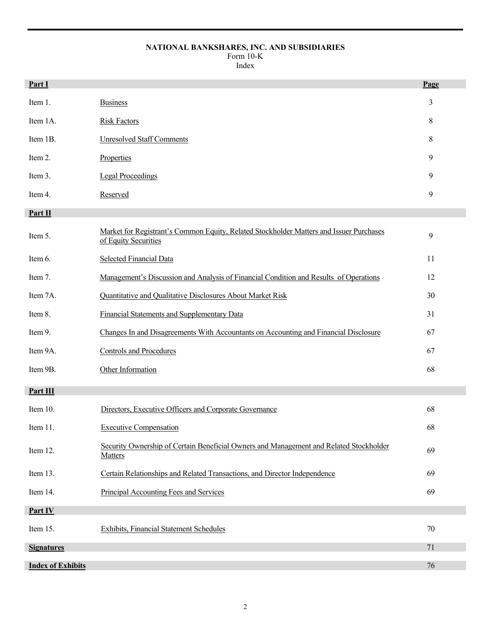## **NATIONAL BANKSHARES, INC. AND SUBSIDIARIES**

## Form 10-K Index

| Part I                   |                                                                                                                 | Page        |
|--------------------------|-----------------------------------------------------------------------------------------------------------------|-------------|
| Item 1.                  | <b>Business</b>                                                                                                 | 3           |
| Item 1A.                 | <b>Risk Factors</b>                                                                                             | $\,8\,$     |
| Item 1B.                 | <b>Unresolved Staff Comments</b>                                                                                | $\,$ 8 $\,$ |
| Item 2.                  | Properties                                                                                                      | 9           |
| Item 3.                  | <b>Legal Proceedings</b>                                                                                        | 9           |
| Item 4.                  | Reserved                                                                                                        | 9           |
| Part II                  |                                                                                                                 |             |
| Item 5.                  | Market for Registrant's Common Equity, Related Stockholder Matters and Issuer Purchases<br>of Equity Securities | 9           |
| Item 6.                  | Selected Financial Data                                                                                         | 11          |
| Item 7.                  | Management's Discussion and Analysis of Financial Condition and Results of Operations                           | 12          |
| Item 7A.                 | Quantitative and Qualitative Disclosures About Market Risk                                                      | 30          |
| Item 8.                  | Financial Statements and Supplementary Data                                                                     | 31          |
| Item 9.                  | Changes In and Disagreements With Accountants on Accounting and Financial Disclosure                            | 67          |
| Item 9A.                 | <b>Controls and Procedures</b>                                                                                  | 67          |
| Item 9B.                 | Other Information                                                                                               | 68          |
| Part III                 |                                                                                                                 |             |
| Item 10.                 | Directors, Executive Officers and Corporate Governance                                                          | 68          |
| Item 11.                 | <b>Executive Compensation</b>                                                                                   | 68          |
| Item 12.                 | Security Ownership of Certain Beneficial Owners and Management and Related Stockholder<br><b>Matters</b>        | 69          |
| Item 13.                 | Certain Relationships and Related Transactions, and Director Independence                                       | 69          |
| Item 14.                 | Principal Accounting Fees and Services                                                                          | 69          |
| Part IV                  |                                                                                                                 |             |
| Item 15.                 | <b>Exhibits, Financial Statement Schedules</b>                                                                  | 70          |
| <b>Signatures</b>        |                                                                                                                 | 71          |
| <b>Index of Exhibits</b> |                                                                                                                 | 76          |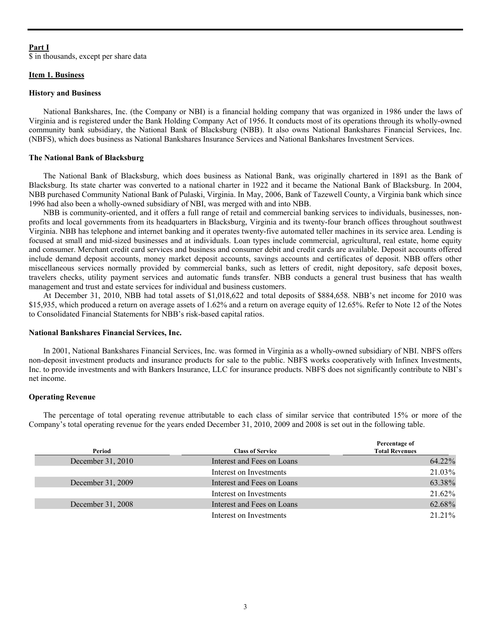### **Part I**

\$ in thousands, except per share data

#### **Item 1. Business**

#### **History and Business**

 National Bankshares, Inc. (the Company or NBI) is a financial holding company that was organized in 1986 under the laws of Virginia and is registered under the Bank Holding Company Act of 1956. It conducts most of its operations through its wholly-owned community bank subsidiary, the National Bank of Blacksburg (NBB). It also owns National Bankshares Financial Services, Inc. (NBFS), which does business as National Bankshares Insurance Services and National Bankshares Investment Services.

#### **The National Bank of Blacksburg**

 The National Bank of Blacksburg, which does business as National Bank, was originally chartered in 1891 as the Bank of Blacksburg. Its state charter was converted to a national charter in 1922 and it became the National Bank of Blacksburg. In 2004, NBB purchased Community National Bank of Pulaski, Virginia. In May, 2006, Bank of Tazewell County, a Virginia bank which since 1996 had also been a wholly-owned subsidiary of NBI, was merged with and into NBB.

 NBB is community-oriented, and it offers a full range of retail and commercial banking services to individuals, businesses, nonprofits and local governments from its headquarters in Blacksburg, Virginia and its twenty-four branch offices throughout southwest Virginia. NBB has telephone and internet banking and it operates twenty-five automated teller machines in its service area. Lending is focused at small and mid-sized businesses and at individuals. Loan types include commercial, agricultural, real estate, home equity and consumer. Merchant credit card services and business and consumer debit and credit cards are available. Deposit accounts offered include demand deposit accounts, money market deposit accounts, savings accounts and certificates of deposit. NBB offers other miscellaneous services normally provided by commercial banks, such as letters of credit, night depository, safe deposit boxes, travelers checks, utility payment services and automatic funds transfer. NBB conducts a general trust business that has wealth management and trust and estate services for individual and business customers.

 At December 31, 2010, NBB had total assets of \$1,018,622 and total deposits of \$884,658. NBB's net income for 2010 was \$15,935, which produced a return on average assets of 1.62% and a return on average equity of 12.65%. Refer to Note 12 of the Notes to Consolidated Financial Statements for NBB's risk-based capital ratios.

#### **National Bankshares Financial Services, Inc.**

 In 2001, National Bankshares Financial Services, Inc. was formed in Virginia as a wholly-owned subsidiary of NBI. NBFS offers non-deposit investment products and insurance products for sale to the public. NBFS works cooperatively with Infinex Investments, Inc. to provide investments and with Bankers Insurance, LLC for insurance products. NBFS does not significantly contribute to NBI's net income.

#### **Operating Revenue**

 The percentage of total operating revenue attributable to each class of similar service that contributed 15% or more of the Company's total operating revenue for the years ended December 31, 2010, 2009 and 2008 is set out in the following table.

| Period            | <b>Class of Service</b>    | Percentage of<br><b>Total Revenues</b> |
|-------------------|----------------------------|----------------------------------------|
| December 31, 2010 | Interest and Fees on Loans | 64.22%                                 |
|                   | Interest on Investments    | 21.03%                                 |
| December 31, 2009 | Interest and Fees on Loans | 63.38%                                 |
|                   | Interest on Investments    | 21.62%                                 |
| December 31, 2008 | Interest and Fees on Loans | 62.68%                                 |
|                   | Interest on Investments    | $21.21\%$                              |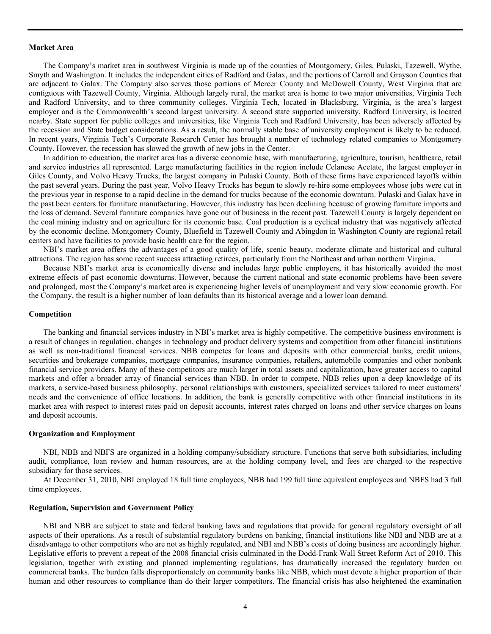#### **Market Area**

 The Company's market area in southwest Virginia is made up of the counties of Montgomery, Giles, Pulaski, Tazewell, Wythe, Smyth and Washington. It includes the independent cities of Radford and Galax, and the portions of Carroll and Grayson Counties that are adjacent to Galax. The Company also serves those portions of Mercer County and McDowell County, West Virginia that are contiguous with Tazewell County, Virginia. Although largely rural, the market area is home to two major universities, Virginia Tech and Radford University, and to three community colleges. Virginia Tech, located in Blacksburg, Virginia, is the area's largest employer and is the Commonwealth's second largest university. A second state supported university, Radford University, is located nearby. State support for public colleges and universities, like Virginia Tech and Radford University, has been adversely affected by the recession and State budget considerations. As a result, the normally stable base of university employment is likely to be reduced. In recent years, Virginia Tech's Corporate Research Center has brought a number of technology related companies to Montgomery County. However, the recession has slowed the growth of new jobs in the Center.

In addition to education, the market area has a diverse economic base, with manufacturing, agriculture, tourism, healthcare, retail and service industries all represented. Large manufacturing facilities in the region include Celanese Acetate, the largest employer in Giles County, and Volvo Heavy Trucks, the largest company in Pulaski County. Both of these firms have experienced layoffs within the past several years. During the past year, Volvo Heavy Trucks has begun to slowly re-hire some employees whose jobs were cut in the previous year in response to a rapid decline in the demand for trucks because of the economic downturn. Pulaski and Galax have in the past been centers for furniture manufacturing. However, this industry has been declining because of growing furniture imports and the loss of demand. Several furniture companies have gone out of business in the recent past. Tazewell County is largely dependent on the coal mining industry and on agriculture for its economic base. Coal production is a cyclical industry that was negatively affected by the economic decline. Montgomery County, Bluefield in Tazewell County and Abingdon in Washington County are regional retail centers and have facilities to provide basic health care for the region.

NBI's market area offers the advantages of a good quality of life, scenic beauty, moderate climate and historical and cultural attractions. The region has some recent success attracting retirees, particularly from the Northeast and urban northern Virginia.

 Because NBI's market area is economically diverse and includes large public employers, it has historically avoided the most extreme effects of past economic downturns. However, because the current national and state economic problems have been severe and prolonged, most the Company's market area is experiencing higher levels of unemployment and very slow economic growth. For the Company, the result is a higher number of loan defaults than its historical average and a lower loan demand.

#### **Competition**

 The banking and financial services industry in NBI's market area is highly competitive. The competitive business environment is a result of changes in regulation, changes in technology and product delivery systems and competition from other financial institutions as well as non-traditional financial services. NBB competes for loans and deposits with other commercial banks, credit unions, securities and brokerage companies, mortgage companies, insurance companies, retailers, automobile companies and other nonbank financial service providers. Many of these competitors are much larger in total assets and capitalization, have greater access to capital markets and offer a broader array of financial services than NBB. In order to compete, NBB relies upon a deep knowledge of its markets, a service-based business philosophy, personal relationships with customers, specialized services tailored to meet customers' needs and the convenience of office locations. In addition, the bank is generally competitive with other financial institutions in its market area with respect to interest rates paid on deposit accounts, interest rates charged on loans and other service charges on loans and deposit accounts.

#### **Organization and Employment**

NBI, NBB and NBFS are organized in a holding company/subsidiary structure. Functions that serve both subsidiaries, including audit, compliance, loan review and human resources, are at the holding company level, and fees are charged to the respective subsidiary for those services.

 At December 31, 2010, NBI employed 18 full time employees, NBB had 199 full time equivalent employees and NBFS had 3 full time employees.

#### **Regulation, Supervision and Government Policy**

NBI and NBB are subject to state and federal banking laws and regulations that provide for general regulatory oversight of all aspects of their operations. As a result of substantial regulatory burdens on banking, financial institutions like NBI and NBB are at a disadvantage to other competitors who are not as highly regulated, and NBI and NBB's costs of doing business are accordingly higher. Legislative efforts to prevent a repeat of the 2008 financial crisis culminated in the Dodd-Frank Wall Street Reform Act of 2010. This legislation, together with existing and planned implementing regulations, has dramatically increased the regulatory burden on commercial banks. The burden falls disproportionately on community banks like NBB, which must devote a higher proportion of their human and other resources to compliance than do their larger competitors. The financial crisis has also heightened the examination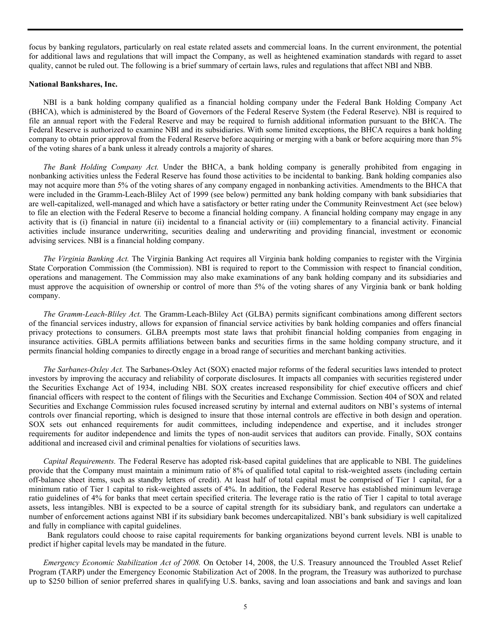focus by banking regulators, particularly on real estate related assets and commercial loans. In the current environment, the potential for additional laws and regulations that will impact the Company, as well as heightened examination standards with regard to asset quality, cannot be ruled out. The following is a brief summary of certain laws, rules and regulations that affect NBI and NBB.

#### **National Bankshares, Inc.**

NBI is a bank holding company qualified as a financial holding company under the Federal Bank Holding Company Act (BHCA), which is administered by the Board of Governors of the Federal Reserve System (the Federal Reserve). NBI is required to file an annual report with the Federal Reserve and may be required to furnish additional information pursuant to the BHCA. The Federal Reserve is authorized to examine NBI and its subsidiaries. With some limited exceptions, the BHCA requires a bank holding company to obtain prior approval from the Federal Reserve before acquiring or merging with a bank or before acquiring more than 5% of the voting shares of a bank unless it already controls a majority of shares.

*The Bank Holding Company Act.* Under the BHCA, a bank holding company is generally prohibited from engaging in nonbanking activities unless the Federal Reserve has found those activities to be incidental to banking. Bank holding companies also may not acquire more than 5% of the voting shares of any company engaged in nonbanking activities. Amendments to the BHCA that were included in the Gramm-Leach-Bliley Act of 1999 (see below) permitted any bank holding company with bank subsidiaries that are well-capitalized, well-managed and which have a satisfactory or better rating under the Community Reinvestment Act (see below) to file an election with the Federal Reserve to become a financial holding company. A financial holding company may engage in any activity that is (i) financial in nature (ii) incidental to a financial activity or (iii) complementary to a financial activity. Financial activities include insurance underwriting, securities dealing and underwriting and providing financial, investment or economic advising services. NBI is a financial holding company.

*The Virginia Banking Act.* The Virginia Banking Act requires all Virginia bank holding companies to register with the Virginia State Corporation Commission (the Commission). NBI is required to report to the Commission with respect to financial condition, operations and management. The Commission may also make examinations of any bank holding company and its subsidiaries and must approve the acquisition of ownership or control of more than 5% of the voting shares of any Virginia bank or bank holding company.

*The Gramm-Leach-Bliley Act.* The Gramm-Leach-Bliley Act (GLBA) permits significant combinations among different sectors of the financial services industry, allows for expansion of financial service activities by bank holding companies and offers financial privacy protections to consumers. GLBA preempts most state laws that prohibit financial holding companies from engaging in insurance activities. GBLA permits affiliations between banks and securities firms in the same holding company structure, and it permits financial holding companies to directly engage in a broad range of securities and merchant banking activities.

*The Sarbanes-Oxley Act.* The Sarbanes-Oxley Act (SOX) enacted major reforms of the federal securities laws intended to protect investors by improving the accuracy and reliability of corporate disclosures. It impacts all companies with securities registered under the Securities Exchange Act of 1934, including NBI. SOX creates increased responsibility for chief executive officers and chief financial officers with respect to the content of filings with the Securities and Exchange Commission. Section 404 of SOX and related Securities and Exchange Commission rules focused increased scrutiny by internal and external auditors on NBI's systems of internal controls over financial reporting, which is designed to insure that those internal controls are effective in both design and operation. SOX sets out enhanced requirements for audit committees, including independence and expertise, and it includes stronger requirements for auditor independence and limits the types of non-audit services that auditors can provide. Finally, SOX contains additional and increased civil and criminal penalties for violations of securities laws.

*Capital Requirements.* The Federal Reserve has adopted risk-based capital guidelines that are applicable to NBI. The guidelines provide that the Company must maintain a minimum ratio of 8% of qualified total capital to risk-weighted assets (including certain off-balance sheet items, such as standby letters of credit). At least half of total capital must be comprised of Tier 1 capital, for a minimum ratio of Tier 1 capital to risk-weighted assets of 4%. In addition, the Federal Reserve has established minimum leverage ratio guidelines of 4% for banks that meet certain specified criteria. The leverage ratio is the ratio of Tier 1 capital to total average assets, less intangibles. NBI is expected to be a source of capital strength for its subsidiary bank, and regulators can undertake a number of enforcement actions against NBI if its subsidiary bank becomes undercapitalized. NBI's bank subsidiary is well capitalized and fully in compliance with capital guidelines.

 Bank regulators could choose to raise capital requirements for banking organizations beyond current levels. NBI is unable to predict if higher capital levels may be mandated in the future.

*Emergency Economic Stabilization Act of 2008.* On October 14, 2008, the U.S. Treasury announced the Troubled Asset Relief Program (TARP) under the Emergency Economic Stabilization Act of 2008. In the program, the Treasury was authorized to purchase up to \$250 billion of senior preferred shares in qualifying U.S. banks, saving and loan associations and bank and savings and loan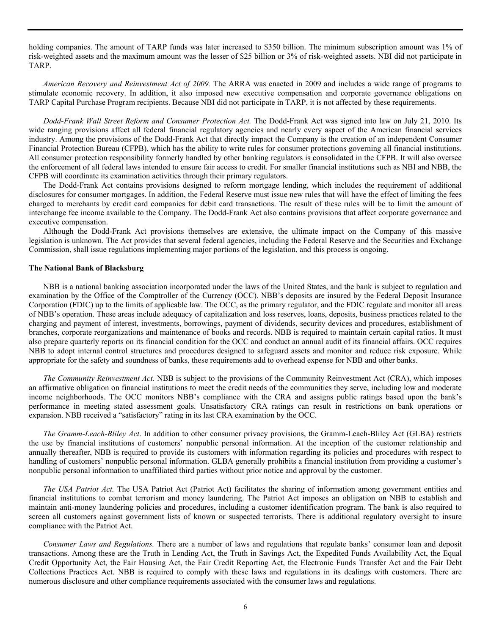holding companies. The amount of TARP funds was later increased to \$350 billion. The minimum subscription amount was 1% of risk-weighted assets and the maximum amount was the lesser of \$25 billion or 3% of risk-weighted assets. NBI did not participate in TARP.

*American Recovery and Reinvestment Act of 2009.* The ARRA was enacted in 2009 and includes a wide range of programs to stimulate economic recovery. In addition, it also imposed new executive compensation and corporate governance obligations on TARP Capital Purchase Program recipients. Because NBI did not participate in TARP, it is not affected by these requirements.

*Dodd-Frank Wall Street Reform and Consumer Protection Act.* The Dodd-Frank Act was signed into law on July 21, 2010. Its wide ranging provisions affect all federal financial regulatory agencies and nearly every aspect of the American financial services industry. Among the provisions of the Dodd-Frank Act that directly impact the Company is the creation of an independent Consumer Financial Protection Bureau (CFPB), which has the ability to write rules for consumer protections governing all financial institutions. All consumer protection responsibility formerly handled by other banking regulators is consolidated in the CFPB. It will also oversee the enforcement of all federal laws intended to ensure fair access to credit. For smaller financial institutions such as NBI and NBB, the CFPB will coordinate its examination activities through their primary regulators.

 The Dodd-Frank Act contains provisions designed to reform mortgage lending, which includes the requirement of additional disclosures for consumer mortgages. In addition, the Federal Reserve must issue new rules that will have the effect of limiting the fees charged to merchants by credit card companies for debit card transactions. The result of these rules will be to limit the amount of interchange fee income available to the Company. The Dodd-Frank Act also contains provisions that affect corporate governance and executive compensation.

 Although the Dodd-Frank Act provisions themselves are extensive, the ultimate impact on the Company of this massive legislation is unknown. The Act provides that several federal agencies, including the Federal Reserve and the Securities and Exchange Commission, shall issue regulations implementing major portions of the legislation, and this process is ongoing.

#### **The National Bank of Blacksburg**

 NBB is a national banking association incorporated under the laws of the United States, and the bank is subject to regulation and examination by the Office of the Comptroller of the Currency (OCC). NBB's deposits are insured by the Federal Deposit Insurance Corporation (FDIC) up to the limits of applicable law. The OCC, as the primary regulator, and the FDIC regulate and monitor all areas of NBB's operation. These areas include adequacy of capitalization and loss reserves, loans, deposits, business practices related to the charging and payment of interest, investments, borrowings, payment of dividends, security devices and procedures, establishment of branches, corporate reorganizations and maintenance of books and records. NBB is required to maintain certain capital ratios. It must also prepare quarterly reports on its financial condition for the OCC and conduct an annual audit of its financial affairs. OCC requires NBB to adopt internal control structures and procedures designed to safeguard assets and monitor and reduce risk exposure. While appropriate for the safety and soundness of banks, these requirements add to overhead expense for NBB and other banks.

*The Community Reinvestment Act.* NBB is subject to the provisions of the Community Reinvestment Act (CRA), which imposes an affirmative obligation on financial institutions to meet the credit needs of the communities they serve, including low and moderate income neighborhoods. The OCC monitors NBB's compliance with the CRA and assigns public ratings based upon the bank's performance in meeting stated assessment goals. Unsatisfactory CRA ratings can result in restrictions on bank operations or expansion. NBB received a "satisfactory" rating in its last CRA examination by the OCC.

*The Gramm-Leach-Bliley Act*. In addition to other consumer privacy provisions, the Gramm-Leach-Bliley Act (GLBA) restricts the use by financial institutions of customers' nonpublic personal information. At the inception of the customer relationship and annually thereafter, NBB is required to provide its customers with information regarding its policies and procedures with respect to handling of customers' nonpublic personal information. GLBA generally prohibits a financial institution from providing a customer's nonpublic personal information to unaffiliated third parties without prior notice and approval by the customer.

*The USA Patriot Act.* The USA Patriot Act (Patriot Act) facilitates the sharing of information among government entities and financial institutions to combat terrorism and money laundering. The Patriot Act imposes an obligation on NBB to establish and maintain anti-money laundering policies and procedures, including a customer identification program. The bank is also required to screen all customers against government lists of known or suspected terrorists. There is additional regulatory oversight to insure compliance with the Patriot Act.

*Consumer Laws and Regulations.* There are a number of laws and regulations that regulate banks' consumer loan and deposit transactions. Among these are the Truth in Lending Act, the Truth in Savings Act, the Expedited Funds Availability Act, the Equal Credit Opportunity Act, the Fair Housing Act, the Fair Credit Reporting Act, the Electronic Funds Transfer Act and the Fair Debt Collections Practices Act. NBB is required to comply with these laws and regulations in its dealings with customers. There are numerous disclosure and other compliance requirements associated with the consumer laws and regulations.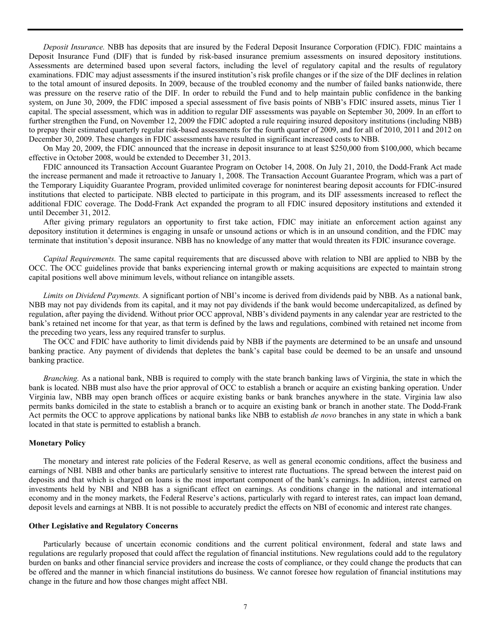*Deposit Insurance.* NBB has deposits that are insured by the Federal Deposit Insurance Corporation (FDIC). FDIC maintains a Deposit Insurance Fund (DIF) that is funded by risk-based insurance premium assessments on insured depository institutions. Assessments are determined based upon several factors, including the level of regulatory capital and the results of regulatory examinations. FDIC may adjust assessments if the insured institution's risk profile changes or if the size of the DIF declines in relation to the total amount of insured deposits. In 2009, because of the troubled economy and the number of failed banks nationwide, there was pressure on the reserve ratio of the DIF. In order to rebuild the Fund and to help maintain public confidence in the banking system, on June 30, 2009, the FDIC imposed a special assessment of five basis points of NBB's FDIC insured assets, minus Tier 1 capital. The special assessment, which was in addition to regular DIF assessments was payable on September 30, 2009. In an effort to further strengthen the Fund, on November 12, 2009 the FDIC adopted a rule requiring insured depository institutions (including NBB) to prepay their estimated quarterly regular risk-based assessments for the fourth quarter of 2009, and for all of 2010, 2011 and 2012 on December 30, 2009. These changes in FDIC assessments have resulted in significant increased costs to NBB.

 On May 20, 2009, the FDIC announced that the increase in deposit insurance to at least \$250,000 from \$100,000, which became effective in October 2008, would be extended to December 31, 2013.

 FDIC announced its Transaction Account Guarantee Program on October 14, 2008. On July 21, 2010, the Dodd-Frank Act made the increase permanent and made it retroactive to January 1, 2008. The Transaction Account Guarantee Program, which was a part of the Temporary Liquidity Guarantee Program, provided unlimited coverage for noninterest bearing deposit accounts for FDIC-insured institutions that elected to participate. NBB elected to participate in this program, and its DIF assessments increased to reflect the additional FDIC coverage. The Dodd-Frank Act expanded the program to all FDIC insured depository institutions and extended it until December 31, 2012.

 After giving primary regulators an opportunity to first take action, FDIC may initiate an enforcement action against any depository institution it determines is engaging in unsafe or unsound actions or which is in an unsound condition, and the FDIC may terminate that institution's deposit insurance. NBB has no knowledge of any matter that would threaten its FDIC insurance coverage.

*Capital Requirements.* The same capital requirements that are discussed above with relation to NBI are applied to NBB by the OCC. The OCC guidelines provide that banks experiencing internal growth or making acquisitions are expected to maintain strong capital positions well above minimum levels, without reliance on intangible assets.

*Limits on Dividend Payments.* A significant portion of NBI's income is derived from dividends paid by NBB. As a national bank, NBB may not pay dividends from its capital, and it may not pay dividends if the bank would become undercapitalized, as defined by regulation, after paying the dividend. Without prior OCC approval, NBB's dividend payments in any calendar year are restricted to the bank's retained net income for that year, as that term is defined by the laws and regulations, combined with retained net income from the preceding two years, less any required transfer to surplus.

 The OCC and FDIC have authority to limit dividends paid by NBB if the payments are determined to be an unsafe and unsound banking practice. Any payment of dividends that depletes the bank's capital base could be deemed to be an unsafe and unsound banking practice.

*Branching.* As a national bank, NBB is required to comply with the state branch banking laws of Virginia, the state in which the bank is located. NBB must also have the prior approval of OCC to establish a branch or acquire an existing banking operation. Under Virginia law, NBB may open branch offices or acquire existing banks or bank branches anywhere in the state. Virginia law also permits banks domiciled in the state to establish a branch or to acquire an existing bank or branch in another state. The Dodd-Frank Act permits the OCC to approve applications by national banks like NBB to establish *de novo* branches in any state in which a bank located in that state is permitted to establish a branch.

#### **Monetary Policy**

The monetary and interest rate policies of the Federal Reserve, as well as general economic conditions, affect the business and earnings of NBI. NBB and other banks are particularly sensitive to interest rate fluctuations. The spread between the interest paid on deposits and that which is charged on loans is the most important component of the bank's earnings. In addition, interest earned on investments held by NBI and NBB has a significant effect on earnings. As conditions change in the national and international economy and in the money markets, the Federal Reserve's actions, particularly with regard to interest rates, can impact loan demand, deposit levels and earnings at NBB. It is not possible to accurately predict the effects on NBI of economic and interest rate changes.

#### **Other Legislative and Regulatory Concerns**

 Particularly because of uncertain economic conditions and the current political environment, federal and state laws and regulations are regularly proposed that could affect the regulation of financial institutions. New regulations could add to the regulatory burden on banks and other financial service providers and increase the costs of compliance, or they could change the products that can be offered and the manner in which financial institutions do business. We cannot foresee how regulation of financial institutions may change in the future and how those changes might affect NBI.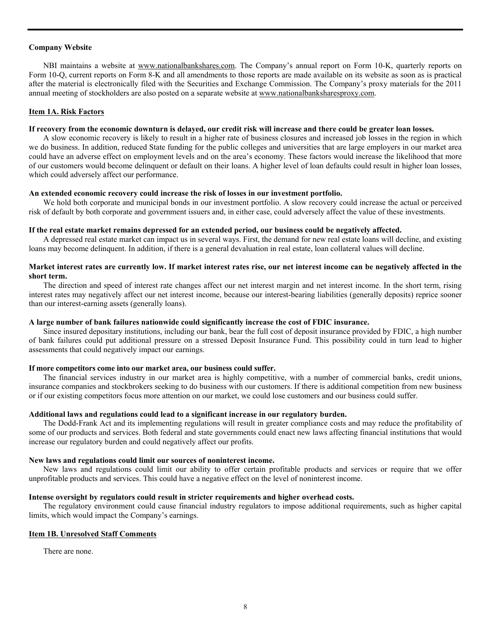#### **Company Website**

 NBI maintains a website at www.nationalbankshares.com. The Company's annual report on Form 10-K, quarterly reports on Form 10-Q, current reports on Form 8-K and all amendments to those reports are made available on its website as soon as is practical after the material is electronically filed with the Securities and Exchange Commission. The Company's proxy materials for the 2011 annual meeting of stockholders are also posted on a separate website at www.nationalbanksharesproxy.com.

#### **Item 1A. Risk Factors**

#### **If recovery from the economic downturn is delayed, our credit risk will increase and there could be greater loan losses.**

A slow economic recovery is likely to result in a higher rate of business closures and increased job losses in the region in which we do business. In addition, reduced State funding for the public colleges and universities that are large employers in our market area could have an adverse effect on employment levels and on the area's economy. These factors would increase the likelihood that more of our customers would become delinquent or default on their loans. A higher level of loan defaults could result in higher loan losses, which could adversely affect our performance.

#### **An extended economic recovery could increase the risk of losses in our investment portfolio.**

We hold both corporate and municipal bonds in our investment portfolio. A slow recovery could increase the actual or perceived risk of default by both corporate and government issuers and, in either case, could adversely affect the value of these investments.

#### **If the real estate market remains depressed for an extended period, our business could be negatively affected.**

A depressed real estate market can impact us in several ways. First, the demand for new real estate loans will decline, and existing loans may become delinquent. In addition, if there is a general devaluation in real estate, loan collateral values will decline.

#### **Market interest rates are currently low. If market interest rates rise, our net interest income can be negatively affected in the short term.**

The direction and speed of interest rate changes affect our net interest margin and net interest income. In the short term, rising interest rates may negatively affect our net interest income, because our interest-bearing liabilities (generally deposits) reprice sooner than our interest-earning assets (generally loans).

#### **A large number of bank failures nationwide could significantly increase the cost of FDIC insurance.**

Since insured depositary institutions, including our bank, bear the full cost of deposit insurance provided by FDIC, a high number of bank failures could put additional pressure on a stressed Deposit Insurance Fund. This possibility could in turn lead to higher assessments that could negatively impact our earnings.

#### **If more competitors come into our market area, our business could suffer.**

 The financial services industry in our market area is highly competitive, with a number of commercial banks, credit unions, insurance companies and stockbrokers seeking to do business with our customers. If there is additional competition from new business or if our existing competitors focus more attention on our market, we could lose customers and our business could suffer.

#### **Additional laws and regulations could lead to a significant increase in our regulatory burden.**

The Dodd-Frank Act and its implementing regulations will result in greater compliance costs and may reduce the profitability of some of our products and services. Both federal and state governments could enact new laws affecting financial institutions that would increase our regulatory burden and could negatively affect our profits.

#### **New laws and regulations could limit our sources of noninterest income.**

New laws and regulations could limit our ability to offer certain profitable products and services or require that we offer unprofitable products and services. This could have a negative effect on the level of noninterest income.

#### **Intense oversight by regulators could result in stricter requirements and higher overhead costs.**

The regulatory environment could cause financial industry regulators to impose additional requirements, such as higher capital limits, which would impact the Company's earnings.

#### **Item 1B. Unresolved Staff Comments**

There are none.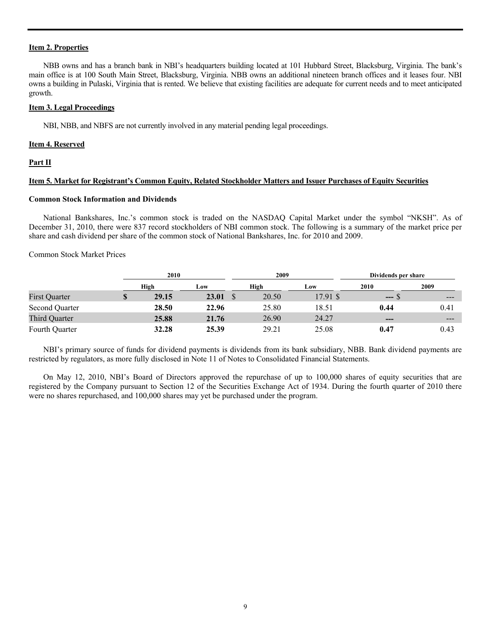#### **Item 2. Properties**

 NBB owns and has a branch bank in NBI's headquarters building located at 101 Hubbard Street, Blacksburg, Virginia. The bank's main office is at 100 South Main Street, Blacksburg, Virginia. NBB owns an additional nineteen branch offices and it leases four. NBI owns a building in Pulaski, Virginia that is rented. We believe that existing facilities are adequate for current needs and to meet anticipated growth.

#### **Item 3. Legal Proceedings**

NBI, NBB, and NBFS are not currently involved in any material pending legal proceedings.

#### **Item 4. Reserved**

#### **Part II**

#### **Item 5. Market for Registrant's Common Equity, Related Stockholder Matters and Issuer Purchases of Equity Securities**

#### **Common Stock Information and Dividends**

 National Bankshares, Inc.'s common stock is traded on the NASDAQ Capital Market under the symbol "NKSH". As of December 31, 2010, there were 837 record stockholders of NBI common stock. The following is a summary of the market price per share and cash dividend per share of the common stock of National Bankshares, Inc. for 2010 and 2009.

Common Stock Market Prices

|                       |    | 2010  |       | 2009 |       |          | Dividends per share |                        |  |  |
|-----------------------|----|-------|-------|------|-------|----------|---------------------|------------------------|--|--|
|                       |    | High  | Low   |      | High  | Low      | 2010                | 2009                   |  |  |
| <b>First Quarter</b>  | ٨D | 29.15 | 23.01 |      | 20.50 | 17.91 \$ | $--3$               | $\qquad \qquad \cdots$ |  |  |
| <b>Second Quarter</b> |    | 28.50 | 22.96 |      | 25.80 | 18.51    | 0.44                | 0.41                   |  |  |
| <b>Third Quarter</b>  |    | 25.88 | 21.76 |      | 26.90 | 24.27    | $---$               | $\qquad \qquad \cdots$ |  |  |
| Fourth Quarter        |    | 32.28 | 25.39 |      | 29.21 | 25.08    | 0.47                | 0.43                   |  |  |

NBI's primary source of funds for dividend payments is dividends from its bank subsidiary, NBB. Bank dividend payments are restricted by regulators, as more fully disclosed in Note 11 of Notes to Consolidated Financial Statements.

 On May 12, 2010, NBI's Board of Directors approved the repurchase of up to 100,000 shares of equity securities that are registered by the Company pursuant to Section 12 of the Securities Exchange Act of 1934. During the fourth quarter of 2010 there were no shares repurchased, and 100,000 shares may yet be purchased under the program.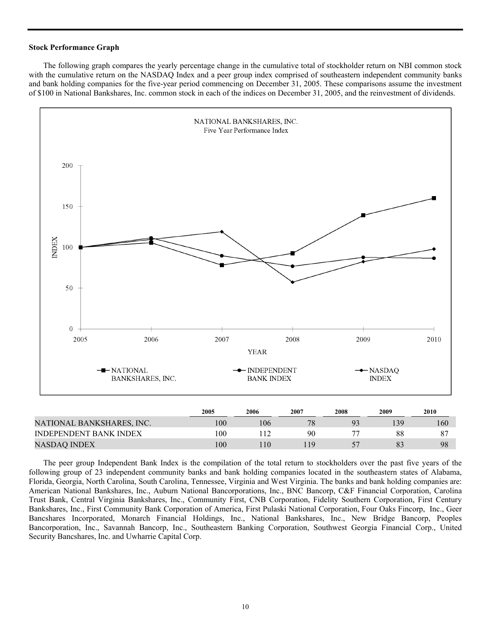#### **Stock Performance Graph**

 The following graph compares the yearly percentage change in the cumulative total of stockholder return on NBI common stock with the cumulative return on the NASDAQ Index and a peer group index comprised of southeastern independent community banks and bank holding companies for the five-year period commencing on December 31, 2005. These comparisons assume the investment of \$100 in National Bankshares, Inc. common stock in each of the indices on December 31, 2005, and the reinvestment of dividends.



| NATIONAL BANKSHARES, INC. | 100 | .06 | 78 |    | 160                  |
|---------------------------|-----|-----|----|----|----------------------|
| INDEPENDENT BANK INDEX    | .00 |     | 90 | 88 | O <sub>7</sub><br>Ο. |
| NASDAQ INDEX              | 100 | 10  |    |    | 98                   |

 The peer group Independent Bank Index is the compilation of the total return to stockholders over the past five years of the following group of 23 independent community banks and bank holding companies located in the southeastern states of Alabama, Florida, Georgia, North Carolina, South Carolina, Tennessee, Virginia and West Virginia. The banks and bank holding companies are: American National Bankshares, Inc., Auburn National Bancorporations, Inc., BNC Bancorp, C&F Financial Corporation, Carolina Trust Bank, Central Virginia Bankshares, Inc., Community First, CNB Corporation, Fidelity Southern Corporation, First Century Bankshares, Inc., First Community Bank Corporation of America, First Pulaski National Corporation, Four Oaks Fincorp, Inc., Geer Bancshares Incorporated, Monarch Financial Holdings, Inc., National Bankshares, Inc., New Bridge Bancorp, Peoples Bancorporation, Inc., Savannah Bancorp, Inc., Southeastern Banking Corporation, Southwest Georgia Financial Corp., United Security Bancshares, Inc. and Uwharrie Capital Corp.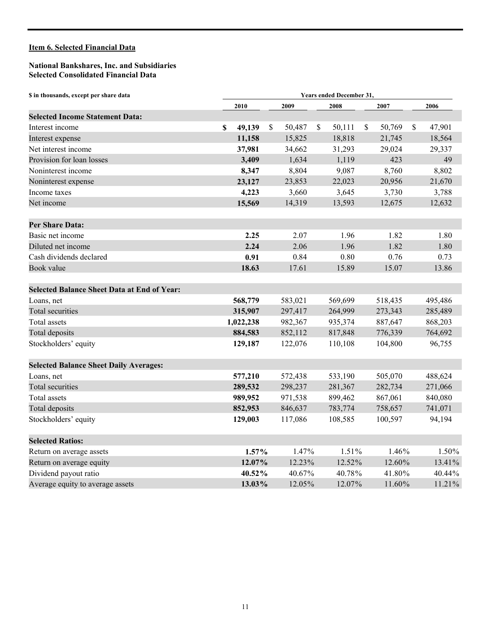## **Item 6. Selected Financial Data**

## **National Bankshares, Inc. and Subsidiaries Selected Consolidated Financial Data**

| \$ in thousands, except per share data             | Years ended December 31, |           |    |         |    |         |    |         |    |         |
|----------------------------------------------------|--------------------------|-----------|----|---------|----|---------|----|---------|----|---------|
|                                                    |                          | 2010      |    | 2009    |    | 2008    |    | 2007    |    | 2006    |
| <b>Selected Income Statement Data:</b>             |                          |           |    |         |    |         |    |         |    |         |
| Interest income                                    | \$                       | 49,139    | \$ | 50,487  | \$ | 50,111  | \$ | 50,769  | \$ | 47,901  |
| Interest expense                                   |                          | 11,158    |    | 15,825  |    | 18,818  |    | 21,745  |    | 18,564  |
| Net interest income                                |                          | 37,981    |    | 34,662  |    | 31,293  |    | 29,024  |    | 29,337  |
| Provision for loan losses                          |                          | 3,409     |    | 1,634   |    | 1,119   |    | 423     |    | 49      |
| Noninterest income                                 |                          | 8,347     |    | 8,804   |    | 9,087   |    | 8,760   |    | 8,802   |
| Noninterest expense                                |                          | 23,127    |    | 23,853  |    | 22,023  |    | 20,956  |    | 21,670  |
| Income taxes                                       |                          | 4,223     |    | 3,660   |    | 3,645   |    | 3,730   |    | 3,788   |
| Net income                                         |                          | 15,569    |    | 14,319  |    | 13,593  |    | 12,675  |    | 12,632  |
| <b>Per Share Data:</b>                             |                          |           |    |         |    |         |    |         |    |         |
| Basic net income                                   |                          | 2.25      |    | 2.07    |    | 1.96    |    | 1.82    |    | 1.80    |
| Diluted net income                                 |                          | 2.24      |    | 2.06    |    | 1.96    |    | 1.82    |    | 1.80    |
| Cash dividends declared                            |                          | 0.91      |    | 0.84    |    | 0.80    |    | 0.76    |    | 0.73    |
| Book value                                         |                          | 18.63     |    | 17.61   |    | 15.89   |    | 15.07   |    | 13.86   |
| <b>Selected Balance Sheet Data at End of Year:</b> |                          |           |    |         |    |         |    |         |    |         |
| Loans, net                                         |                          | 568,779   |    | 583,021 |    | 569,699 |    | 518,435 |    | 495,486 |
| <b>Total securities</b>                            |                          | 315,907   |    | 297,417 |    | 264,999 |    | 273,343 |    | 285,489 |
| Total assets                                       |                          | 1,022,238 |    | 982,367 |    | 935,374 |    | 887,647 |    | 868,203 |
| Total deposits                                     |                          | 884,583   |    | 852,112 |    | 817,848 |    | 776,339 |    | 764,692 |
| Stockholders' equity                               |                          | 129,187   |    | 122,076 |    | 110,108 |    | 104,800 |    | 96,755  |
|                                                    |                          |           |    |         |    |         |    |         |    |         |
| <b>Selected Balance Sheet Daily Averages:</b>      |                          |           |    |         |    |         |    |         |    |         |
| Loans, net                                         |                          | 577,210   |    | 572,438 |    | 533,190 |    | 505,070 |    | 488,624 |
| <b>Total securities</b>                            |                          | 289,532   |    | 298,237 |    | 281,367 |    | 282,734 |    | 271,066 |
| Total assets                                       |                          | 989,952   |    | 971,538 |    | 899,462 |    | 867,061 |    | 840,080 |
| Total deposits                                     |                          | 852,953   |    | 846,637 |    | 783,774 |    | 758,657 |    | 741,071 |
| Stockholders' equity                               |                          | 129,003   |    | 117,086 |    | 108,585 |    | 100,597 |    | 94,194  |
| <b>Selected Ratios:</b>                            |                          |           |    |         |    |         |    |         |    |         |
| Return on average assets                           |                          | $1.57\%$  |    | 1.47%   |    | 1.51%   |    | 1.46%   |    | 1.50%   |
| Return on average equity                           |                          | 12.07%    |    | 12.23%  |    | 12.52%  |    | 12.60%  |    | 13.41%  |
| Dividend payout ratio                              |                          | 40.52%    |    | 40.67%  |    | 40.78%  |    | 41.80%  |    | 40.44%  |
| Average equity to average assets                   |                          | 13.03%    |    | 12.05%  |    | 12.07%  |    | 11.60%  |    | 11.21%  |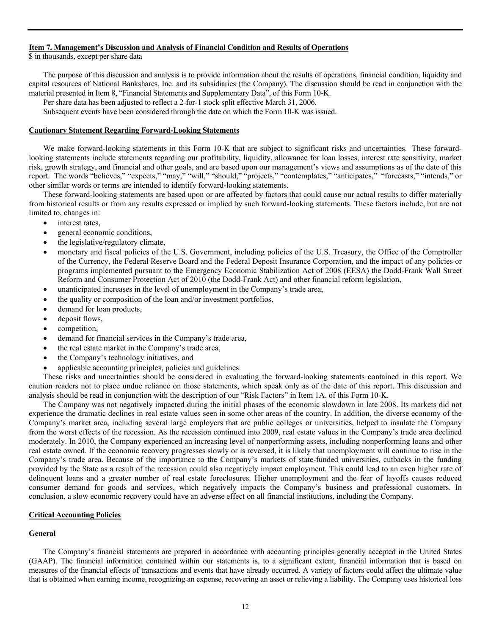#### **Item 7. Management's Discussion and Analysis of Financial Condition and Results of Operations**

\$ in thousands, except per share data

 The purpose of this discussion and analysis is to provide information about the results of operations, financial condition, liquidity and capital resources of National Bankshares, Inc. and its subsidiaries (the Company). The discussion should be read in conjunction with the material presented in Item 8, "Financial Statements and Supplementary Data", of this Form 10-K.

Per share data has been adjusted to reflect a 2-for-1 stock split effective March 31, 2006.

Subsequent events have been considered through the date on which the Form 10-K was issued.

#### **Cautionary Statement Regarding Forward-Looking Statements**

We make forward-looking statements in this Form 10-K that are subject to significant risks and uncertainties. These forwardlooking statements include statements regarding our profitability, liquidity, allowance for loan losses, interest rate sensitivity, market risk, growth strategy, and financial and other goals, and are based upon our management's views and assumptions as of the date of this report. The words "believes," "expects," "may," "will," "should," "projects," "contemplates," "anticipates," "forecasts," "intends," or other similar words or terms are intended to identify forward-looking statements.

 These forward-looking statements are based upon or are affected by factors that could cause our actual results to differ materially from historical results or from any results expressed or implied by such forward-looking statements. These factors include, but are not limited to, changes in:

- interest rates,
- general economic conditions,
- the legislative/regulatory climate,
- monetary and fiscal policies of the U.S. Government, including policies of the U.S. Treasury, the Office of the Comptroller of the Currency, the Federal Reserve Board and the Federal Deposit Insurance Corporation, and the impact of any policies or programs implemented pursuant to the Emergency Economic Stabilization Act of 2008 (EESA) the Dodd-Frank Wall Street Reform and Consumer Protection Act of 2010 (the Dodd-Frank Act) and other financial reform legislation,
- unanticipated increases in the level of unemployment in the Company's trade area,
- the quality or composition of the loan and/or investment portfolios,
- demand for loan products,
- deposit flows,
- competition,
- demand for financial services in the Company's trade area,
- the real estate market in the Company's trade area,
- the Company's technology initiatives, and
- applicable accounting principles, policies and guidelines.

 These risks and uncertainties should be considered in evaluating the forward-looking statements contained in this report. We caution readers not to place undue reliance on those statements, which speak only as of the date of this report. This discussion and analysis should be read in conjunction with the description of our "Risk Factors" in Item 1A. of this Form 10-K.

 The Company was not negatively impacted during the initial phases of the economic slowdown in late 2008. Its markets did not experience the dramatic declines in real estate values seen in some other areas of the country. In addition, the diverse economy of the Company's market area, including several large employers that are public colleges or universities, helped to insulate the Company from the worst effects of the recession. As the recession continued into 2009, real estate values in the Company's trade area declined moderately. In 2010, the Company experienced an increasing level of nonperforming assets, including nonperforming loans and other real estate owned. If the economic recovery progresses slowly or is reversed, it is likely that unemployment will continue to rise in the Company's trade area. Because of the importance to the Company's markets of state-funded universities, cutbacks in the funding provided by the State as a result of the recession could also negatively impact employment. This could lead to an even higher rate of delinquent loans and a greater number of real estate foreclosures. Higher unemployment and the fear of layoffs causes reduced consumer demand for goods and services, which negatively impacts the Company's business and professional customers. In conclusion, a slow economic recovery could have an adverse effect on all financial institutions, including the Company.

#### **Critical Accounting Policies**

#### **General**

 The Company's financial statements are prepared in accordance with accounting principles generally accepted in the United States (GAAP). The financial information contained within our statements is, to a significant extent, financial information that is based on measures of the financial effects of transactions and events that have already occurred. A variety of factors could affect the ultimate value that is obtained when earning income, recognizing an expense, recovering an asset or relieving a liability. The Company uses historical loss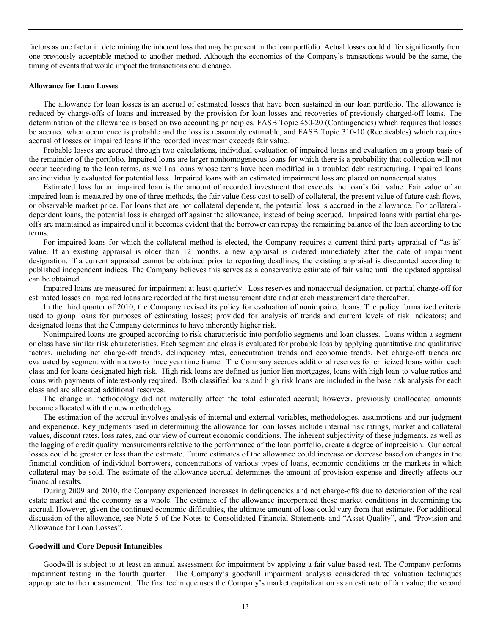factors as one factor in determining the inherent loss that may be present in the loan portfolio. Actual losses could differ significantly from one previously acceptable method to another method. Although the economics of the Company's transactions would be the same, the timing of events that would impact the transactions could change.

#### **Allowance for Loan Losses**

 The allowance for loan losses is an accrual of estimated losses that have been sustained in our loan portfolio. The allowance is reduced by charge-offs of loans and increased by the provision for loan losses and recoveries of previously charged-off loans. The determination of the allowance is based on two accounting principles, FASB Topic 450-20 (Contingencies) which requires that losses be accrued when occurrence is probable and the loss is reasonably estimable, and FASB Topic 310-10 (Receivables) which requires accrual of losses on impaired loans if the recorded investment exceeds fair value.

 Probable losses are accrued through two calculations, individual evaluation of impaired loans and evaluation on a group basis of the remainder of the portfolio. Impaired loans are larger nonhomogeneous loans for which there is a probability that collection will not occur according to the loan terms, as well as loans whose terms have been modified in a troubled debt restructuring. Impaired loans are individually evaluated for potential loss. Impaired loans with an estimated impairment loss are placed on nonaccrual status.

 Estimated loss for an impaired loan is the amount of recorded investment that exceeds the loan's fair value. Fair value of an impaired loan is measured by one of three methods, the fair value (less cost to sell) of collateral, the present value of future cash flows, or observable market price. For loans that are not collateral dependent, the potential loss is accrued in the allowance. For collateraldependent loans, the potential loss is charged off against the allowance, instead of being accrued. Impaired loans with partial chargeoffs are maintained as impaired until it becomes evident that the borrower can repay the remaining balance of the loan according to the terms.

 For impaired loans for which the collateral method is elected, the Company requires a current third-party appraisal of "as is" value. If an existing appraisal is older than 12 months, a new appraisal is ordered immediately after the date of impairment designation. If a current appraisal cannot be obtained prior to reporting deadlines, the existing appraisal is discounted according to published independent indices. The Company believes this serves as a conservative estimate of fair value until the updated appraisal can be obtained.

 Impaired loans are measured for impairment at least quarterly. Loss reserves and nonaccrual designation, or partial charge-off for estimated losses on impaired loans are recorded at the first measurement date and at each measurement date thereafter.

 In the third quarter of 2010, the Company revised its policy for evaluation of nonimpaired loans. The policy formalized criteria used to group loans for purposes of estimating losses; provided for analysis of trends and current levels of risk indicators; and designated loans that the Company determines to have inherently higher risk.

 Nonimpaired loans are grouped according to risk characteristic into portfolio segments and loan classes. Loans within a segment or class have similar risk characteristics. Each segment and class is evaluated for probable loss by applying quantitative and qualitative factors, including net charge-off trends, delinquency rates, concentration trends and economic trends. Net charge-off trends are evaluated by segment within a two to three year time frame. The Company accrues additional reserves for criticized loans within each class and for loans designated high risk. High risk loans are defined as junior lien mortgages, loans with high loan-to-value ratios and loans with payments of interest-only required. Both classified loans and high risk loans are included in the base risk analysis for each class and are allocated additional reserves.

 The change in methodology did not materially affect the total estimated accrual; however, previously unallocated amounts became allocated with the new methodology.

 The estimation of the accrual involves analysis of internal and external variables, methodologies, assumptions and our judgment and experience. Key judgments used in determining the allowance for loan losses include internal risk ratings, market and collateral values, discount rates, loss rates, and our view of current economic conditions. The inherent subjectivity of these judgments, as well as the lagging of credit quality measurements relative to the performance of the loan portfolio, create a degree of imprecision. Our actual losses could be greater or less than the estimate. Future estimates of the allowance could increase or decrease based on changes in the financial condition of individual borrowers, concentrations of various types of loans, economic conditions or the markets in which collateral may be sold. The estimate of the allowance accrual determines the amount of provision expense and directly affects our financial results.

 During 2009 and 2010, the Company experienced increases in delinquencies and net charge-offs due to deterioration of the real estate market and the economy as a whole. The estimate of the allowance incorporated these market conditions in determining the accrual. However, given the continued economic difficulties, the ultimate amount of loss could vary from that estimate. For additional discussion of the allowance, see Note 5 of the Notes to Consolidated Financial Statements and "Asset Quality", and "Provision and Allowance for Loan Losses".

#### **Goodwill and Core Deposit Intangibles**

 Goodwill is subject to at least an annual assessment for impairment by applying a fair value based test. The Company performs impairment testing in the fourth quarter. The Company's goodwill impairment analysis considered three valuation techniques appropriate to the measurement. The first technique uses the Company's market capitalization as an estimate of fair value; the second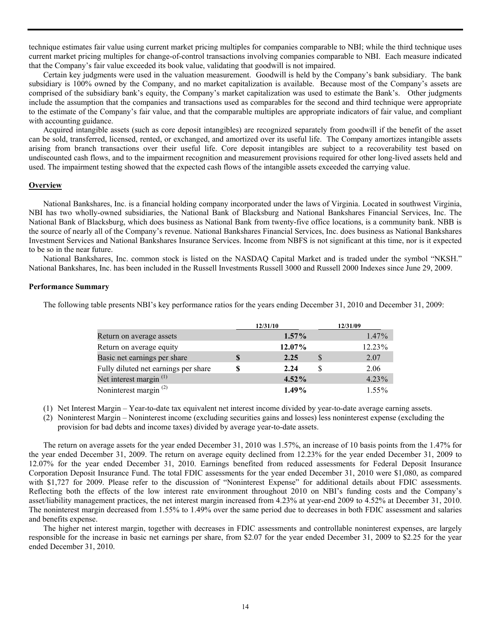technique estimates fair value using current market pricing multiples for companies comparable to NBI; while the third technique uses current market pricing multiples for change-of-control transactions involving companies comparable to NBI. Each measure indicated that the Company's fair value exceeded its book value, validating that goodwill is not impaired.

 Certain key judgments were used in the valuation measurement. Goodwill is held by the Company's bank subsidiary. The bank subsidiary is 100% owned by the Company, and no market capitalization is available. Because most of the Company's assets are comprised of the subsidiary bank's equity, the Company's market capitalization was used to estimate the Bank's. Other judgments include the assumption that the companies and transactions used as comparables for the second and third technique were appropriate to the estimate of the Company's fair value, and that the comparable multiples are appropriate indicators of fair value, and compliant with accounting guidance.

 Acquired intangible assets (such as core deposit intangibles) are recognized separately from goodwill if the benefit of the asset can be sold, transferred, licensed, rented, or exchanged, and amortized over its useful life. The Company amortizes intangible assets arising from branch transactions over their useful life. Core deposit intangibles are subject to a recoverability test based on undiscounted cash flows, and to the impairment recognition and measurement provisions required for other long-lived assets held and used. The impairment testing showed that the expected cash flows of the intangible assets exceeded the carrying value.

#### **Overview**

 National Bankshares, Inc. is a financial holding company incorporated under the laws of Virginia. Located in southwest Virginia, NBI has two wholly-owned subsidiaries, the National Bank of Blacksburg and National Bankshares Financial Services, Inc. The National Bank of Blacksburg, which does business as National Bank from twenty-five office locations, is a community bank. NBB is the source of nearly all of the Company's revenue. National Bankshares Financial Services, Inc. does business as National Bankshares Investment Services and National Bankshares Insurance Services. Income from NBFS is not significant at this time, nor is it expected to be so in the near future.

 National Bankshares, Inc. common stock is listed on the NASDAQ Capital Market and is traded under the symbol "NKSH." National Bankshares, Inc. has been included in the Russell Investments Russell 3000 and Russell 2000 Indexes since June 29, 2009.

#### **Performance Summary**

The following table presents NBI's key performance ratios for the years ending December 31, 2010 and December 31, 2009:

|                                      |   | 12/31/10 |   | 12/31/09 |
|--------------------------------------|---|----------|---|----------|
| Return on average assets             |   | $1.57\%$ |   | 1.47%    |
| Return on average equity             |   | 12.07%   |   | 12.23%   |
| Basic net earnings per share         |   | 2.25     | S | 2.07     |
| Fully diluted net earnings per share | S | 2.24     |   | 2.06     |
| Net interest margin $^{(1)}$         |   | 4.52%    |   | 4.23%    |
| Noninterest margin <sup>(2)</sup>    |   | 1.49%    |   | 1.55%    |

(1) Net Interest Margin – Year-to-date tax equivalent net interest income divided by year-to-date average earning assets.

(2) Noninterest Margin – Noninterest income (excluding securities gains and losses) less noninterest expense (excluding the provision for bad debts and income taxes) divided by average year-to-date assets.

 The return on average assets for the year ended December 31, 2010 was 1.57%, an increase of 10 basis points from the 1.47% for the year ended December 31, 2009. The return on average equity declined from 12.23% for the year ended December 31, 2009 to 12.07% for the year ended December 31, 2010. Earnings benefited from reduced assessments for Federal Deposit Insurance Corporation Deposit Insurance Fund. The total FDIC assessments for the year ended December 31, 2010 were \$1,080, as compared with \$1,727 for 2009. Please refer to the discussion of "Noninterest Expense" for additional details about FDIC assessments. Reflecting both the effects of the low interest rate environment throughout 2010 on NBI's funding costs and the Company's asset/liability management practices, the net interest margin increased from 4.23% at year-end 2009 to 4.52% at December 31, 2010. The noninterest margin decreased from 1.55% to 1.49% over the same period due to decreases in both FDIC assessment and salaries and benefits expense.

 The higher net interest margin, together with decreases in FDIC assessments and controllable noninterest expenses, are largely responsible for the increase in basic net earnings per share, from \$2.07 for the year ended December 31, 2009 to \$2.25 for the year ended December 31, 2010.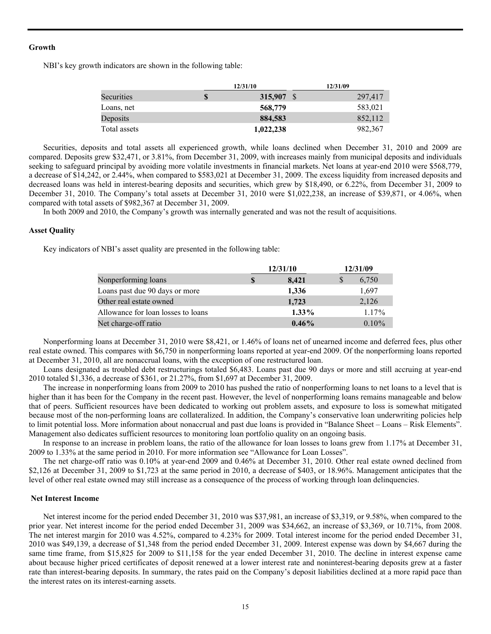#### **Growth**

NBI's key growth indicators are shown in the following table:

|                   | 12/31/10  | 12/31/09 |         |  |  |  |
|-------------------|-----------|----------|---------|--|--|--|
| <b>Securities</b> | 315,907   |          | 297,417 |  |  |  |
| Loans, net        | 568,779   |          | 583,021 |  |  |  |
| Deposits          | 884,583   |          | 852,112 |  |  |  |
| Total assets      | 1,022,238 |          | 982,367 |  |  |  |

Securities, deposits and total assets all experienced growth, while loans declined when December 31, 2010 and 2009 are compared. Deposits grew \$32,471, or 3.81%, from December 31, 2009, with increases mainly from municipal deposits and individuals seeking to safeguard principal by avoiding more volatile investments in financial markets. Net loans at year-end 2010 were \$568,779, a decrease of \$14,242, or 2.44%, when compared to \$583,021 at December 31, 2009. The excess liquidity from increased deposits and decreased loans was held in interest-bearing deposits and securities, which grew by \$18,490, or 6.22%, from December 31, 2009 to December 31, 2010. The Company's total assets at December 31, 2010 were \$1,022,238, an increase of \$39,871, or 4.06%, when compared with total assets of \$982,367 at December 31, 2009.

In both 2009 and 2010, the Company's growth was internally generated and was not the result of acquisitions.

#### **Asset Quality**

Key indicators of NBI's asset quality are presented in the following table:

|                                    |   | 12/31/10 | 12/31/09 |          |  |  |
|------------------------------------|---|----------|----------|----------|--|--|
| Nonperforming loans                | S | 8,421    |          | 6,750    |  |  |
| Loans past due 90 days or more     |   | 1,336    |          | 1,697    |  |  |
| Other real estate owned            |   | 1,723    |          | 2,126    |  |  |
| Allowance for loan losses to loans |   | $1.33\%$ |          | $1.17\%$ |  |  |
| Net charge-off ratio               |   | $0.46\%$ |          | $0.10\%$ |  |  |

 Nonperforming loans at December 31, 2010 were \$8,421, or 1.46% of loans net of unearned income and deferred fees, plus other real estate owned. This compares with \$6,750 in nonperforming loans reported at year-end 2009. Of the nonperforming loans reported at December 31, 2010, all are nonaccrual loans, with the exception of one restructured loan.

 Loans designated as troubled debt restructurings totaled \$6,483. Loans past due 90 days or more and still accruing at year-end 2010 totaled \$1,336, a decrease of \$361, or 21.27%, from \$1,697 at December 31, 2009.

 The increase in nonperforming loans from 2009 to 2010 has pushed the ratio of nonperforming loans to net loans to a level that is higher than it has been for the Company in the recent past. However, the level of nonperforming loans remains manageable and below that of peers. Sufficient resources have been dedicated to working out problem assets, and exposure to loss is somewhat mitigated because most of the non-performing loans are collateralized. In addition, the Company's conservative loan underwriting policies help to limit potential loss. More information about nonaccrual and past due loans is provided in "Balance Sheet – Loans – Risk Elements". Management also dedicates sufficient resources to monitoring loan portfolio quality on an ongoing basis.

 In response to an increase in problem loans, the ratio of the allowance for loan losses to loans grew from 1.17% at December 31, 2009 to 1.33% at the same period in 2010. For more information see "Allowance for Loan Losses".

 The net charge-off ratio was 0.10% at year-end 2009 and 0.46% at December 31, 2010. Other real estate owned declined from \$2,126 at December 31, 2009 to \$1,723 at the same period in 2010, a decrease of \$403, or 18.96%. Management anticipates that the level of other real estate owned may still increase as a consequence of the process of working through loan delinquencies.

#### **Net Interest Income**

 Net interest income for the period ended December 31, 2010 was \$37,981, an increase of \$3,319, or 9.58%, when compared to the prior year. Net interest income for the period ended December 31, 2009 was \$34,662, an increase of \$3,369, or 10.71%, from 2008. The net interest margin for 2010 was 4.52%, compared to 4.23% for 2009. Total interest income for the period ended December 31, 2010 was \$49,139, a decrease of \$1,348 from the period ended December 31, 2009. Interest expense was down by \$4,667 during the same time frame, from \$15,825 for 2009 to \$11,158 for the year ended December 31, 2010. The decline in interest expense came about because higher priced certificates of deposit renewed at a lower interest rate and noninterest-bearing deposits grew at a faster rate than interest-bearing deposits. In summary, the rates paid on the Company's deposit liabilities declined at a more rapid pace than the interest rates on its interest-earning assets.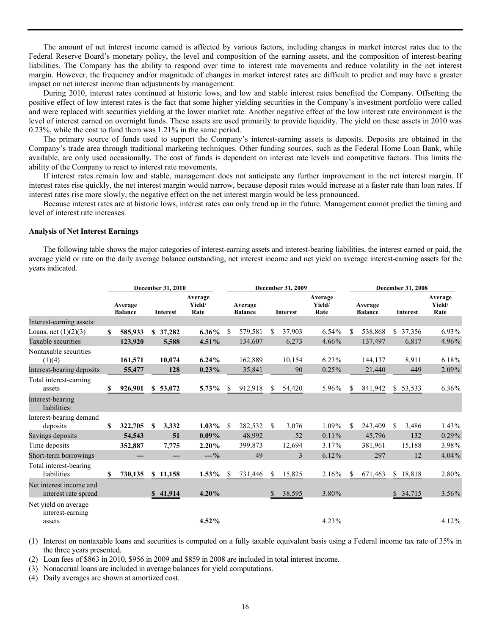The amount of net interest income earned is affected by various factors, including changes in market interest rates due to the Federal Reserve Board's monetary policy, the level and composition of the earning assets, and the composition of interest-bearing liabilities. The Company has the ability to respond over time to interest rate movements and reduce volatility in the net interest margin. However, the frequency and/or magnitude of changes in market interest rates are difficult to predict and may have a greater impact on net interest income than adjustments by management.

 During 2010, interest rates continued at historic lows, and low and stable interest rates benefited the Company. Offsetting the positive effect of low interest rates is the fact that some higher yielding securities in the Company's investment portfolio were called and were replaced with securities yielding at the lower market rate. Another negative effect of the low interest rate environment is the level of interest earned on overnight funds. These assets are used primarily to provide liquidity. The yield on these assets in 2010 was 0.23%, while the cost to fund them was 1.21% in the same period.

 The primary source of funds used to support the Company's interest-earning assets is deposits. Deposits are obtained in the Company's trade area through traditional marketing techniques. Other funding sources, such as the Federal Home Loan Bank, while available, are only used occasionally. The cost of funds is dependent on interest rate levels and competitive factors. This limits the ability of the Company to react to interest rate movements.

 If interest rates remain low and stable, management does not anticipate any further improvement in the net interest margin. If interest rates rise quickly, the net interest margin would narrow, because deposit rates would increase at a faster rate than loan rates. If interest rates rise more slowly, the negative effect on the net interest margin would be less pronounced.

 Because interest rates are at historic lows, interest rates can only trend up in the future. Management cannot predict the timing and level of interest rate increases.

#### **Analysis of Net Interest Earnings**

 The following table shows the major categories of interest-earning assets and interest-bearing liabilities, the interest earned or paid, the average yield or rate on the daily average balance outstanding, net interest income and net yield on average interest-earning assets for the years indicated.

|                                                    |    |                           |    | December 31, 2010 |                           |    |                           | December 31, 2009 |                 |                           |              | December 31, 2008         |    |                 |                           |
|----------------------------------------------------|----|---------------------------|----|-------------------|---------------------------|----|---------------------------|-------------------|-----------------|---------------------------|--------------|---------------------------|----|-----------------|---------------------------|
|                                                    |    | Average<br><b>Balance</b> |    | <b>Interest</b>   | Average<br>Yield/<br>Rate |    | Average<br><b>Balance</b> |                   | <b>Interest</b> | Average<br>Yield/<br>Rate |              | Average<br><b>Balance</b> |    | <b>Interest</b> | Average<br>Yield/<br>Rate |
| Interest-earning assets:                           |    |                           |    |                   |                           |    |                           |                   |                 |                           |              |                           |    |                 |                           |
| Loans, net $(1)(2)(3)$                             | \$ | 585,933                   | S. | 37,282            | $6.36\%$                  | -S | 579,581                   | \$.               | 37,903          | 6.54%                     | -S           | 538,868                   | \$ | 37,356          | 6.93%                     |
| Taxable securities                                 |    | 123,920                   |    | 5,588             | 4.51%                     |    | 134,607                   |                   | 6,273           | 4.66%                     |              | 137,497                   |    | 6,817           | 4.96%                     |
| Nontaxable securities<br>(1)(4)                    |    | 161,571                   |    | 10,074            | $6.24\%$                  |    | 162,889                   |                   | 10,154          | 6.23%                     |              | 144,137                   |    | 8,911           | 6.18%                     |
| Interest-bearing deposits                          |    | 55,477                    |    | 128               | $0.23\%$                  |    | 35,841                    |                   | 90              | $0.25\%$                  |              | 21,440                    |    | 449             | 2.09%                     |
| Total interest-earning<br>assets                   | S  | 926,901                   |    | \$53,072          | 5.73%                     | S. | 912,918                   | S.                | 54,420          | 5.96%                     | <sup>S</sup> | 841,942                   |    | \$53,533        | 6.36%                     |
| Interest-bearing<br>liabilities:                   |    |                           |    |                   |                           |    |                           |                   |                 |                           |              |                           |    |                 |                           |
| Interest-bearing demand<br>deposits                | S  | 322,705                   | S  | 3,332             | $1.03\%$                  | -S | 282,532                   | \$                | 3,076           | 1.09%                     | S            | 243,409                   | \$ | 3,486           | 1.43%                     |
| Savings deposits                                   |    | 54,543                    |    | 51                | $0.09\%$                  |    | 48.992                    |                   | 52              | $0.11\%$                  |              | 45,796                    |    | 132             | 0.29%                     |
| Time deposits                                      |    | 352,887                   |    | 7,775             | 2.20%                     |    | 399,873                   |                   | 12,694          | 3.17%                     |              | 381,961                   |    | 15,188          | 3.98%                     |
| Short-term borrowings                              |    |                           |    |                   | $--\frac{9}{6}$           |    | 49                        |                   | 3               | 6.12%                     |              | 297                       |    | 12              | 4.04%                     |
| Total interest-bearing<br>liabilities              | S  | 730,135                   |    | \$11,158          | $1.53\%$                  |    | 731,446                   | \$                | 15,825          | 2.16%                     | S            | 671,463                   |    | \$18,818        | 2.80%                     |
| Net interest income and<br>interest rate spread    |    |                           |    | \$41,914          | 4.20%                     |    |                           | \$                | 38,595          | 3.80%                     |              |                           |    | \$34,715        | 3.56%                     |
| Net yield on average<br>interest-earning<br>assets |    |                           |    |                   | $4.52\%$                  |    |                           |                   |                 | 4.23%                     |              |                           |    |                 | 4.12%                     |

(1) Interest on nontaxable loans and securities is computed on a fully taxable equivalent basis using a Federal income tax rate of 35% in the three years presented.

(2) Loan fees of \$863 in 2010, \$956 in 2009 and \$859 in 2008 are included in total interest income.

(3) Nonaccrual loans are included in average balances for yield computations.

(4) Daily averages are shown at amortized cost.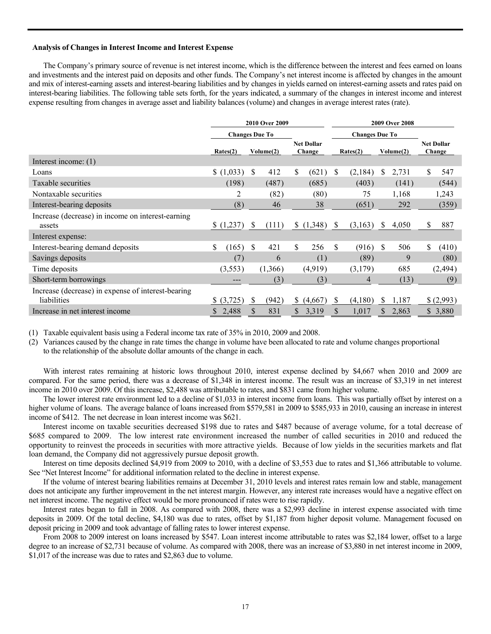#### **Analysis of Changes in Interest Income and Interest Expense**

 The Company's primary source of revenue is net interest income, which is the difference between the interest and fees earned on loans and investments and the interest paid on deposits and other funds. The Company's net interest income is affected by changes in the amount and mix of interest-earning assets and interest-bearing liabilities and by changes in yields earned on interest-earning assets and rates paid on interest-bearing liabilities. The following table sets forth, for the years indicated, a summary of the changes in interest income and interest expense resulting from changes in average asset and liability balances (volume) and changes in average interest rates (rate).

|                                                                   |                                                                | 2010 Over 2009 |         |     | 2009 Over 2008 |                       |                |           |       |                             |           |
|-------------------------------------------------------------------|----------------------------------------------------------------|----------------|---------|-----|----------------|-----------------------|----------------|-----------|-------|-----------------------------|-----------|
|                                                                   | <b>Changes Due To</b>                                          |                |         |     |                | <b>Changes Due To</b> |                |           |       |                             |           |
|                                                                   | <b>Net Dollar</b><br>$\text{ Rates}(2)$<br>Change<br>Volume(2) |                |         |     |                | $\text{ Rates}(2)$    |                | Volume(2) |       | <b>Net Dollar</b><br>Change |           |
| Interest income: $(1)$                                            |                                                                |                |         |     |                |                       |                |           |       |                             |           |
| Loans                                                             | (1,033)                                                        | S              | 412     | \$  | (621)          | S                     | (2,184)        | \$        | 2,731 | \$                          | 547       |
| Taxable securities                                                | (198)                                                          |                | (487)   |     | (685)          |                       | (403)          |           | (141) |                             | (544)     |
| Nontaxable securities                                             | 2                                                              |                | (82)    |     | (80)           |                       | 75             |           | 1,168 |                             | 1,243     |
| Interest-bearing deposits                                         | (8)                                                            |                | 46      |     | 38             |                       | (651)          |           | 292   |                             | (359)     |
| Increase (decrease) in income on interest-earning<br>assets       | (1,237)                                                        | S              | (111)   | S.  | (1,348)        | -S                    | (3,163)        | S         | 4,050 | \$                          | 887       |
| Interest expense:                                                 |                                                                |                |         |     |                |                       |                |           |       |                             |           |
| Interest-bearing demand deposits                                  | \$<br>(165)                                                    | \$.            | 421     | \$. | 256            | \$.                   | (916)          | \$.       | 506   | \$                          | (410)     |
| Savings deposits                                                  | (7)                                                            |                | 6       |     | (1)            |                       | (89)           |           | 9     |                             | (80)      |
| Time deposits                                                     | (3,553)                                                        |                | (1,366) |     | (4,919)        |                       | (3,179)        |           | 685   |                             | (2, 494)  |
| Short-term borrowings                                             |                                                                |                | (3)     |     | (3)            |                       | $\overline{4}$ |           | (13)  |                             | (9)       |
| Increase (decrease) in expense of interest-bearing<br>liabilities | (3,725)                                                        | S              | (942)   | S.  | (4,667)        | S                     | (4,180)        | S         | 1,187 |                             | \$(2,993) |
| Increase in net interest income                                   | \$2,488                                                        | S              | 831     | \$  | 3,319          | \$                    | 1,017          | S         | 2,863 |                             | \$3,880   |

(1) Taxable equivalent basis using a Federal income tax rate of 35% in 2010, 2009 and 2008.

(2) Variances caused by the change in rate times the change in volume have been allocated to rate and volume changes proportional to the relationship of the absolute dollar amounts of the change in each.

With interest rates remaining at historic lows throughout 2010, interest expense declined by \$4,667 when 2010 and 2009 are compared. For the same period, there was a decrease of \$1,348 in interest income. The result was an increase of \$3,319 in net interest income in 2010 over 2009. Of this increase, \$2,488 was attributable to rates, and \$831 came from higher volume.

 The lower interest rate environment led to a decline of \$1,033 in interest income from loans. This was partially offset by interest on a higher volume of loans. The average balance of loans increased from \$579,581 in 2009 to \$585,933 in 2010, causing an increase in interest income of \$412. The net decrease in loan interest income was \$621.

 Interest income on taxable securities decreased \$198 due to rates and \$487 because of average volume, for a total decrease of \$685 compared to 2009. The low interest rate environment increased the number of called securities in 2010 and reduced the opportunity to reinvest the proceeds in securities with more attractive yields. Because of low yields in the securities markets and flat loan demand, the Company did not aggressively pursue deposit growth.

 Interest on time deposits declined \$4,919 from 2009 to 2010, with a decline of \$3,553 due to rates and \$1,366 attributable to volume. See "Net Interest Income" for additional information related to the decline in interest expense.

 If the volume of interest bearing liabilities remains at December 31, 2010 levels and interest rates remain low and stable, management does not anticipate any further improvement in the net interest margin. However, any interest rate increases would have a negative effect on net interest income. The negative effect would be more pronounced if rates were to rise rapidly.

 Interest rates began to fall in 2008. As compared with 2008, there was a \$2,993 decline in interest expense associated with time deposits in 2009. Of the total decline, \$4,180 was due to rates, offset by \$1,187 from higher deposit volume. Management focused on deposit pricing in 2009 and took advantage of falling rates to lower interest expense.

 From 2008 to 2009 interest on loans increased by \$547. Loan interest income attributable to rates was \$2,184 lower, offset to a large degree to an increase of \$2,731 because of volume. As compared with 2008, there was an increase of \$3,880 in net interest income in 2009, \$1,017 of the increase was due to rates and \$2,863 due to volume.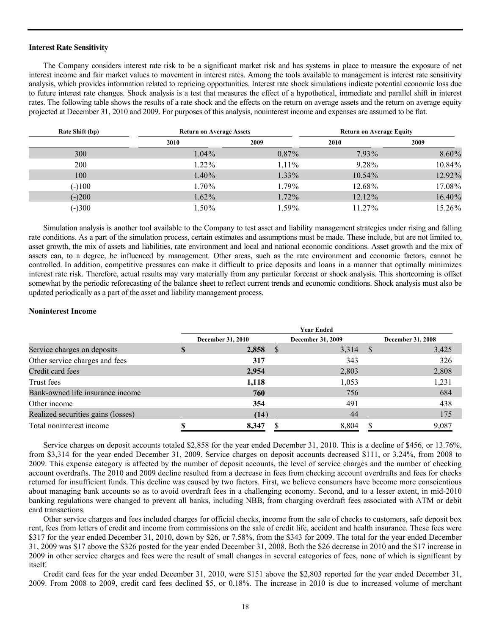### **Interest Rate Sensitivity**

 The Company considers interest rate risk to be a significant market risk and has systems in place to measure the exposure of net interest income and fair market values to movement in interest rates. Among the tools available to management is interest rate sensitivity analysis, which provides information related to repricing opportunities. Interest rate shock simulations indicate potential economic loss due to future interest rate changes. Shock analysis is a test that measures the effect of a hypothetical, immediate and parallel shift in interest rates. The following table shows the results of a rate shock and the effects on the return on average assets and the return on average equity projected at December 31, 2010 and 2009. For purposes of this analysis, noninterest income and expenses are assumed to be flat.

| Rate Shift (bp) | <b>Return on Average Assets</b> |          | <b>Return on Average Equity</b> |        |  |  |  |  |
|-----------------|---------------------------------|----------|---------------------------------|--------|--|--|--|--|
|                 | 2010                            | 2009     | 2010                            | 2009   |  |  |  |  |
| 300             | 1.04%                           | $0.87\%$ | 7.93%                           | 8.60%  |  |  |  |  |
| 200             | 1.22%                           | $1.11\%$ | 9.28%                           | 10.84% |  |  |  |  |
| 100             | $1.40\%$                        | 1.33%    | 10.54%                          | 12.92% |  |  |  |  |
| $(-100)$        | 1.70%                           | 1.79%    | 12.68%                          | 17.08% |  |  |  |  |
| $(-)200$        | $1.62\%$                        | 1.72%    | $12.12\%$                       | 16.40% |  |  |  |  |
| $(-)300$        | 1.50%                           | 1.59%    | 11.27%                          | 15.26% |  |  |  |  |

 Simulation analysis is another tool available to the Company to test asset and liability management strategies under rising and falling rate conditions. As a part of the simulation process, certain estimates and assumptions must be made. These include, but are not limited to, asset growth, the mix of assets and liabilities, rate environment and local and national economic conditions. Asset growth and the mix of assets can, to a degree, be influenced by management. Other areas, such as the rate environment and economic factors, cannot be controlled. In addition, competitive pressures can make it difficult to price deposits and loans in a manner that optimally minimizes interest rate risk. Therefore, actual results may vary materially from any particular forecast or shock analysis. This shortcoming is offset somewhat by the periodic reforecasting of the balance sheet to reflect current trends and economic conditions. Shock analysis must also be updated periodically as a part of the asset and liability management process.

#### **Noninterest Income**

|                                    | <b>Year Ended</b> |                          |     |                   |  |                          |  |  |  |  |  |  |
|------------------------------------|-------------------|--------------------------|-----|-------------------|--|--------------------------|--|--|--|--|--|--|
|                                    |                   | <b>December 31, 2010</b> |     | December 31, 2009 |  | <b>December 31, 2008</b> |  |  |  |  |  |  |
| Service charges on deposits        |                   | 2,858                    | - S | 3,314             |  | 3,425                    |  |  |  |  |  |  |
| Other service charges and fees     |                   | 317                      |     | 343               |  | 326                      |  |  |  |  |  |  |
| Credit card fees                   |                   | 2,954                    |     | 2,803             |  | 2,808                    |  |  |  |  |  |  |
| Trust fees                         |                   | 1,118                    |     | 1,053             |  | 1,231                    |  |  |  |  |  |  |
| Bank-owned life insurance income   |                   | 760                      |     | 756               |  | 684                      |  |  |  |  |  |  |
| Other income                       |                   | 354                      |     | 491               |  | 438                      |  |  |  |  |  |  |
| Realized securities gains (losses) |                   | (14)                     |     | 44                |  | 175                      |  |  |  |  |  |  |
| Total noninterest income           |                   | 8,347                    |     | 8,804             |  | 9,087                    |  |  |  |  |  |  |

 Service charges on deposit accounts totaled \$2,858 for the year ended December 31, 2010. This is a decline of \$456, or 13.76%, from \$3,314 for the year ended December 31, 2009. Service charges on deposit accounts decreased \$111, or 3.24%, from 2008 to 2009. This expense category is affected by the number of deposit accounts, the level of service charges and the number of checking account overdrafts. The 2010 and 2009 decline resulted from a decrease in fees from checking account overdrafts and fees for checks returned for insufficient funds. This decline was caused by two factors. First, we believe consumers have become more conscientious about managing bank accounts so as to avoid overdraft fees in a challenging economy. Second, and to a lesser extent, in mid-2010 banking regulations were changed to prevent all banks, including NBB, from charging overdraft fees associated with ATM or debit card transactions.

 Other service charges and fees included charges for official checks, income from the sale of checks to customers, safe deposit box rent, fees from letters of credit and income from commissions on the sale of credit life, accident and health insurance. These fees were \$317 for the year ended December 31, 2010, down by \$26, or 7.58%, from the \$343 for 2009. The total for the year ended December 31, 2009 was \$17 above the \$326 posted for the year ended December 31, 2008. Both the \$26 decrease in 2010 and the \$17 increase in 2009 in other service charges and fees were the result of small changes in several categories of fees, none of which is significant by itself.

 Credit card fees for the year ended December 31, 2010, were \$151 above the \$2,803 reported for the year ended December 31, 2009. From 2008 to 2009, credit card fees declined \$5, or 0.18%. The increase in 2010 is due to increased volume of merchant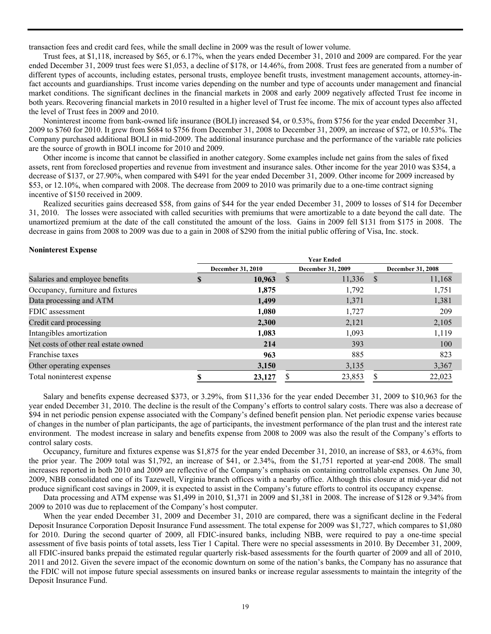transaction fees and credit card fees, while the small decline in 2009 was the result of lower volume.

 Trust fees, at \$1,118, increased by \$65, or 6.17%, when the years ended December 31, 2010 and 2009 are compared. For the year ended December 31, 2009 trust fees were \$1,053, a decline of \$178, or 14.46%, from 2008. Trust fees are generated from a number of different types of accounts, including estates, personal trusts, employee benefit trusts, investment management accounts, attorney-infact accounts and guardianships. Trust income varies depending on the number and type of accounts under management and financial market conditions. The significant declines in the financial markets in 2008 and early 2009 negatively affected Trust fee income in both years. Recovering financial markets in 2010 resulted in a higher level of Trust fee income. The mix of account types also affected the level of Trust fees in 2009 and 2010.

 Noninterest income from bank-owned life insurance (BOLI) increased \$4, or 0.53%, from \$756 for the year ended December 31, 2009 to \$760 for 2010. It grew from \$684 to \$756 from December 31, 2008 to December 31, 2009, an increase of \$72, or 10.53%. The Company purchased additional BOLI in mid-2009. The additional insurance purchase and the performance of the variable rate policies are the source of growth in BOLI income for 2010 and 2009.

 Other income is income that cannot be classified in another category. Some examples include net gains from the sales of fixed assets, rent from foreclosed properties and revenue from investment and insurance sales. Other income for the year 2010 was \$354, a decrease of \$137, or 27.90%, when compared with \$491 for the year ended December 31, 2009. Other income for 2009 increased by \$53, or 12.10%, when compared with 2008. The decrease from 2009 to 2010 was primarily due to a one-time contract signing incentive of \$150 received in 2009.

 Realized securities gains decreased \$58, from gains of \$44 for the year ended December 31, 2009 to losses of \$14 for December 31, 2010. The losses were associated with called securities with premiums that were amortizable to a date beyond the call date. The unamortized premium at the date of the call constituted the amount of the loss. Gains in 2009 fell \$131 from \$175 in 2008. The decrease in gains from 2008 to 2009 was due to a gain in 2008 of \$290 from the initial public offering of Visa, Inc. stock.

#### **Noninterest Expense**

|                                      | <b>Year Ended</b> |                          |              |                          |  |                          |  |  |  |  |
|--------------------------------------|-------------------|--------------------------|--------------|--------------------------|--|--------------------------|--|--|--|--|
|                                      |                   | <b>December 31, 2010</b> |              | <b>December 31, 2009</b> |  | <b>December 31, 2008</b> |  |  |  |  |
| Salaries and employee benefits       |                   | 10,963                   | $\mathbb{S}$ | $11,336$ \$              |  | 11,168                   |  |  |  |  |
| Occupancy, furniture and fixtures    |                   | 1,875                    |              | 1,792                    |  | 1,751                    |  |  |  |  |
| Data processing and ATM              |                   | 1,499                    |              | 1,371                    |  | 1,381                    |  |  |  |  |
| FDIC assessment                      |                   | 1,080                    |              | 1,727                    |  | 209                      |  |  |  |  |
| Credit card processing               |                   | 2,300                    |              | 2,121                    |  | 2,105                    |  |  |  |  |
| Intangibles amortization             |                   | 1,083                    |              | 1,093                    |  | 1,119                    |  |  |  |  |
| Net costs of other real estate owned |                   | 214                      |              | 393                      |  | 100                      |  |  |  |  |
| Franchise taxes                      |                   | 963                      |              | 885                      |  | 823                      |  |  |  |  |
| Other operating expenses             |                   | 3,150                    |              | 3,135                    |  | 3,367                    |  |  |  |  |
| Total noninterest expense            |                   | 23,127                   |              | 23,853                   |  | 22,023                   |  |  |  |  |

Salary and benefits expense decreased \$373, or 3.29%, from \$11,336 for the year ended December 31, 2009 to \$10,963 for the year ended December 31, 2010. The decline is the result of the Company's efforts to control salary costs. There was also a decrease of \$94 in net periodic pension expense associated with the Company's defined benefit pension plan. Net periodic expense varies because of changes in the number of plan participants, the age of participants, the investment performance of the plan trust and the interest rate environment. The modest increase in salary and benefits expense from 2008 to 2009 was also the result of the Company's efforts to control salary costs.

 Occupancy, furniture and fixtures expense was \$1,875 for the year ended December 31, 2010, an increase of \$83, or 4.63%, from the prior year. The 2009 total was \$1,792, an increase of \$41, or 2.34%, from the \$1,751 reported at year-end 2008. The small increases reported in both 2010 and 2009 are reflective of the Company's emphasis on containing controllable expenses. On June 30, 2009, NBB consolidated one of its Tazewell, Virginia branch offices with a nearby office. Although this closure at mid-year did not produce significant cost savings in 2009, it is expected to assist in the Company's future efforts to control its occupancy expense.

 Data processing and ATM expense was \$1,499 in 2010, \$1,371 in 2009 and \$1,381 in 2008. The increase of \$128 or 9.34% from 2009 to 2010 was due to replacement of the Company's host computer.

 When the year ended December 31, 2009 and December 31, 2010 are compared, there was a significant decline in the Federal Deposit Insurance Corporation Deposit Insurance Fund assessment. The total expense for 2009 was \$1,727, which compares to \$1,080 for 2010. During the second quarter of 2009, all FDIC-insured banks, including NBB, were required to pay a one-time special assessment of five basis points of total assets, less Tier 1 Capital. There were no special assessments in 2010. By December 31, 2009, all FDIC-insured banks prepaid the estimated regular quarterly risk-based assessments for the fourth quarter of 2009 and all of 2010, 2011 and 2012. Given the severe impact of the economic downturn on some of the nation's banks, the Company has no assurance that the FDIC will not impose future special assessments on insured banks or increase regular assessments to maintain the integrity of the Deposit Insurance Fund.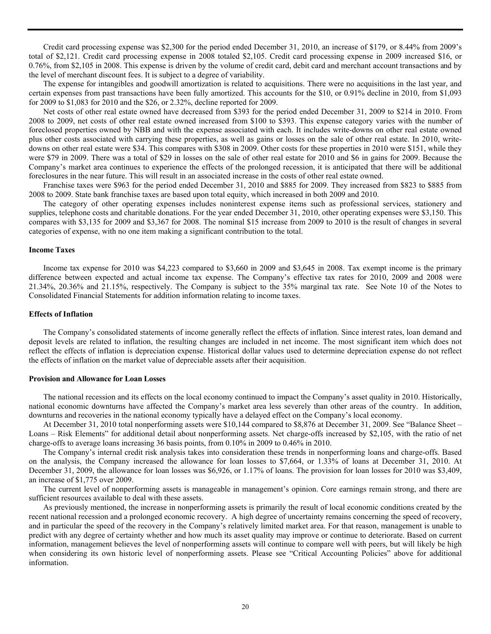Credit card processing expense was \$2,300 for the period ended December 31, 2010, an increase of \$179, or 8.44% from 2009's total of \$2,121. Credit card processing expense in 2008 totaled \$2,105. Credit card processing expense in 2009 increased \$16, or 0.76%, from \$2,105 in 2008. This expense is driven by the volume of credit card, debit card and merchant account transactions and by the level of merchant discount fees. It is subject to a degree of variability.

 The expense for intangibles and goodwill amortization is related to acquisitions. There were no acquisitions in the last year, and certain expenses from past transactions have been fully amortized. This accounts for the \$10, or 0.91% decline in 2010, from \$1,093 for 2009 to \$1,083 for 2010 and the \$26, or 2.32%, decline reported for 2009.

 Net costs of other real estate owned have decreased from \$393 for the period ended December 31, 2009 to \$214 in 2010. From 2008 to 2009, net costs of other real estate owned increased from \$100 to \$393. This expense category varies with the number of foreclosed properties owned by NBB and with the expense associated with each. It includes write-downs on other real estate owned plus other costs associated with carrying these properties, as well as gains or losses on the sale of other real estate. In 2010, writedowns on other real estate were \$34. This compares with \$308 in 2009. Other costs for these properties in 2010 were \$151, while they were \$79 in 2009. There was a total of \$29 in losses on the sale of other real estate for 2010 and \$6 in gains for 2009. Because the Company's market area continues to experience the effects of the prolonged recession, it is anticipated that there will be additional foreclosures in the near future. This will result in an associated increase in the costs of other real estate owned.

 Franchise taxes were \$963 for the period ended December 31, 2010 and \$885 for 2009. They increased from \$823 to \$885 from 2008 to 2009. State bank franchise taxes are based upon total equity, which increased in both 2009 and 2010.

 The category of other operating expenses includes noninterest expense items such as professional services, stationery and supplies, telephone costs and charitable donations. For the year ended December 31, 2010, other operating expenses were \$3,150. This compares with \$3,135 for 2009 and \$3,367 for 2008. The nominal \$15 increase from 2009 to 2010 is the result of changes in several categories of expense, with no one item making a significant contribution to the total.

#### **Income Taxes**

 Income tax expense for 2010 was \$4,223 compared to \$3,660 in 2009 and \$3,645 in 2008. Tax exempt income is the primary difference between expected and actual income tax expense. The Company's effective tax rates for 2010, 2009 and 2008 were 21.34%, 20.36% and 21.15%, respectively. The Company is subject to the 35% marginal tax rate. See Note 10 of the Notes to Consolidated Financial Statements for addition information relating to income taxes.

#### **Effects of Inflation**

 The Company's consolidated statements of income generally reflect the effects of inflation. Since interest rates, loan demand and deposit levels are related to inflation, the resulting changes are included in net income. The most significant item which does not reflect the effects of inflation is depreciation expense. Historical dollar values used to determine depreciation expense do not reflect the effects of inflation on the market value of depreciable assets after their acquisition.

#### **Provision and Allowance for Loan Losses**

 The national recession and its effects on the local economy continued to impact the Company's asset quality in 2010. Historically, national economic downturns have affected the Company's market area less severely than other areas of the country. In addition, downturns and recoveries in the national economy typically have a delayed effect on the Company's local economy.

 At December 31, 2010 total nonperforming assets were \$10,144 compared to \$8,876 at December 31, 2009. See "Balance Sheet – Loans – Risk Elements" for additional detail about nonperforming assets. Net charge-offs increased by \$2,105, with the ratio of net charge-offs to average loans increasing 36 basis points, from 0.10% in 2009 to 0.46% in 2010.

 The Company's internal credit risk analysis takes into consideration these trends in nonperforming loans and charge-offs. Based on the analysis, the Company increased the allowance for loan losses to \$7,664, or 1.33% of loans at December 31, 2010. At December 31, 2009, the allowance for loan losses was \$6,926, or 1.17% of loans. The provision for loan losses for 2010 was \$3,409, an increase of \$1,775 over 2009.

 The current level of nonperforming assets is manageable in management's opinion. Core earnings remain strong, and there are sufficient resources available to deal with these assets.

 As previously mentioned, the increase in nonperforming assets is primarily the result of local economic conditions created by the recent national recession and a prolonged economic recovery. A high degree of uncertainty remains concerning the speed of recovery, and in particular the speed of the recovery in the Company's relatively limited market area. For that reason, management is unable to predict with any degree of certainty whether and how much its asset quality may improve or continue to deteriorate. Based on current information, management believes the level of nonperforming assets will continue to compare well with peers, but will likely be high when considering its own historic level of nonperforming assets. Please see "Critical Accounting Policies" above for additional information.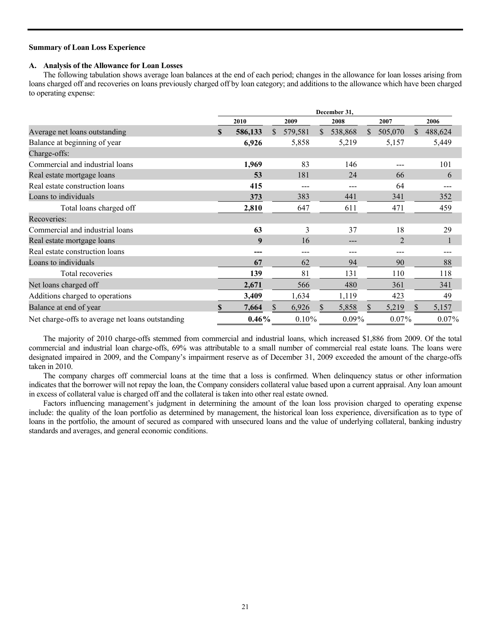#### **Summary of Loan Loss Experience**

#### **A. Analysis of the Allowance for Loan Losses**

 The following tabulation shows average loan balances at the end of each period; changes in the allowance for loan losses arising from loans charged off and recoveries on loans previously charged off by loan category; and additions to the allowance which have been charged to operating expense:

|                                                  |    |          |     |         |              | December 31, |              |                |              |          |
|--------------------------------------------------|----|----------|-----|---------|--------------|--------------|--------------|----------------|--------------|----------|
|                                                  |    | 2010     |     | 2009    |              | 2008         | 2007         |                |              | 2006     |
| Average net loans outstanding                    | S. | 586,133  | S.  | 579,581 | $\mathbb{S}$ | 538,868      | $\mathbb{S}$ | 505,070        | $\mathbb{S}$ | 488,624  |
| Balance at beginning of year                     |    | 6,926    |     | 5,858   |              | 5,219        |              | 5,157          |              | 5,449    |
| Charge-offs:                                     |    |          |     |         |              |              |              |                |              |          |
| Commercial and industrial loans                  |    | 1,969    |     | 83      |              | 146          |              |                |              | 101      |
| Real estate mortgage loans                       |    | 53       |     | 181     |              | 24           |              | 66             |              | 6        |
| Real estate construction loans                   |    | 415      |     |         |              | ---          |              | 64             |              |          |
| Loans to individuals                             |    | 373      |     | 383     |              | 441          |              | 341            |              | 352      |
| Total loans charged off                          |    | 2,810    |     | 647     |              | 611          |              | 471            |              | 459      |
| Recoveries:                                      |    |          |     |         |              |              |              |                |              |          |
| Commercial and industrial loans                  |    | 63       |     | 3       |              | 37           |              | 18             |              | 29       |
| Real estate mortgage loans                       |    | 9        |     | 16      |              | ---          |              | $\overline{2}$ |              |          |
| Real estate construction loans                   |    |          |     |         |              | ---          |              | ---            |              |          |
| Loans to individuals                             |    | 67       |     | 62      |              | 94           |              | 90             |              | 88       |
| Total recoveries                                 |    | 139      |     | 81      |              | 131          |              | 110            |              | 118      |
| Net loans charged off                            |    | 2,671    |     | 566     |              | 480          |              | 361            |              | 341      |
| Additions charged to operations                  |    | 3,409    |     | 1,634   |              | 1,119        |              | 423            |              | 49       |
| Balance at end of year                           |    | 7,664    | \$. | 6,926   |              | 5,858        |              | 5,219          |              | 5,157    |
| Net charge-offs to average net loans outstanding |    | $0.46\%$ |     | 0.10%   |              | $0.09\%$     |              | $0.07\%$       |              | $0.07\%$ |

 The majority of 2010 charge-offs stemmed from commercial and industrial loans, which increased \$1,886 from 2009. Of the total commercial and industrial loan charge-offs, 69% was attributable to a small number of commercial real estate loans. The loans were designated impaired in 2009, and the Company's impairment reserve as of December 31, 2009 exceeded the amount of the charge-offs taken in 2010.

 The company charges off commercial loans at the time that a loss is confirmed. When delinquency status or other information indicates that the borrower will not repay the loan, the Company considers collateral value based upon a current appraisal. Any loan amount in excess of collateral value is charged off and the collateral is taken into other real estate owned.

 Factors influencing management's judgment in determining the amount of the loan loss provision charged to operating expense include: the quality of the loan portfolio as determined by management, the historical loan loss experience, diversification as to type of loans in the portfolio, the amount of secured as compared with unsecured loans and the value of underlying collateral, banking industry standards and averages, and general economic conditions.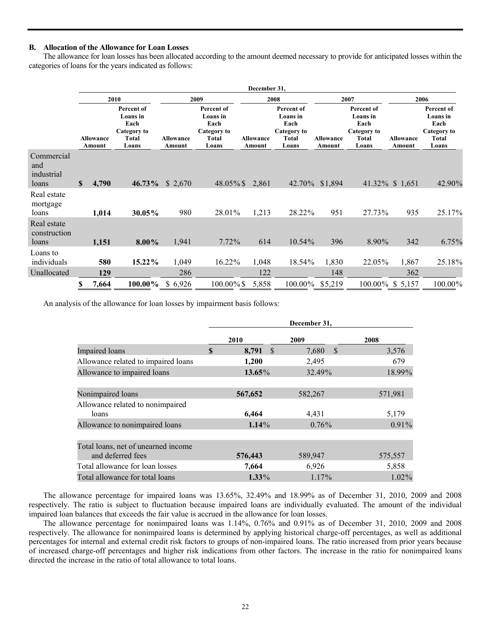#### **B. Allocation of the Allowance for Loan Losses**

 The allowance for loan losses has been allocated according to the amount deemed necessary to provide for anticipated losses within the categories of loans for the years indicated as follows:

|                                          |             |                            |                                                                 |                     |                                                                        | December 31,        |                                                                 |                            |                                                                 |                            |                                                                 |  |
|------------------------------------------|-------------|----------------------------|-----------------------------------------------------------------|---------------------|------------------------------------------------------------------------|---------------------|-----------------------------------------------------------------|----------------------------|-----------------------------------------------------------------|----------------------------|-----------------------------------------------------------------|--|
|                                          |             |                            | 2010                                                            |                     | 2009                                                                   |                     | 2008                                                            |                            | 2007                                                            | 2006                       |                                                                 |  |
|                                          |             | <b>Allowance</b><br>Amount | Percent of<br>Loans in<br>Each<br>Category to<br>Total<br>Loans | Allowance<br>Amount | Percent of<br>Loans in<br>Each<br>Category to<br><b>Total</b><br>Loans | Allowance<br>Amount | Percent of<br>Loans in<br>Each<br>Category to<br>Total<br>Loans | <b>Allowance</b><br>Amount | Percent of<br>Loans in<br>Each<br>Category to<br>Total<br>Loans | <b>Allowance</b><br>Amount | Percent of<br>Loans in<br>Each<br>Category to<br>Total<br>Loans |  |
| Commercial<br>and<br>industrial<br>loans | $\mathbf S$ | 4,790                      | $46.73\%$                                                       | \$2,670             |                                                                        | 48.05% \$2,861      |                                                                 | 42.70% \$1,894             |                                                                 | 41.32% \$1,651             | 42.90%                                                          |  |
| Real estate<br>mortgage<br>loans         |             | 1,014                      | 30.05%                                                          | 980                 | 28.01%                                                                 | 1,213               | 28.22%                                                          | 951                        | 27.73%                                                          | 935                        | 25.17%                                                          |  |
| Real estate<br>construction<br>loans     |             | 1,151                      | $8.00\%$                                                        | 1,941               | 7.72%                                                                  | 614                 | $10.54\%$                                                       | 396                        | 8.90%                                                           | 342                        | 6.75%                                                           |  |
| Loans to<br>individuals                  |             | 580                        | 15.22%                                                          | 1,049               | 16.22%                                                                 | 1,048               | 18.54%                                                          | 1,830                      | 22.05%                                                          | 1,867                      | 25.18%                                                          |  |
| Unallocated                              | \$          | 129<br>7,664               | $100.00\%$                                                      | 286<br>\$6,926      | $100.00\%$ \$                                                          | 122<br>5,858        |                                                                 | 148<br>100.00% \$5,219     |                                                                 | 362<br>100.00% \$ 5,157    | 100.00%                                                         |  |

An analysis of the allowance for loan losses by impairment basis follows:

|                                                          | December 31, |              |                        |          |  |  |  |  |  |
|----------------------------------------------------------|--------------|--------------|------------------------|----------|--|--|--|--|--|
|                                                          |              | 2010         | 2009                   | 2008     |  |  |  |  |  |
| Impaired loans                                           | $\mathbf{s}$ | 8,791<br>-\$ | <sup>\$</sup><br>7,680 | 3,576    |  |  |  |  |  |
| Allowance related to impaired loans                      |              | 1,200        | 2,495                  | 679      |  |  |  |  |  |
| Allowance to impaired loans                              |              | 13.65%       | 32.49%                 | 18.99%   |  |  |  |  |  |
| Nonimpaired loans                                        |              | 567,652      | 582,267                | 571,981  |  |  |  |  |  |
| Allowance related to nonimpaired<br>loans                |              | 6,464        | 4,431                  | 5,179    |  |  |  |  |  |
| Allowance to nonimpaired loans                           |              | 1.14%        | 0.76%                  | $0.91\%$ |  |  |  |  |  |
| Total loans, net of unearned income<br>and deferred fees |              | 576,443      | 589,947                | 575,557  |  |  |  |  |  |
| Total allowance for loan losses                          |              | 7,664        | 6,926                  | 5,858    |  |  |  |  |  |
| Total allowance for total loans                          |              | $1.33\%$     | $1.17\%$               | $1.02\%$ |  |  |  |  |  |

 The allowance percentage for impaired loans was 13.65%, 32.49% and 18.99% as of December 31, 2010, 2009 and 2008 respectively. The ratio is subject to fluctuation because impaired loans are individually evaluated. The amount of the individual impaired loan balances that exceeds the fair value is accrued in the allowance for loan losses.

 The allowance percentage for nonimpaired loans was 1.14%, 0.76% and 0.91% as of December 31, 2010, 2009 and 2008 respectively. The allowance for nonimpaired loans is determined by applying historical charge-off percentages, as well as additional percentages for internal and external credit risk factors to groups of non-impaired loans. The ratio increased from prior years because of increased charge-off percentages and higher risk indications from other factors. The increase in the ratio for nonimpaired loans directed the increase in the ratio of total allowance to total loans.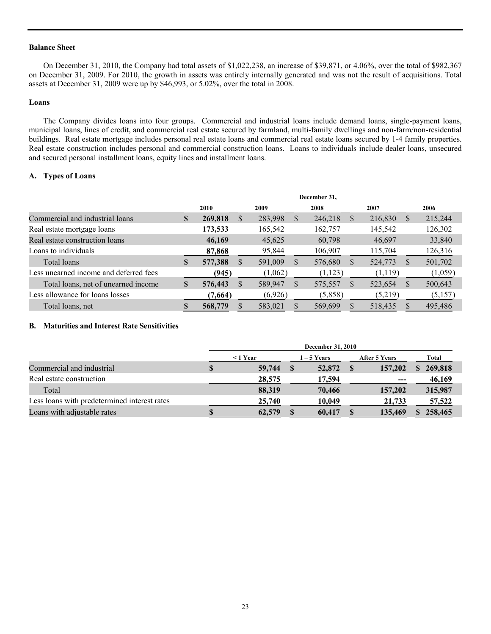#### **Balance Sheet**

 On December 31, 2010, the Company had total assets of \$1,022,238, an increase of \$39,871, or 4.06%, over the total of \$982,367 on December 31, 2009. For 2010, the growth in assets was entirely internally generated and was not the result of acquisitions. Total assets at December 31, 2009 were up by \$46,993, or 5.02%, over the total in 2008.

#### **Loans**

The Company divides loans into four groups. Commercial and industrial loans include demand loans, single-payment loans, municipal loans, lines of credit, and commercial real estate secured by farmland, multi-family dwellings and non-farm/non-residential buildings. Real estate mortgage includes personal real estate loans and commercial real estate loans secured by 1-4 family properties. Real estate construction includes personal and commercial construction loans. Loans to individuals include dealer loans, unsecured and secured personal installment loans, equity lines and installment loans.

### **A. Types of Loans**

|                                        | December 31. |         |              |         |              |          |    |          |              |         |
|----------------------------------------|--------------|---------|--------------|---------|--------------|----------|----|----------|--------------|---------|
|                                        |              | 2010    |              | 2009    |              | 2008     |    | 2007     |              | 2006    |
| Commercial and industrial loans        | S            | 269,818 | <sup>8</sup> | 283,998 | <sup>S</sup> | 246,218  | S. | 216,830  | <sup>S</sup> | 215,244 |
| Real estate mortgage loans             |              | 173,533 |              | 165,542 |              | 162,757  |    | 145,542  |              | 126,302 |
| Real estate construction loans         |              | 46,169  |              | 45,625  |              | 60,798   |    | 46,697   |              | 33,840  |
| Loans to individuals                   |              | 87,868  |              | 95,844  |              | 106,907  |    | 115,704  |              | 126,316 |
| Total loans                            | S            | 577,388 | <sup>S</sup> | 591,009 | <sup>S</sup> | 576,680  | S  | 524,773  | <b>S</b>     | 501,702 |
| Less unearned income and deferred fees |              | (945)   |              | (1,062) |              | (1, 123) |    | (1, 119) |              | (1,059) |
| Total loans, net of unearned income    | S            | 576,443 | <sup>S</sup> | 589,947 | S            | 575,557  | \$ | 523,654  | <b>S</b>     | 500,643 |
| Less allowance for loans losses        |              | (7,664) |              | (6,926) |              | (5,858)  |    | (5,219)  |              | (5,157) |
| Total loans, net                       |              | 568,779 |              | 583,021 |              | 569,699  |    | 518,435  |              | 495,486 |

## **B. Maturities and Interest Rate Sensitivities**

|                                              | <b>December 31, 2010</b> |               |   |             |  |               |              |  |  |  |  |
|----------------------------------------------|--------------------------|---------------|---|-------------|--|---------------|--------------|--|--|--|--|
|                                              |                          | $\leq$ 1 Year |   | $1-5$ Years |  | After 5 Years | <b>Total</b> |  |  |  |  |
| Commercial and industrial                    |                          | 59,744        | S | 52,872      |  | 157,202       | 269,818<br>S |  |  |  |  |
| Real estate construction                     |                          | 28,575        |   | 17,594      |  | ---           | 46,169       |  |  |  |  |
| Total                                        |                          | 88,319        |   | 70,466      |  | 157,202       | 315,987      |  |  |  |  |
| Less loans with predetermined interest rates |                          | 25,740        |   | 10.049      |  | 21,733        | 57,522       |  |  |  |  |
| Loans with adjustable rates                  |                          | 62,579        |   | 60,417      |  | 135,469       | 258,465      |  |  |  |  |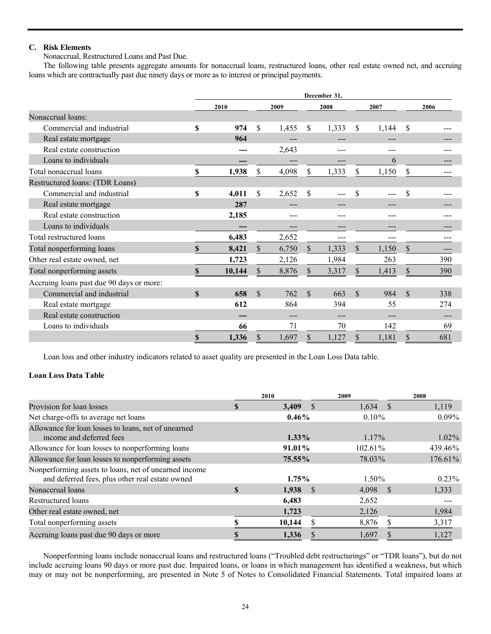## **C. Risk Elements**

Nonaccrual, Restructured Loans and Past Due.

 The following table presents aggregate amounts for nonaccrual loans, restructured loans, other real estate owned net, and accruing loans which are contractually past due ninety days or more as to interest or principal payments.

|                                          |             | December 31, |                           |       |               |       |               |       |                    |      |
|------------------------------------------|-------------|--------------|---------------------------|-------|---------------|-------|---------------|-------|--------------------|------|
|                                          |             | 2010         |                           | 2009  |               | 2008  |               | 2007  |                    | 2006 |
| Nonaccrual loans:                        |             |              |                           |       |               |       |               |       |                    |      |
| Commercial and industrial                | \$          | 974          | \$                        | 1,455 | \$            | 1,333 | \$            | 1,144 | \$                 |      |
| Real estate mortgage                     |             | 964          |                           | $---$ |               | ---   |               |       |                    |      |
| Real estate construction                 |             |              |                           | 2,643 |               | ---   |               |       |                    |      |
| Loans to individuals                     |             |              |                           |       |               | ---   |               | 6     |                    |      |
| Total nonaccrual loans                   | \$          | 1,938        | \$                        | 4,098 | \$            | 1,333 | \$            | 1,150 | \$                 | ---  |
| Restructured loans: (TDR Loans)          |             |              |                           |       |               |       |               |       |                    |      |
| Commercial and industrial                | \$          | 4,011        | \$                        | 2,652 | \$            |       | \$            |       | \$                 |      |
| Real estate mortgage                     |             | 287          |                           |       |               |       |               |       |                    |      |
| Real estate construction                 |             | 2,185        |                           |       |               | ---   |               |       |                    |      |
| Loans to individuals                     |             |              |                           |       |               | ---   |               |       |                    |      |
| Total restructured loans                 |             | 6,483        |                           | 2,652 |               | ---   |               |       |                    |      |
| Total nonperforming loans                | $\mathbf S$ | 8,421        | $\mathbb{S}$              | 6,750 | \$            | 1,333 | $\mathbb{S}$  | 1,150 | \$                 |      |
| Other real estate owned, net             |             | 1,723        |                           | 2,126 |               | 1,984 |               | 263   |                    | 390  |
| Total nonperforming assets               | S           | 10,144       | $\boldsymbol{\mathsf{S}}$ | 8,876 | \$            | 3,317 | \$            | 1,413 | \$                 | 390  |
| Accruing loans past due 90 days or more: |             |              |                           |       |               |       |               |       |                    |      |
| Commercial and industrial                | $\mathbf$   | 658          | $\mathcal{S}$             | 762   | $\mathcal{S}$ | 663   | $\mathcal{S}$ | 984   | $\mathbf{\hat{S}}$ | 338  |
| Real estate mortgage                     |             | 612          |                           | 864   |               | 394   |               | 55    |                    | 274  |
| Real estate construction                 |             |              |                           | $---$ |               | ---   |               | ---   |                    |      |
| Loans to individuals                     |             | 66           |                           | 71    |               | 70    |               | 142   |                    | 69   |
|                                          | S           | 1,336        | $\mathcal{S}$             | 1,697 | \$            | 1,127 | \$            | 1,181 | \$                 | 681  |

Loan loss and other industry indicators related to asset quality are presented in the Loan Loss Data table.

## **Loan Loss Data Table**

|                                                                                                          |   | 2010      |    | 2009       |            | 2008     |
|----------------------------------------------------------------------------------------------------------|---|-----------|----|------------|------------|----------|
| Provision for loan losses                                                                                |   | 3,409     | S  | $1,634$ \$ |            | 1,119    |
| Net charge-offs to average net loans                                                                     |   | $0.46\%$  |    | $0.10\%$   |            | $0.09\%$ |
| Allowance for loan losses to loans, net of unearned<br>income and deferred fees                          |   | $1.33\%$  |    | $1.17\%$   |            | $1.02\%$ |
| Allowance for loan losses to nonperforming loans                                                         |   | 91.01%    |    | $102.61\%$ |            | 439.46%  |
| Allowance for loan losses to nonperforming assets                                                        |   | $75.55\%$ |    | 78.03%     |            | 176.61%  |
| Nonperforming assets to loans, net of unearned income<br>and deferred fees, plus other real estate owned |   | $1.75\%$  |    | 1.50%      |            | $0.23\%$ |
| Nonaccrual loans                                                                                         | S | 1,938     | -S | 4,098      | $\sqrt{s}$ | 1,333    |
| Restructured loans                                                                                       |   | 6,483     |    | 2,652      |            |          |
| Other real estate owned, net                                                                             |   | 1,723     |    | 2,126      |            | 1,984    |
| Total nonperforming assets                                                                               |   | 10,144    |    | 8,876      | S          | 3,317    |
| Accruing loans past due 90 days or more                                                                  |   | 1,336     |    | 1,697      |            | 1,127    |

 Nonperforming loans include nonaccrual loans and restructured loans ("Troubled debt restructurings" or "TDR loans"), but do not include accruing loans 90 days or more past due. Impaired loans, or loans in which management has identified a weakness, but which may or may not be nonperforming, are presented in Note 5 of Notes to Consolidated Financial Statements. Total impaired loans at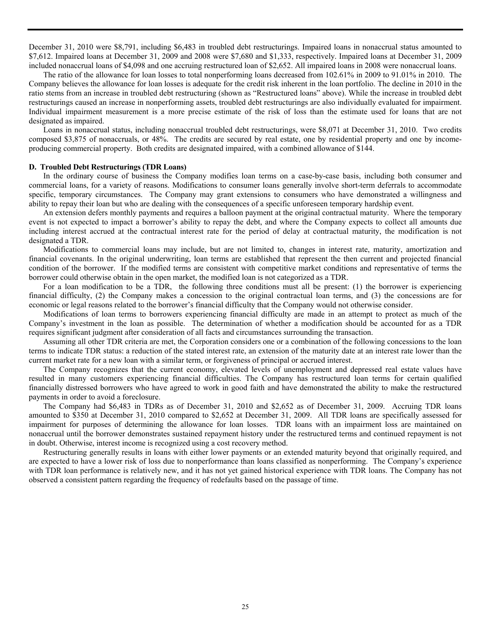December 31, 2010 were \$8,791, including \$6,483 in troubled debt restructurings. Impaired loans in nonaccrual status amounted to \$7,612. Impaired loans at December 31, 2009 and 2008 were \$7,680 and \$1,333, respectively. Impaired loans at December 31, 2009 included nonaccrual loans of \$4,098 and one accruing restructured loan of \$2,652. All impaired loans in 2008 were nonaccrual loans.

 The ratio of the allowance for loan losses to total nonperforming loans decreased from 102.61% in 2009 to 91.01% in 2010. The Company believes the allowance for loan losses is adequate for the credit risk inherent in the loan portfolio. The decline in 2010 in the ratio stems from an increase in troubled debt restructuring (shown as "Restructured loans" above). While the increase in troubled debt restructurings caused an increase in nonperforming assets, troubled debt restructurings are also individually evaluated for impairment. Individual impairment measurement is a more precise estimate of the risk of loss than the estimate used for loans that are not designated as impaired.

 Loans in nonaccrual status, including nonaccrual troubled debt restructurings, were \$8,071 at December 31, 2010. Two credits composed \$3,875 of nonaccruals, or 48%. The credits are secured by real estate, one by residential property and one by incomeproducing commercial property. Both credits are designated impaired, with a combined allowance of \$144.

#### **D. Troubled Debt Restructurings (TDR Loans)**

 In the ordinary course of business the Company modifies loan terms on a case-by-case basis, including both consumer and commercial loans, for a variety of reasons. Modifications to consumer loans generally involve short-term deferrals to accommodate specific, temporary circumstances. The Company may grant extensions to consumers who have demonstrated a willingness and ability to repay their loan but who are dealing with the consequences of a specific unforeseen temporary hardship event.

 An extension defers monthly payments and requires a balloon payment at the original contractual maturity. Where the temporary event is not expected to impact a borrower's ability to repay the debt, and where the Company expects to collect all amounts due including interest accrued at the contractual interest rate for the period of delay at contractual maturity, the modification is not designated a TDR.

 Modifications to commercial loans may include, but are not limited to, changes in interest rate, maturity, amortization and financial covenants. In the original underwriting, loan terms are established that represent the then current and projected financial condition of the borrower. If the modified terms are consistent with competitive market conditions and representative of terms the borrower could otherwise obtain in the open market, the modified loan is not categorized as a TDR.

 For a loan modification to be a TDR, the following three conditions must all be present: (1) the borrower is experiencing financial difficulty, (2) the Company makes a concession to the original contractual loan terms, and (3) the concessions are for economic or legal reasons related to the borrower's financial difficulty that the Company would not otherwise consider.

 Modifications of loan terms to borrowers experiencing financial difficulty are made in an attempt to protect as much of the Company's investment in the loan as possible. The determination of whether a modification should be accounted for as a TDR requires significant judgment after consideration of all facts and circumstances surrounding the transaction.

 Assuming all other TDR criteria are met, the Corporation considers one or a combination of the following concessions to the loan terms to indicate TDR status: a reduction of the stated interest rate, an extension of the maturity date at an interest rate lower than the current market rate for a new loan with a similar term, or forgiveness of principal or accrued interest.

 The Company recognizes that the current economy, elevated levels of unemployment and depressed real estate values have resulted in many customers experiencing financial difficulties. The Company has restructured loan terms for certain qualified financially distressed borrowers who have agreed to work in good faith and have demonstrated the ability to make the restructured payments in order to avoid a foreclosure.

 The Company had \$6,483 in TDRs as of December 31, 2010 and \$2,652 as of December 31, 2009. Accruing TDR loans amounted to \$350 at December 31, 2010 compared to \$2,652 at December 31, 2009. All TDR loans are specifically assessed for impairment for purposes of determining the allowance for loan losses. TDR loans with an impairment loss are maintained on nonaccrual until the borrower demonstrates sustained repayment history under the restructured terms and continued repayment is not in doubt. Otherwise, interest income is recognized using a cost recovery method.

 Restructuring generally results in loans with either lower payments or an extended maturity beyond that originally required, and are expected to have a lower risk of loss due to nonperformance than loans classified as nonperforming. The Company's experience with TDR loan performance is relatively new, and it has not yet gained historical experience with TDR loans. The Company has not observed a consistent pattern regarding the frequency of redefaults based on the passage of time.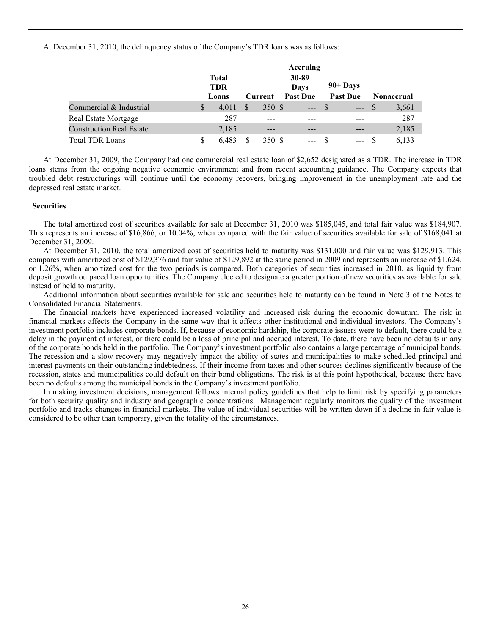At December 31, 2010, the delinquency status of the Company's TDR loans was as follows:

|                                 |                                     |         |                                  | Accruing |                                |       |                   |
|---------------------------------|-------------------------------------|---------|----------------------------------|----------|--------------------------------|-------|-------------------|
|                                 | <b>Total</b><br><b>TDR</b><br>Loans | Current | 30-89<br>Davs<br><b>Past Due</b> |          | $90 +$ Days<br><b>Past Due</b> |       | <b>Nonaccrual</b> |
| Commercial & Industrial         | \$<br>4.011                         | 350 \$  |                                  | $---$    |                                | $---$ | 3,661             |
| Real Estate Mortgage            | 287                                 |         |                                  |          |                                |       | 287               |
| <b>Construction Real Estate</b> | 2,185                               | ---     |                                  | ---      |                                |       | 2,185             |
| <b>Total TDR Loans</b>          | 6,483                               | 350 S   |                                  |          |                                |       | 6,133             |

 At December 31, 2009, the Company had one commercial real estate loan of \$2,652 designated as a TDR. The increase in TDR loans stems from the ongoing negative economic environment and from recent accounting guidance. The Company expects that troubled debt restructurings will continue until the economy recovers, bringing improvement in the unemployment rate and the depressed real estate market.

#### **Securities**

 The total amortized cost of securities available for sale at December 31, 2010 was \$185,045, and total fair value was \$184,907. This represents an increase of \$16,866, or 10.04%, when compared with the fair value of securities available for sale of \$168,041 at December 31, 2009.

 At December 31, 2010, the total amortized cost of securities held to maturity was \$131,000 and fair value was \$129,913. This compares with amortized cost of \$129,376 and fair value of \$129,892 at the same period in 2009 and represents an increase of \$1,624, or 1.26%, when amortized cost for the two periods is compared. Both categories of securities increased in 2010, as liquidity from deposit growth outpaced loan opportunities. The Company elected to designate a greater portion of new securities as available for sale instead of held to maturity.

 Additional information about securities available for sale and securities held to maturity can be found in Note 3 of the Notes to Consolidated Financial Statements.

 The financial markets have experienced increased volatility and increased risk during the economic downturn. The risk in financial markets affects the Company in the same way that it affects other institutional and individual investors. The Company's investment portfolio includes corporate bonds. If, because of economic hardship, the corporate issuers were to default, there could be a delay in the payment of interest, or there could be a loss of principal and accrued interest. To date, there have been no defaults in any of the corporate bonds held in the portfolio. The Company's investment portfolio also contains a large percentage of municipal bonds. The recession and a slow recovery may negatively impact the ability of states and municipalities to make scheduled principal and interest payments on their outstanding indebtedness. If their income from taxes and other sources declines significantly because of the recession, states and municipalities could default on their bond obligations. The risk is at this point hypothetical, because there have been no defaults among the municipal bonds in the Company's investment portfolio.

In making investment decisions, management follows internal policy guidelines that help to limit risk by specifying parameters for both security quality and industry and geographic concentrations. Management regularly monitors the quality of the investment portfolio and tracks changes in financial markets. The value of individual securities will be written down if a decline in fair value is considered to be other than temporary, given the totality of the circumstances.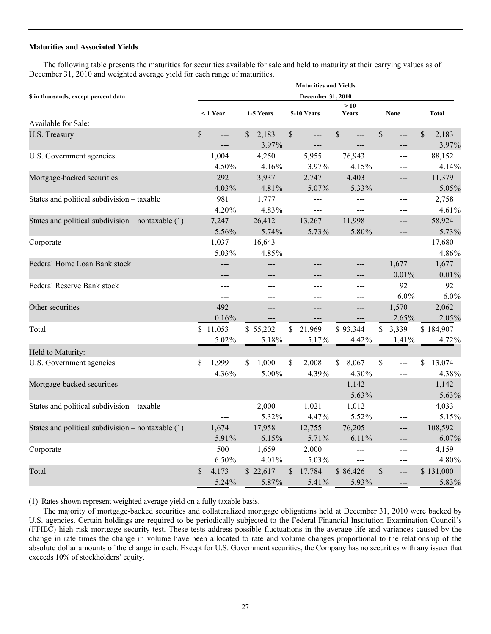#### **Maturities and Associated Yields**

 The following table presents the maturities for securities available for sale and held to maturity at their carrying values as of December 31, 2010 and weighted average yield for each range of maturities.

|                                                     |             |            |                |               | <b>Maturities and Yields</b> |                |              |            |                |
|-----------------------------------------------------|-------------|------------|----------------|---------------|------------------------------|----------------|--------------|------------|----------------|
| \$ in thousands, except percent data                |             |            |                |               | <b>December 31, 2010</b>     |                |              |            |                |
|                                                     |             |            |                |               |                              | >10            |              |            | Total          |
| Available for Sale:                                 |             | $< 1$ Year | 1-5 Years      |               | 5-10 Years                   | Years          |              | None       |                |
|                                                     | $\mathbf S$ |            | \$             | $\mathbb{S}$  |                              | \$             | $\mathbb{S}$ |            | \$             |
| U.S. Treasury                                       |             | ---        | 2,183<br>3.97% |               | $---$                        | $---$<br>---   |              | ---<br>--- | 2,183<br>3.97% |
| U.S. Government agencies                            |             | 1,004      | 4,250          |               | 5,955                        | 76,943         |              | ---        | 88,152         |
|                                                     |             | 4.50%      | 4.16%          |               | 3.97%                        | 4.15%          |              | ---        | 4.14%          |
| Mortgage-backed securities                          |             | 292        | 3,937          |               | 2,747                        | 4,403          |              | ---        | 11,379         |
|                                                     |             | 4.03%      | 4.81%          |               | 5.07%                        | 5.33%          |              |            | 5.05%          |
| States and political subdivision - taxable          |             | 981        | 1,777          |               | ---                          | ---            |              | ---        | 2,758          |
|                                                     |             | 4.20%      | 4.83%          |               | ---                          | $\overline{a}$ |              | ---        | 4.61%          |
| States and political subdivision – nontaxable $(1)$ |             | 7,247      | 26,412         |               | 13,267                       | 11,998         |              | ---        | 58,924         |
|                                                     |             | 5.56%      | 5.74%          |               | 5.73%                        | 5.80%          |              | $---$      | 5.73%          |
| Corporate                                           |             | 1,037      | 16,643         |               |                              | ---            |              | ---        | 17,680         |
|                                                     |             | 5.03%      | 4.85%          |               | $---$                        | $--$           |              | $---$      | 4.86%          |
| Federal Home Loan Bank stock                        |             |            | ---            |               |                              | ---            |              | 1,677      | 1,677          |
|                                                     |             |            |                |               |                              |                |              | 0.01%      | 0.01%          |
| Federal Reserve Bank stock                          |             | ---        | ---            |               | ---                          | ---            |              | 92         | 92             |
|                                                     |             | ---        | ---            |               | ---                          | ---            |              | $6.0\%$    | $6.0\%$        |
| Other securities                                    |             | 492        | $---$          |               | ---                          | ---            |              | 1,570      | 2,062          |
|                                                     |             | 0.16%      | ---            |               | ---                          | ---            |              | 2.65%      | 2.05%          |
| Total                                               |             | \$11,053   | \$55,202       | $\mathcal{S}$ | 21,969                       | \$93,344       |              | \$3,339    | \$184,907      |
|                                                     |             | 5.02%      | 5.18%          |               | 5.17%                        | 4.42%          |              | 1.41%      | 4.72%          |
| Held to Maturity:                                   |             |            |                |               |                              |                |              |            |                |
| U.S. Government agencies                            | \$          | 1,999      | \$<br>1,000    | \$            | 2,008                        | \$<br>8,067    | \$           | ---        | \$<br>13,074   |
|                                                     |             | 4.36%      | 5.00%          |               | 4.39%                        | 4.30%          |              | ---        | 4.38%          |
| Mortgage-backed securities                          |             |            | $---$          |               | $---$                        | 1,142          |              | ---        | 1,142          |
|                                                     |             |            |                |               | $---$                        | 5.63%          |              | ---        | 5.63%          |
| States and political subdivision - taxable          |             | ---        | 2,000          |               | 1,021                        | 1,012          |              | ---        | 4,033          |
|                                                     |             | ---        | 5.32%          |               | 4.47%                        | 5.52%          |              | ---        | 5.15%          |
| States and political subdivision – nontaxable (1)   |             | 1,674      | 17,958         |               | 12,755                       | 76,205         |              | $---$      | 108,592        |
|                                                     |             | 5.91%      | 6.15%          |               | 5.71%                        | 6.11%          |              | $---$      | 6.07%          |
| Corporate                                           |             | 500        | 1,659          |               | 2,000                        | ---            |              | ---        | 4,159          |
|                                                     |             | 6.50%      | 4.01%          |               | 5.03%                        | ---            |              | $---$      | 4.80%          |
| Total                                               | \$          | 4,173      | \$22,617       | $\mathbb{S}$  | 17,784                       | \$86,426       | \$           | $---$      | \$131,000      |
|                                                     |             | 5.24%      | 5.87%          |               | 5.41%                        | 5.93%          |              | $---$      | 5.83%          |

(1) Rates shown represent weighted average yield on a fully taxable basis.

 The majority of mortgage-backed securities and collateralized mortgage obligations held at December 31, 2010 were backed by U.S. agencies. Certain holdings are required to be periodically subjected to the Federal Financial Institution Examination Council's (FFIEC) high risk mortgage security test. These tests address possible fluctuations in the average life and variances caused by the change in rate times the change in volume have been allocated to rate and volume changes proportional to the relationship of the absolute dollar amounts of the change in each. Except for U.S. Government securities, the Company has no securities with any issuer that exceeds 10% of stockholders' equity.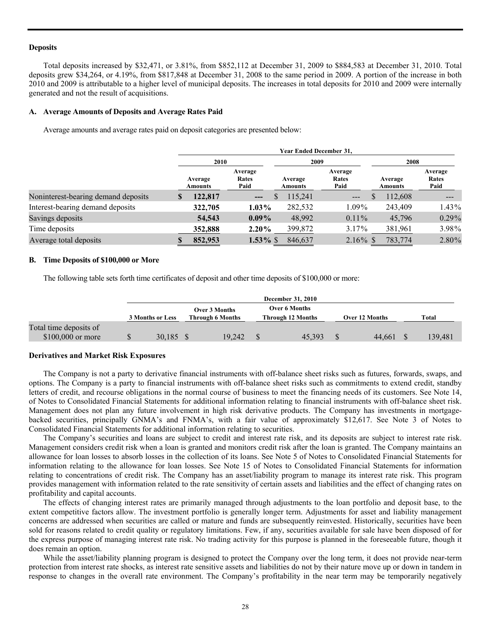## **Deposits**

 Total deposits increased by \$32,471, or 3.81%, from \$852,112 at December 31, 2009 to \$884,583 at December 31, 2010. Total deposits grew \$34,264, or 4.19%, from \$817,848 at December 31, 2008 to the same period in 2009. A portion of the increase in both 2010 and 2009 is attributable to a higher level of municipal deposits. The increases in total deposits for 2010 and 2009 were internally generated and not the result of acquisitions.

#### **A. Average Amounts of Deposits and Average Rates Paid**

Average amounts and average rates paid on deposit categories are presented below:

|                                     | <b>Year Ended December 31.</b> |                    |                          |                    |                          |                           |                          |  |  |  |  |  |  |  |
|-------------------------------------|--------------------------------|--------------------|--------------------------|--------------------|--------------------------|---------------------------|--------------------------|--|--|--|--|--|--|--|
|                                     |                                | 2010               |                          | 2009               |                          | 2008                      |                          |  |  |  |  |  |  |  |
| Noninterest-bearing demand deposits |                                | Average<br>Amounts | Average<br>Rates<br>Paid | Average<br>Amounts | Average<br>Rates<br>Paid | Average<br><b>Amounts</b> | Average<br>Rates<br>Paid |  |  |  |  |  |  |  |
|                                     | S.                             | 122,817            | ---                      | 115,241            | $---$                    | 112,608                   | ---                      |  |  |  |  |  |  |  |
| Interest-bearing demand deposits    |                                | 322,705            | $1.03\%$                 | 282,532            | $1.09\%$                 | 243,409                   | 1.43%                    |  |  |  |  |  |  |  |
| Savings deposits                    |                                | 54,543             | $0.09\%$                 | 48,992             | $0.11\%$                 | 45,796                    | 0.29%                    |  |  |  |  |  |  |  |
| Time deposits                       |                                | 352,888            | $2.20\%$                 | 399,872            | 3.17%                    | 381,961                   | 3.98%                    |  |  |  |  |  |  |  |
| Average total deposits              |                                | 852,953            | $1.53\%$ \$              | 846,637            | $2.16\%$ \$              | 783,774                   | 2.80%                    |  |  |  |  |  |  |  |

#### **B. Time Deposits of \$100,000 or More**

The following table sets forth time certificates of deposit and other time deposits of \$100,000 or more:

|                                              | <b>December 31, 2010</b> |  |                                                 |  |                                           |                |        |  |         |
|----------------------------------------------|--------------------------|--|-------------------------------------------------|--|-------------------------------------------|----------------|--------|--|---------|
|                                              | 3 Months or Less         |  | <b>Over 3 Months</b><br><b>Through 6 Months</b> |  | Over 6 Months<br><b>Through 12 Months</b> | Over 12 Months |        |  | Total   |
| Total time deposits of<br>$$100,000$ or more | 30,185                   |  | 19.242                                          |  | 45.393                                    |                | 44.661 |  | 139,481 |

#### **Derivatives and Market Risk Exposures**

 The Company is not a party to derivative financial instruments with off-balance sheet risks such as futures, forwards, swaps, and options. The Company is a party to financial instruments with off-balance sheet risks such as commitments to extend credit, standby letters of credit, and recourse obligations in the normal course of business to meet the financing needs of its customers. See Note 14, of Notes to Consolidated Financial Statements for additional information relating to financial instruments with off-balance sheet risk. Management does not plan any future involvement in high risk derivative products. The Company has investments in mortgagebacked securities, principally GNMA's and FNMA's, with a fair value of approximately \$12,617. See Note 3 of Notes to Consolidated Financial Statements for additional information relating to securities.

 The Company's securities and loans are subject to credit and interest rate risk, and its deposits are subject to interest rate risk. Management considers credit risk when a loan is granted and monitors credit risk after the loan is granted. The Company maintains an allowance for loan losses to absorb losses in the collection of its loans. See Note 5 of Notes to Consolidated Financial Statements for information relating to the allowance for loan losses. See Note 15 of Notes to Consolidated Financial Statements for information relating to concentrations of credit risk. The Company has an asset/liability program to manage its interest rate risk. This program provides management with information related to the rate sensitivity of certain assets and liabilities and the effect of changing rates on profitability and capital accounts.

 The effects of changing interest rates are primarily managed through adjustments to the loan portfolio and deposit base, to the extent competitive factors allow. The investment portfolio is generally longer term. Adjustments for asset and liability management concerns are addressed when securities are called or mature and funds are subsequently reinvested. Historically, securities have been sold for reasons related to credit quality or regulatory limitations. Few, if any, securities available for sale have been disposed of for the express purpose of managing interest rate risk. No trading activity for this purpose is planned in the foreseeable future, though it does remain an option.

While the asset/liability planning program is designed to protect the Company over the long term, it does not provide near-term protection from interest rate shocks, as interest rate sensitive assets and liabilities do not by their nature move up or down in tandem in response to changes in the overall rate environment. The Company's profitability in the near term may be temporarily negatively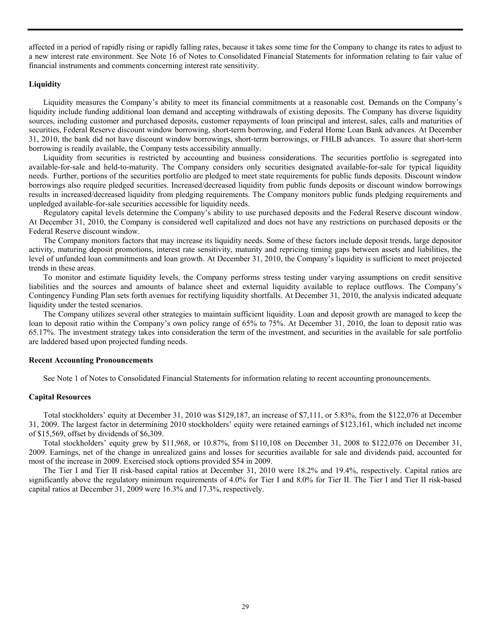affected in a period of rapidly rising or rapidly falling rates, because it takes some time for the Company to change its rates to adjust to a new interest rate environment. See Note 16 of Notes to Consolidated Financial Statements for information relating to fair value of financial instruments and comments concerning interest rate sensitivity.

#### **Liquidity**

 Liquidity measures the Company's ability to meet its financial commitments at a reasonable cost. Demands on the Company's liquidity include funding additional loan demand and accepting withdrawals of existing deposits. The Company has diverse liquidity sources, including customer and purchased deposits, customer repayments of loan principal and interest, sales, calls and maturities of securities, Federal Reserve discount window borrowing, short-term borrowing, and Federal Home Loan Bank advances. At December 31, 2010, the bank did not have discount window borrowings, short-term borrowings, or FHLB advances. To assure that short-term borrowing is readily available, the Company tests accessibility annually.

 Liquidity from securities is restricted by accounting and business considerations. The securities portfolio is segregated into available-for-sale and held-to-maturity. The Company considers only securities designated available-for-sale for typical liquidity needs. Further, portions of the securities portfolio are pledged to meet state requirements for public funds deposits. Discount window borrowings also require pledged securities. Increased/decreased liquidity from public funds deposits or discount window borrowings results in increased/decreased liquidity from pledging requirements. The Company monitors public funds pledging requirements and unpledged available-for-sale securities accessible for liquidity needs.

 Regulatory capital levels determine the Company's ability to use purchased deposits and the Federal Reserve discount window. At December 31, 2010, the Company is considered well capitalized and does not have any restrictions on purchased deposits or the Federal Reserve discount window.

 The Company monitors factors that may increase its liquidity needs. Some of these factors include deposit trends, large depositor activity, maturing deposit promotions, interest rate sensitivity, maturity and repricing timing gaps between assets and liabilities, the level of unfunded loan commitments and loan growth. At December 31, 2010, the Company's liquidity is sufficient to meet projected trends in these areas.

 To monitor and estimate liquidity levels, the Company performs stress testing under varying assumptions on credit sensitive liabilities and the sources and amounts of balance sheet and external liquidity available to replace outflows. The Company's Contingency Funding Plan sets forth avenues for rectifying liquidity shortfalls. At December 31, 2010, the analysis indicated adequate liquidity under the tested scenarios.

 The Company utilizes several other strategies to maintain sufficient liquidity. Loan and deposit growth are managed to keep the loan to deposit ratio within the Company's own policy range of 65% to 75%. At December 31, 2010, the loan to deposit ratio was 65.17%. The investment strategy takes into consideration the term of the investment, and securities in the available for sale portfolio are laddered based upon projected funding needs.

#### **Recent Accounting Pronouncements**

See Note 1 of Notes to Consolidated Financial Statements for information relating to recent accounting pronouncements.

#### **Capital Resources**

 Total stockholders' equity at December 31, 2010 was \$129,187, an increase of \$7,111, or 5.83%, from the \$122,076 at December 31, 2009. The largest factor in determining 2010 stockholders' equity were retained earnings of \$123,161, which included net income of \$15,569, offset by dividends of \$6,309.

 Total stockholders' equity grew by \$11,968, or 10.87%, from \$110,108 on December 31, 2008 to \$122,076 on December 31, 2009. Earnings, net of the change in unrealized gains and losses for securities available for sale and dividends paid, accounted for most of the increase in 2009. Exercised stock options provided \$54 in 2009.

 The Tier I and Tier II risk-based capital ratios at December 31, 2010 were 18.2% and 19.4%, respectively. Capital ratios are significantly above the regulatory minimum requirements of 4.0% for Tier I and 8.0% for Tier II. The Tier I and Tier II risk-based capital ratios at December 31, 2009 were 16.3% and 17.3%, respectively.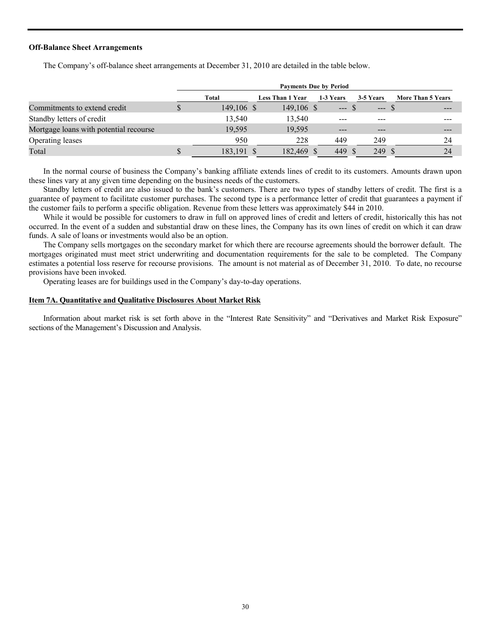#### **Off-Balance Sheet Arrangements**

|                                        | <b>Payments Due by Period</b> |              |  |                         |  |           |  |           |  |                   |  |
|----------------------------------------|-------------------------------|--------------|--|-------------------------|--|-----------|--|-----------|--|-------------------|--|
|                                        |                               | Total        |  | <b>Less Than 1 Year</b> |  | 1-3 Years |  | 3-5 Years |  | More Than 5 Years |  |
| Commitments to extend credit           |                               | $149,106$ \$ |  | 149,106 \$              |  | $---$     |  | $--$ S    |  | $- - -$           |  |
| Standby letters of credit              |                               | 13,540       |  | 13,540                  |  |           |  |           |  |                   |  |
| Mortgage loans with potential recourse |                               | 19,595       |  | 19,595                  |  | ---       |  |           |  | ---               |  |
| Operating leases                       |                               | 950          |  | 228                     |  | 449       |  | 249       |  | 24                |  |
| Total                                  |                               | 183,191      |  | 182.469 \$              |  | 449 \$    |  | 249 \$    |  | 24                |  |

The Company's off-balance sheet arrangements at December 31, 2010 are detailed in the table below.

 In the normal course of business the Company's banking affiliate extends lines of credit to its customers. Amounts drawn upon these lines vary at any given time depending on the business needs of the customers.

 Standby letters of credit are also issued to the bank's customers. There are two types of standby letters of credit. The first is a guarantee of payment to facilitate customer purchases. The second type is a performance letter of credit that guarantees a payment if the customer fails to perform a specific obligation. Revenue from these letters was approximately \$44 in 2010.

 While it would be possible for customers to draw in full on approved lines of credit and letters of credit, historically this has not occurred. In the event of a sudden and substantial draw on these lines, the Company has its own lines of credit on which it can draw funds. A sale of loans or investments would also be an option.

 The Company sells mortgages on the secondary market for which there are recourse agreements should the borrower default. The mortgages originated must meet strict underwriting and documentation requirements for the sale to be completed. The Company estimates a potential loss reserve for recourse provisions. The amount is not material as of December 31, 2010. To date, no recourse provisions have been invoked.

Operating leases are for buildings used in the Company's day-to-day operations.

#### **Item 7A. Quantitative and Qualitative Disclosures About Market Risk**

 Information about market risk is set forth above in the "Interest Rate Sensitivity" and "Derivatives and Market Risk Exposure" sections of the Management's Discussion and Analysis.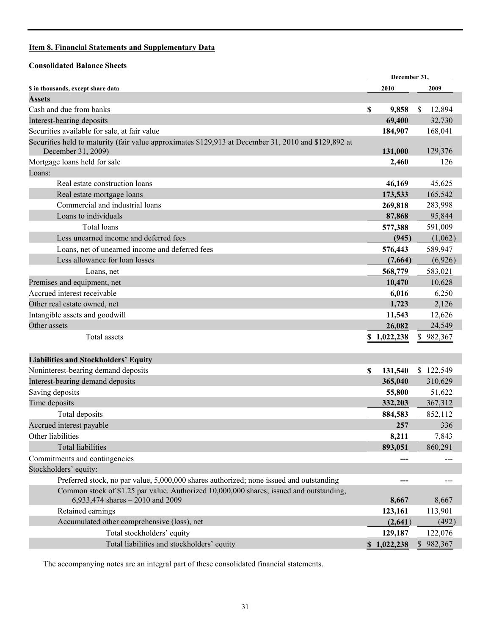## **Item 8. Financial Statements and Supplementary Data**

## **Consolidated Balance Sheets**

| 2010<br>\$ in thousands, except share data                                                           | 2009      |
|------------------------------------------------------------------------------------------------------|-----------|
| <b>Assets</b>                                                                                        |           |
| Cash and due from banks<br>$\boldsymbol{\mathsf{S}}$<br>\$<br>9,858                                  | 12,894    |
| 69,400<br>Interest-bearing deposits                                                                  | 32,730    |
| Securities available for sale, at fair value<br>184,907                                              | 168,041   |
| Securities held to maturity (fair value approximates \$129,913 at December 31, 2010 and \$129,892 at |           |
| December 31, 2009)<br>131,000                                                                        | 129,376   |
| Mortgage loans held for sale<br>2,460                                                                | 126       |
| Loans:                                                                                               |           |
| Real estate construction loans<br>46,169                                                             | 45,625    |
| Real estate mortgage loans<br>173,533                                                                | 165,542   |
| Commercial and industrial loans<br>269,818                                                           | 283,998   |
| Loans to individuals<br>87,868                                                                       | 95,844    |
| Total loans<br>577,388                                                                               | 591,009   |
| Less unearned income and deferred fees<br>(945)                                                      | (1,062)   |
| Loans, net of unearned income and deferred fees<br>576,443                                           | 589,947   |
| Less allowance for loan losses<br>(7,664)                                                            | (6,926)   |
| 568,779<br>Loans, net                                                                                | 583,021   |
| Premises and equipment, net<br>10,470                                                                | 10,628    |
| Accrued interest receivable<br>6,016                                                                 | 6,250     |
| Other real estate owned, net<br>1,723                                                                | 2,126     |
| Intangible assets and goodwill<br>11,543                                                             | 12,626    |
| Other assets<br>26,082                                                                               | 24,549    |
| Total assets<br>\$1,022,238                                                                          | \$982,367 |
|                                                                                                      |           |
| <b>Liabilities and Stockholders' Equity</b>                                                          |           |
| Noninterest-bearing demand deposits<br>S<br>131,540                                                  | \$122,549 |
| Interest-bearing demand deposits<br>365,040                                                          | 310,629   |
| Saving deposits<br>55,800                                                                            | 51,622    |
| Time deposits<br>332,203                                                                             | 367,312   |
| Total deposits<br>884,583                                                                            | 852,112   |
| Accrued interest payable<br>257                                                                      | 336       |
| Other liabilities<br>8,211                                                                           | 7,843     |
| <b>Total liabilities</b><br>893,051                                                                  | 860,291   |
| Commitments and contingencies                                                                        |           |
| Stockholders' equity:                                                                                |           |
| Preferred stock, no par value, 5,000,000 shares authorized; none issued and outstanding              |           |
| Common stock of \$1.25 par value. Authorized 10,000,000 shares; issued and outstanding,              |           |
| 6,933,474 shares - 2010 and 2009<br>8,667                                                            | 8,667     |
| Retained earnings<br>123,161                                                                         | 113,901   |
| Accumulated other comprehensive (loss), net<br>(2, 641)                                              | (492)     |
| Total stockholders' equity<br>129,187                                                                | 122,076   |
| Total liabilities and stockholders' equity<br>\$1,022,238                                            | \$982,367 |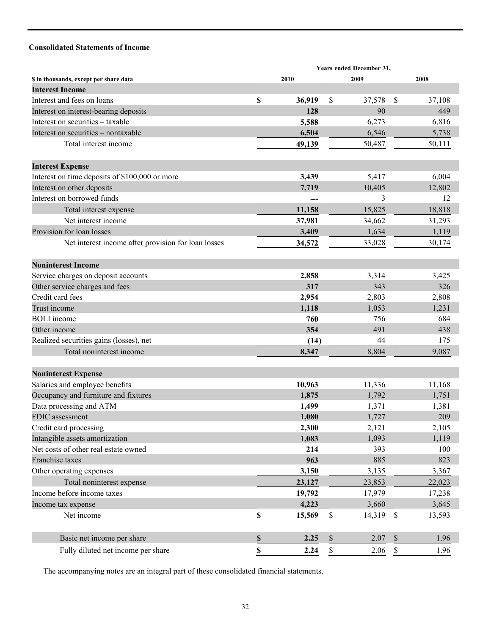## **Consolidated Statements of Income**

|                                                     | Years ended December 31, |        |      |        |             |        |  |  |  |
|-----------------------------------------------------|--------------------------|--------|------|--------|-------------|--------|--|--|--|
| \$ in thousands, except per share data              |                          | 2010   |      | 2009   |             | 2008   |  |  |  |
| <b>Interest Income</b>                              |                          |        |      |        |             |        |  |  |  |
| Interest and fees on loans                          | \$                       | 36,919 | \$   | 37,578 | \$          | 37,108 |  |  |  |
| Interest on interest-bearing deposits               |                          | 128    |      | 90     |             | 449    |  |  |  |
| Interest on securities - taxable                    |                          | 5,588  |      | 6,273  |             | 6,816  |  |  |  |
| Interest on securities - nontaxable                 |                          | 6,504  |      | 6,546  |             | 5,738  |  |  |  |
| Total interest income                               |                          | 49,139 |      | 50,487 |             | 50,111 |  |  |  |
| <b>Interest Expense</b>                             |                          |        |      |        |             |        |  |  |  |
| Interest on time deposits of \$100,000 or more      |                          | 3,439  |      | 5,417  |             | 6,004  |  |  |  |
| Interest on other deposits                          |                          | 7,719  |      | 10,405 |             | 12,802 |  |  |  |
| Interest on borrowed funds                          |                          |        |      | 3      |             | 12     |  |  |  |
| Total interest expense                              |                          | 11,158 |      | 15,825 |             | 18,818 |  |  |  |
| Net interest income                                 |                          | 37,981 |      | 34,662 |             | 31,293 |  |  |  |
| Provision for loan losses                           |                          | 3,409  |      | 1,634  |             | 1,119  |  |  |  |
| Net interest income after provision for loan losses |                          | 34,572 |      | 33,028 |             | 30,174 |  |  |  |
| <b>Noninterest Income</b>                           |                          |        |      |        |             |        |  |  |  |
| Service charges on deposit accounts                 |                          | 2,858  |      | 3,314  |             | 3,425  |  |  |  |
| Other service charges and fees                      |                          | 317    |      | 343    |             | 326    |  |  |  |
| Credit card fees                                    |                          | 2,954  |      | 2,803  |             | 2,808  |  |  |  |
| Trust income                                        |                          | 1,118  |      | 1,053  |             | 1,231  |  |  |  |
| <b>BOLI</b> income                                  |                          | 760    |      | 756    |             | 684    |  |  |  |
| Other income                                        |                          | 354    |      | 491    |             | 438    |  |  |  |
| Realized securities gains (losses), net             |                          | (14)   |      | 44     |             | 175    |  |  |  |
| Total noninterest income                            |                          | 8,347  |      | 8,804  |             | 9,087  |  |  |  |
|                                                     |                          |        |      |        |             |        |  |  |  |
| <b>Noninterest Expense</b>                          |                          |        |      |        |             |        |  |  |  |
| Salaries and employee benefits                      |                          | 10,963 |      | 11,336 |             | 11,168 |  |  |  |
| Occupancy and furniture and fixtures                |                          | 1,875  |      | 1,792  |             | 1,751  |  |  |  |
| Data processing and ATM                             |                          | 1,499  |      | 1,371  |             | 1,381  |  |  |  |
| FDIC assessment                                     |                          | 1,080  |      | 1,727  |             | 209    |  |  |  |
| Credit card processing                              |                          | 2,300  |      | 2,121  |             | 2,105  |  |  |  |
| Intangible assets amortization                      |                          | 1,083  |      | 1,093  |             | 1,119  |  |  |  |
| Net costs of other real estate owned                |                          | 214    |      | 393    |             | 100    |  |  |  |
| Franchise taxes                                     |                          | 963    |      | 885    |             | 823    |  |  |  |
| Other operating expenses                            |                          | 3,150  |      | 3,135  |             | 3,367  |  |  |  |
| Total noninterest expense                           |                          | 23,127 |      | 23,853 |             | 22,023 |  |  |  |
| Income before income taxes                          |                          | 19,792 |      | 17,979 |             | 17,238 |  |  |  |
| Income tax expense                                  |                          | 4,223  |      | 3,660  |             | 3,645  |  |  |  |
| Net income                                          | $\mathbb S$              | 15,569 | \$   | 14,319 | $\mathbb S$ | 13,593 |  |  |  |
| Basic net income per share                          | $\mathbb S$              | 2.25   | $\$$ | 2.07   | $\mathbb S$ | 1.96   |  |  |  |
| Fully diluted net income per share                  | \$                       | 2.24   | \$   | 2.06   | $\$$        | 1.96   |  |  |  |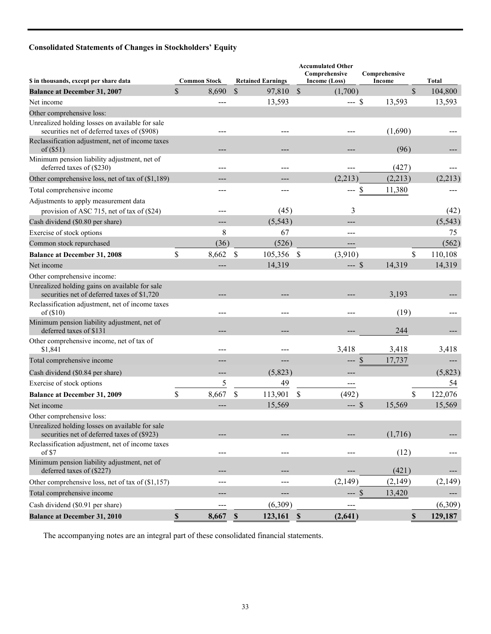## **Consolidated Statements of Changes in Stockholders' Equity**

| \$ in thousands, except per share data                                                         | <b>Common Stock</b>   |                    | <b>Retained Earnings</b> |               | <b>Accumulated Other</b><br>Comprehensive<br>Income (Loss) | Comprehensive<br>Income |              | <b>Total</b> |
|------------------------------------------------------------------------------------------------|-----------------------|--------------------|--------------------------|---------------|------------------------------------------------------------|-------------------------|--------------|--------------|
| <b>Balance at December 31, 2007</b>                                                            | $\mathbb{S}$<br>8,690 | $\mathcal{S}$      | 97,810                   | $\mathcal{S}$ | (1,700)                                                    |                         | $\mathbb{S}$ | 104,800      |
| Net income                                                                                     | $---$                 |                    | 13,593                   |               | $--$ \$                                                    | 13,593                  |              | 13,593       |
| Other comprehensive loss:                                                                      |                       |                    |                          |               |                                                            |                         |              |              |
| Unrealized holding losses on available for sale<br>securities net of deferred taxes of (\$908) | $---$                 |                    | ---                      |               |                                                            | (1,690)                 |              |              |
| Reclassification adjustment, net of income taxes<br>of $(\$51)$                                |                       |                    | ---                      |               |                                                            | (96)                    |              |              |
| Minimum pension liability adjustment, net of<br>deferred taxes of (\$230)                      | ---                   |                    | ---                      |               |                                                            | (427)                   |              |              |
| Other comprehensive loss, net of tax of (\$1,189)                                              |                       |                    | ---                      |               | (2,213)                                                    | (2,213)                 |              | (2,213)      |
| Total comprehensive income                                                                     |                       |                    | ---                      |               | ---                                                        | 11,380<br>S             |              |              |
| Adjustments to apply measurement data<br>provision of ASC 715, net of tax of (\$24)            |                       |                    | (45)                     |               | 3                                                          |                         |              | (42)         |
| Cash dividend (\$0.80 per share)                                                               |                       |                    | (5, 543)                 |               |                                                            |                         |              | (5, 543)     |
| Exercise of stock options                                                                      |                       | 8                  | 67                       |               |                                                            |                         |              | 75           |
| Common stock repurchased                                                                       | (36)                  |                    | (526)                    |               | $---$                                                      |                         |              | (562)        |
| <b>Balance at December 31, 2008</b>                                                            | \$<br>8,662           | $\mathcal{S}$      | 105,356 \$               |               | (3,910)                                                    |                         | \$           | 110,108      |
| Net income                                                                                     |                       |                    | 14,319                   |               | $--$ \$                                                    | 14,319                  |              | 14,319       |
| Other comprehensive income:                                                                    |                       |                    |                          |               |                                                            |                         |              |              |
| Unrealized holding gains on available for sale<br>securities net of deferred taxes of \$1,720  |                       |                    |                          |               |                                                            | 3,193                   |              |              |
| Reclassification adjustment, net of income taxes<br>of $(\$10)$                                | ---                   |                    | ---                      |               | $- - -$                                                    | (19)                    |              |              |
| Minimum pension liability adjustment, net of<br>deferred taxes of \$131                        |                       |                    |                          |               |                                                            | 244                     |              |              |
| Other comprehensive income, net of tax of<br>\$1,841                                           |                       |                    |                          |               | 3,418                                                      | 3,418                   |              | 3,418        |
| Total comprehensive income                                                                     |                       |                    | ---                      |               | $---$                                                      | <sup>S</sup><br>17,737  |              |              |
| Cash dividend (\$0.84 per share)                                                               |                       |                    | (5,823)                  |               |                                                            |                         |              | (5,823)      |
| Exercise of stock options                                                                      |                       | 5                  | 49                       |               | ---                                                        |                         |              | 54           |
| <b>Balance at December 31, 2009</b>                                                            | \$<br>8,667           | \$                 | 113,901                  | S             | (492)                                                      |                         | \$           | 122,076      |
| Net income                                                                                     |                       |                    | 15,569                   |               | $--$ \$                                                    | 15,569                  |              | 15,569       |
| Other comprehensive loss:                                                                      |                       |                    |                          |               |                                                            |                         |              |              |
| Unrealized holding losses on available for sale<br>securities net of deferred taxes of (\$923) |                       |                    |                          |               |                                                            | (1,716)                 |              |              |
| Reclassification adjustment, net of income taxes<br>of \$7                                     | ---                   |                    | ---                      |               |                                                            | (12)                    |              |              |
| Minimum pension liability adjustment, net of<br>deferred taxes of (\$227)                      |                       |                    |                          |               |                                                            | (421)                   |              |              |
| Other comprehensive loss, net of tax of (\$1,157)                                              | $---$                 |                    | $\qquad \qquad \qquad -$ |               | (2,149)                                                    | (2,149)                 |              | (2,149)      |
| Total comprehensive income                                                                     | ---                   |                    | ---                      |               | $---$                                                      | <sup>S</sup><br>13,420  |              |              |
| Cash dividend (\$0.91 per share)                                                               |                       | $---$              | (6,309)                  |               | $---$                                                      |                         |              | (6,309)      |
| <b>Balance at December 31, 2010</b>                                                            | $\mathbb S$<br>8,667  | $\mathbf{\hat{s}}$ | 123,161 \$               |               | (2,641)                                                    |                         | $\mathbb{S}$ | 129,187      |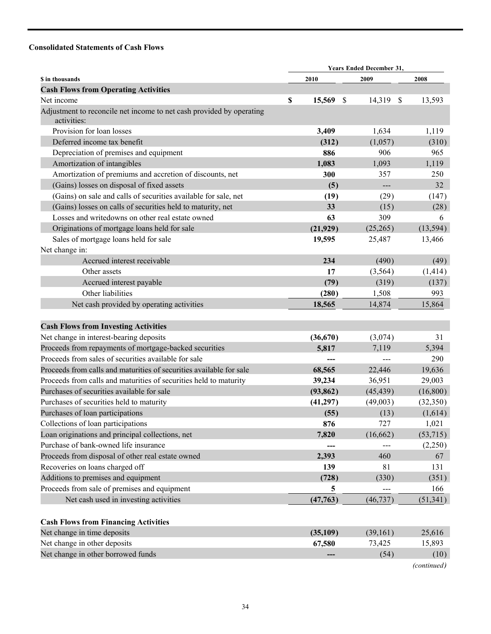## **Consolidated Statements of Cash Flows**

|                                                                      | Years Ended December 31, |           |      |           |      |           |  |  |  |
|----------------------------------------------------------------------|--------------------------|-----------|------|-----------|------|-----------|--|--|--|
| \$ in thousands                                                      |                          | 2010      | 2009 |           |      | 2008      |  |  |  |
| <b>Cash Flows from Operating Activities</b>                          |                          |           |      |           |      |           |  |  |  |
| Net income                                                           | \$                       | 15,569    | -\$  | 14,319    | - \$ | 13,593    |  |  |  |
| Adjustment to reconcile net income to net cash provided by operating |                          |           |      |           |      |           |  |  |  |
| activities:                                                          |                          |           |      |           |      |           |  |  |  |
| Provision for loan losses                                            |                          | 3,409     |      | 1,634     |      | 1,119     |  |  |  |
| Deferred income tax benefit                                          |                          | (312)     |      | (1,057)   |      | (310)     |  |  |  |
| Depreciation of premises and equipment                               |                          | 886       |      | 906       |      | 965       |  |  |  |
| Amortization of intangibles                                          |                          | 1,083     |      | 1,093     |      | 1,119     |  |  |  |
| Amortization of premiums and accretion of discounts, net             |                          | 300       |      | 357       |      | 250       |  |  |  |
| (Gains) losses on disposal of fixed assets                           |                          | (5)       |      | $---$     |      | 32        |  |  |  |
| (Gains) on sale and calls of securities available for sale, net      |                          | (19)      |      | (29)      |      | (147)     |  |  |  |
| (Gains) losses on calls of securities held to maturity, net          |                          | 33        |      | (15)      |      | (28)      |  |  |  |
| Losses and writedowns on other real estate owned                     |                          | 63        |      | 309       |      | 6         |  |  |  |
| Originations of mortgage loans held for sale                         |                          | (21, 929) |      | (25, 265) |      | (13, 594) |  |  |  |
| Sales of mortgage loans held for sale                                |                          | 19,595    |      | 25,487    |      | 13,466    |  |  |  |
| Net change in:                                                       |                          |           |      |           |      |           |  |  |  |
| Accrued interest receivable                                          |                          | 234       |      | (490)     |      | (49)      |  |  |  |
| Other assets                                                         |                          | 17        |      | (3, 564)  |      | (1, 414)  |  |  |  |
| Accrued interest payable                                             |                          | (79)      |      | (319)     |      | (137)     |  |  |  |
| Other liabilities                                                    |                          | (280)     |      | 1,508     |      | 993       |  |  |  |
| Net cash provided by operating activities                            |                          | 18,565    |      | 14,874    |      | 15,864    |  |  |  |
|                                                                      |                          |           |      |           |      |           |  |  |  |
| <b>Cash Flows from Investing Activities</b>                          |                          |           |      |           |      |           |  |  |  |
| Net change in interest-bearing deposits                              |                          | (36,670)  |      | (3,074)   |      | 31        |  |  |  |
| Proceeds from repayments of mortgage-backed securities               |                          | 5,817     |      | 7,119     |      | 5,394     |  |  |  |
| Proceeds from sales of securities available for sale                 |                          |           |      | ---       |      | 290       |  |  |  |
| Proceeds from calls and maturities of securities available for sale  |                          | 68,565    |      | 22,446    |      | 19,636    |  |  |  |
| Proceeds from calls and maturities of securities held to maturity    |                          | 39,234    |      | 36,951    |      | 29,003    |  |  |  |
| Purchases of securities available for sale                           |                          | (93, 862) |      | (45, 439) |      | (16, 800) |  |  |  |
| Purchases of securities held to maturity                             |                          | (41,297)  |      | (49,003)  |      | (32, 350) |  |  |  |
| Purchases of loan participations                                     |                          | (55)      |      | (13)      |      | (1,614)   |  |  |  |
| Collections of loan participations                                   |                          | 876       |      | 727       |      | 1,021     |  |  |  |
| Loan originations and principal collections, net                     |                          | 7,820     |      | (16, 662) |      | (53,715)  |  |  |  |
| Purchase of bank-owned life insurance                                |                          | ---       |      |           |      | (2,250)   |  |  |  |
| Proceeds from disposal of other real estate owned                    |                          | 2,393     |      | 460       |      | 67        |  |  |  |
| Recoveries on loans charged off                                      |                          | 139       |      | 81        |      | 131       |  |  |  |
| Additions to premises and equipment                                  |                          | (728)     |      | (330)     |      | (351)     |  |  |  |
| Proceeds from sale of premises and equipment                         |                          | 5         |      |           |      | 166       |  |  |  |
| Net cash used in investing activities                                |                          | (47,763)  |      | (46, 737) |      | (51, 341) |  |  |  |
|                                                                      |                          |           |      |           |      |           |  |  |  |
| <b>Cash Flows from Financing Activities</b>                          |                          |           |      |           |      |           |  |  |  |
| Net change in time deposits                                          |                          | (35,109)  |      | (39, 161) |      | 25,616    |  |  |  |
|                                                                      |                          |           |      |           |      |           |  |  |  |

| $\overline{\text{N}}$ change in three deposits | 133,1071                     | 1 <i>37.</i> 1011 | 29,010      |
|------------------------------------------------|------------------------------|-------------------|-------------|
| Net change in other deposits                   | 67.580                       | 73.425            | 15.893      |
| Net change in other borrowed funds             | $\qquad \qquad \blacksquare$ |                   | 10)         |
|                                                |                              |                   | (continued) |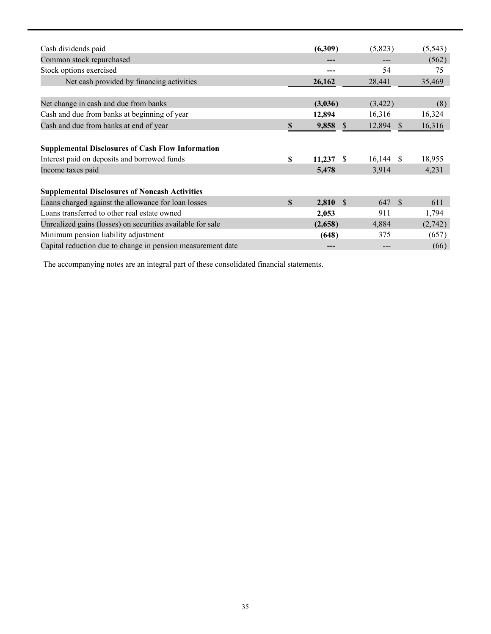| Cash dividends paid                                         |             | (6,309) |               | (5,823)     |              | (5, 543) |
|-------------------------------------------------------------|-------------|---------|---------------|-------------|--------------|----------|
| Common stock repurchased                                    |             |         |               |             |              | (562)    |
| Stock options exercised                                     |             |         |               | 54          |              | 75       |
| Net cash provided by financing activities                   |             | 26,162  |               | 28,441      |              | 35,469   |
| Net change in cash and due from banks                       |             | (3,036) |               | (3,422)     |              | (8)      |
| Cash and due from banks at beginning of year                |             | 12,894  |               | 16,316      |              | 16,324   |
| Cash and due from banks at end of year                      | S           | 9,858   | <sup>S</sup>  | 12,894      | <sup>S</sup> | 16,316   |
| <b>Supplemental Disclosures of Cash Flow Information</b>    |             |         |               |             |              |          |
| Interest paid on deposits and borrowed funds                | S           | 11,237  | -S            | $16,144$ \$ |              | 18,955   |
| Income taxes paid                                           |             | 5,478   |               | 3,914       |              | 4,231    |
| <b>Supplemental Disclosures of Noncash Activities</b>       |             |         |               |             |              |          |
| Loans charged against the allowance for loan losses         | $\mathbf S$ | 2,810   | <sup>\$</sup> | 647         | -S           | 611      |
| Loans transferred to other real estate owned                |             | 2,053   |               | 911         |              | 1,794    |
| Unrealized gains (losses) on securities available for sale  |             | (2,658) |               | 4,884       |              | (2,742)  |
| Minimum pension liability adjustment                        |             | (648)   |               | 375         |              | (657)    |
| Capital reduction due to change in pension measurement date |             |         |               |             |              | (66)     |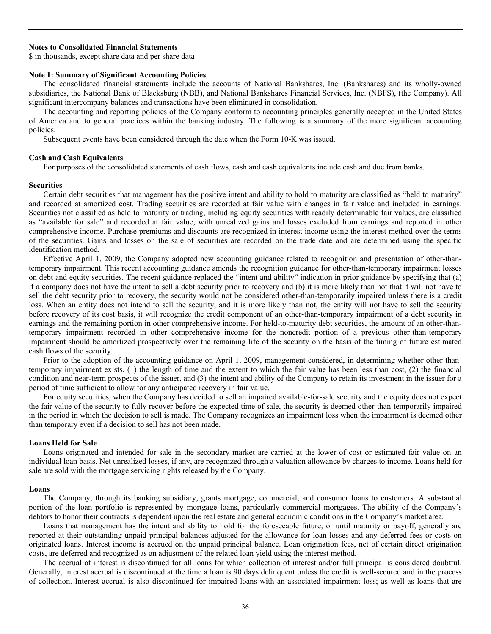#### **Notes to Consolidated Financial Statements**

\$ in thousands, except share data and per share data

#### **Note 1: Summary of Significant Accounting Policies**

 The consolidated financial statements include the accounts of National Bankshares, Inc. (Bankshares) and its wholly-owned subsidiaries, the National Bank of Blacksburg (NBB), and National Bankshares Financial Services, Inc. (NBFS), (the Company). All significant intercompany balances and transactions have been eliminated in consolidation.

 The accounting and reporting policies of the Company conform to accounting principles generally accepted in the United States of America and to general practices within the banking industry. The following is a summary of the more significant accounting policies.

Subsequent events have been considered through the date when the Form 10-K was issued.

#### **Cash and Cash Equivalents**

For purposes of the consolidated statements of cash flows, cash and cash equivalents include cash and due from banks.

#### **Securities**

 Certain debt securities that management has the positive intent and ability to hold to maturity are classified as "held to maturity" and recorded at amortized cost. Trading securities are recorded at fair value with changes in fair value and included in earnings. Securities not classified as held to maturity or trading, including equity securities with readily determinable fair values, are classified as "available for sale" and recorded at fair value, with unrealized gains and losses excluded from earnings and reported in other comprehensive income. Purchase premiums and discounts are recognized in interest income using the interest method over the terms of the securities. Gains and losses on the sale of securities are recorded on the trade date and are determined using the specific identification method.

 Effective April 1, 2009, the Company adopted new accounting guidance related to recognition and presentation of other-thantemporary impairment. This recent accounting guidance amends the recognition guidance for other-than-temporary impairment losses on debt and equity securities. The recent guidance replaced the "intent and ability" indication in prior guidance by specifying that (a) if a company does not have the intent to sell a debt security prior to recovery and (b) it is more likely than not that it will not have to sell the debt security prior to recovery, the security would not be considered other-than-temporarily impaired unless there is a credit loss. When an entity does not intend to sell the security, and it is more likely than not, the entity will not have to sell the security before recovery of its cost basis, it will recognize the credit component of an other-than-temporary impairment of a debt security in earnings and the remaining portion in other comprehensive income. For held-to-maturity debt securities, the amount of an other-thantemporary impairment recorded in other comprehensive income for the noncredit portion of a previous other-than-temporary impairment should be amortized prospectively over the remaining life of the security on the basis of the timing of future estimated cash flows of the security.

Prior to the adoption of the accounting guidance on April 1, 2009, management considered, in determining whether other-thantemporary impairment exists, (1) the length of time and the extent to which the fair value has been less than cost, (2) the financial condition and near-term prospects of the issuer, and (3) the intent and ability of the Company to retain its investment in the issuer for a period of time sufficient to allow for any anticipated recovery in fair value.

 For equity securities, when the Company has decided to sell an impaired available-for-sale security and the equity does not expect the fair value of the security to fully recover before the expected time of sale, the security is deemed other-than-temporarily impaired in the period in which the decision to sell is made. The Company recognizes an impairment loss when the impairment is deemed other than temporary even if a decision to sell has not been made.

#### **Loans Held for Sale**

 Loans originated and intended for sale in the secondary market are carried at the lower of cost or estimated fair value on an individual loan basis. Net unrealized losses, if any, are recognized through a valuation allowance by charges to income. Loans held for sale are sold with the mortgage servicing rights released by the Company.

#### **Loans**

 The Company, through its banking subsidiary, grants mortgage, commercial, and consumer loans to customers. A substantial portion of the loan portfolio is represented by mortgage loans, particularly commercial mortgages. The ability of the Company's debtors to honor their contracts is dependent upon the real estate and general economic conditions in the Company's market area.

 Loans that management has the intent and ability to hold for the foreseeable future, or until maturity or payoff, generally are reported at their outstanding unpaid principal balances adjusted for the allowance for loan losses and any deferred fees or costs on originated loans. Interest income is accrued on the unpaid principal balance. Loan origination fees, net of certain direct origination costs, are deferred and recognized as an adjustment of the related loan yield using the interest method.

 The accrual of interest is discontinued for all loans for which collection of interest and/or full principal is considered doubtful. Generally, interest accrual is discontinued at the time a loan is 90 days delinquent unless the credit is well-secured and in the process of collection. Interest accrual is also discontinued for impaired loans with an associated impairment loss; as well as loans that are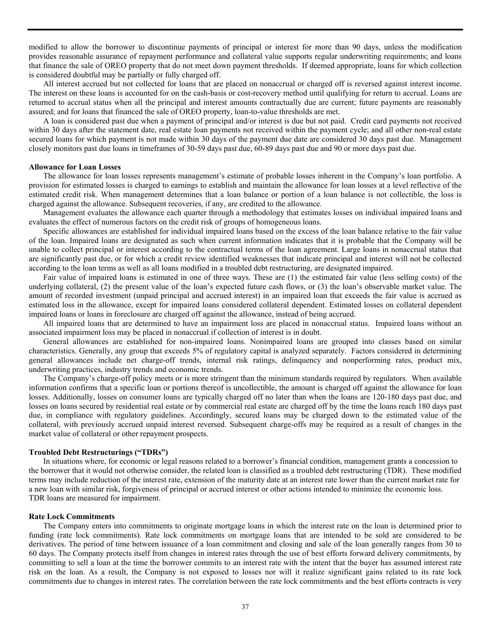modified to allow the borrower to discontinue payments of principal or interest for more than 90 days, unless the modification provides reasonable assurance of repayment performance and collateral value supports regular underwriting requirements; and loans that finance the sale of OREO property that do not meet down payment thresholds. If deemed appropriate, loans for which collection is considered doubtful may be partially or fully charged off.

 All interest accrued but not collected for loans that are placed on nonaccrual or charged off is reversed against interest income. The interest on these loans is accounted for on the cash-basis or cost-recovery method until qualifying for return to accrual. Loans are returned to accrual status when all the principal and interest amounts contractually due are current; future payments are reasonably assured; and for loans that financed the sale of OREO property, loan-to-value thresholds are met.

 A loan is considered past due when a payment of principal and/or interest is due but not paid. Credit card payments not received within 30 days after the statement date, real estate loan payments not received within the payment cycle; and all other non-real estate secured loans for which payment is not made within 30 days of the payment due date are considered 30 days past due. Management closely monitors past due loans in timeframes of 30-59 days past due, 60-89 days past due and 90 or more days past due.

#### **Allowance for Loan Losses**

 The allowance for loan losses represents management's estimate of probable losses inherent in the Company's loan portfolio. A provision for estimated losses is charged to earnings to establish and maintain the allowance for loan losses at a level reflective of the estimated credit risk. When management determines that a loan balance or portion of a loan balance is not collectible, the loss is charged against the allowance. Subsequent recoveries, if any, are credited to the allowance.

 Management evaluates the allowance each quarter through a methodology that estimates losses on individual impaired loans and evaluates the effect of numerous factors on the credit risk of groups of homogeneous loans.

 Specific allowances are established for individual impaired loans based on the excess of the loan balance relative to the fair value of the loan. Impaired loans are designated as such when current information indicates that it is probable that the Company will be unable to collect principal or interest according to the contractual terms of the loan agreement. Large loans in nonaccrual status that are significantly past due, or for which a credit review identified weaknesses that indicate principal and interest will not be collected according to the loan terms as well as all loans modified in a troubled debt restructuring, are designated impaired.

 Fair value of impaired loans is estimated in one of three ways. These are (1) the estimated fair value (less selling costs) of the underlying collateral, (2) the present value of the loan's expected future cash flows, or (3) the loan's observable market value. The amount of recorded investment (unpaid principal and accrued interest) in an impaired loan that exceeds the fair value is accrued as estimated loss in the allowance, except for impaired loans considered collateral dependent. Estimated losses on collateral dependent impaired loans or loans in foreclosure are charged off against the allowance, instead of being accrued.

 All impaired loans that are determined to have an impairment loss are placed in nonaccrual status. Impaired loans without an associated impairment loss may be placed in nonaccrual if collection of interest is in doubt.

 General allowances are established for non-impaired loans. Nonimpaired loans are grouped into classes based on similar characteristics. Generally, any group that exceeds 5% of regulatory capital is analyzed separately. Factors considered in determining general allowances include net charge-off trends, internal risk ratings, delinquency and nonperforming rates, product mix, underwriting practices, industry trends and economic trends.

 The Company's charge-off policy meets or is more stringent than the minimum standards required by regulators. When available information confirms that a specific loan or portions thereof is uncollectible, the amount is charged off against the allowance for loan losses. Additionally, losses on consumer loans are typically charged off no later than when the loans are 120-180 days past due, and losses on loans secured by residential real estate or by commercial real estate are charged off by the time the loans reach 180 days past due, in compliance with regulatory guidelines. Accordingly, secured loans may be charged down to the estimated value of the collateral, with previously accrued unpaid interest reversed. Subsequent charge-offs may be required as a result of changes in the market value of collateral or other repayment prospects.

#### **Troubled Debt Restructurings ("TDRs")**

 In situations where, for economic or legal reasons related to a borrower's financial condition, management grants a concession to the borrower that it would not otherwise consider, the related loan is classified as a troubled debt restructuring (TDR). These modified terms may include reduction of the interest rate, extension of the maturity date at an interest rate lower than the current market rate for a new loan with similar risk, forgiveness of principal or accrued interest or other actions intended to minimize the economic loss. TDR loans are measured for impairment.

#### **Rate Lock Commitments**

 The Company enters into commitments to originate mortgage loans in which the interest rate on the loan is determined prior to funding (rate lock commitments). Rate lock commitments on mortgage loans that are intended to be sold are considered to be derivatives. The period of time between issuance of a loan commitment and closing and sale of the loan generally ranges from 30 to 60 days. The Company protects itself from changes in interest rates through the use of best efforts forward delivery commitments, by committing to sell a loan at the time the borrower commits to an interest rate with the intent that the buyer has assumed interest rate risk on the loan. As a result, the Company is not exposed to losses nor will it realize significant gains related to its rate lock commitments due to changes in interest rates. The correlation between the rate lock commitments and the best efforts contracts is very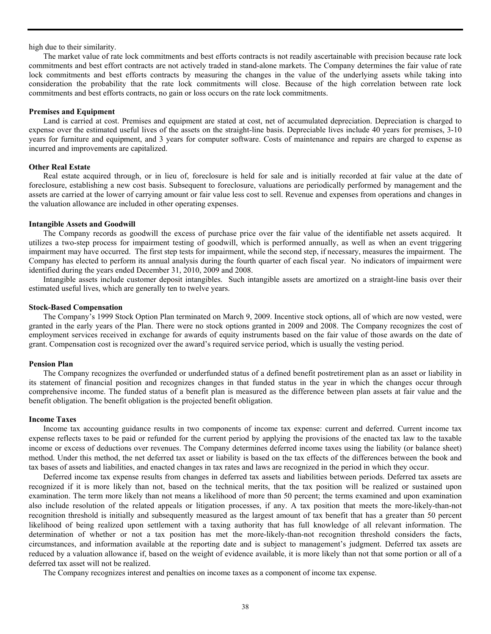high due to their similarity.

 The market value of rate lock commitments and best efforts contracts is not readily ascertainable with precision because rate lock commitments and best effort contracts are not actively traded in stand-alone markets. The Company determines the fair value of rate lock commitments and best efforts contracts by measuring the changes in the value of the underlying assets while taking into consideration the probability that the rate lock commitments will close. Because of the high correlation between rate lock commitments and best efforts contracts, no gain or loss occurs on the rate lock commitments.

#### **Premises and Equipment**

 Land is carried at cost. Premises and equipment are stated at cost, net of accumulated depreciation. Depreciation is charged to expense over the estimated useful lives of the assets on the straight-line basis. Depreciable lives include 40 years for premises, 3-10 years for furniture and equipment, and 3 years for computer software. Costs of maintenance and repairs are charged to expense as incurred and improvements are capitalized.

#### **Other Real Estate**

 Real estate acquired through, or in lieu of, foreclosure is held for sale and is initially recorded at fair value at the date of foreclosure, establishing a new cost basis. Subsequent to foreclosure, valuations are periodically performed by management and the assets are carried at the lower of carrying amount or fair value less cost to sell. Revenue and expenses from operations and changes in the valuation allowance are included in other operating expenses.

## **Intangible Assets and Goodwill**

The Company records as goodwill the excess of purchase price over the fair value of the identifiable net assets acquired. It utilizes a two-step process for impairment testing of goodwill, which is performed annually, as well as when an event triggering impairment may have occurred. The first step tests for impairment, while the second step, if necessary, measures the impairment. The Company has elected to perform its annual analysis during the fourth quarter of each fiscal year. No indicators of impairment were identified during the years ended December 31, 2010, 2009 and 2008.

 Intangible assets include customer deposit intangibles. Such intangible assets are amortized on a straight-line basis over their estimated useful lives, which are generally ten to twelve years.

#### **Stock-Based Compensation**

 The Company's 1999 Stock Option Plan terminated on March 9, 2009. Incentive stock options, all of which are now vested, were granted in the early years of the Plan. There were no stock options granted in 2009 and 2008. The Company recognizes the cost of employment services received in exchange for awards of equity instruments based on the fair value of those awards on the date of grant. Compensation cost is recognized over the award's required service period, which is usually the vesting period.

#### **Pension Plan**

 The Company recognizes the overfunded or underfunded status of a defined benefit postretirement plan as an asset or liability in its statement of financial position and recognizes changes in that funded status in the year in which the changes occur through comprehensive income. The funded status of a benefit plan is measured as the difference between plan assets at fair value and the benefit obligation. The benefit obligation is the projected benefit obligation.

#### **Income Taxes**

 Income tax accounting guidance results in two components of income tax expense: current and deferred. Current income tax expense reflects taxes to be paid or refunded for the current period by applying the provisions of the enacted tax law to the taxable income or excess of deductions over revenues. The Company determines deferred income taxes using the liability (or balance sheet) method. Under this method, the net deferred tax asset or liability is based on the tax effects of the differences between the book and tax bases of assets and liabilities, and enacted changes in tax rates and laws are recognized in the period in which they occur.

 Deferred income tax expense results from changes in deferred tax assets and liabilities between periods. Deferred tax assets are recognized if it is more likely than not, based on the technical merits, that the tax position will be realized or sustained upon examination. The term more likely than not means a likelihood of more than 50 percent; the terms examined and upon examination also include resolution of the related appeals or litigation processes, if any. A tax position that meets the more-likely-than-not recognition threshold is initially and subsequently measured as the largest amount of tax benefit that has a greater than 50 percent likelihood of being realized upon settlement with a taxing authority that has full knowledge of all relevant information. The determination of whether or not a tax position has met the more-likely-than-not recognition threshold considers the facts, circumstances, and information available at the reporting date and is subject to management's judgment. Deferred tax assets are reduced by a valuation allowance if, based on the weight of evidence available, it is more likely than not that some portion or all of a deferred tax asset will not be realized.

The Company recognizes interest and penalties on income taxes as a component of income tax expense.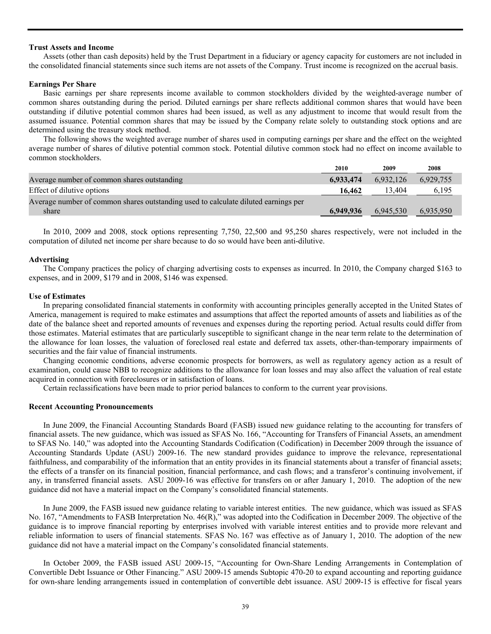#### **Trust Assets and Income**

 Assets (other than cash deposits) held by the Trust Department in a fiduciary or agency capacity for customers are not included in the consolidated financial statements since such items are not assets of the Company. Trust income is recognized on the accrual basis.

#### **Earnings Per Share**

 Basic earnings per share represents income available to common stockholders divided by the weighted-average number of common shares outstanding during the period. Diluted earnings per share reflects additional common shares that would have been outstanding if dilutive potential common shares had been issued, as well as any adjustment to income that would result from the assumed issuance. Potential common shares that may be issued by the Company relate solely to outstanding stock options and are determined using the treasury stock method.

 The following shows the weighted average number of shares used in computing earnings per share and the effect on the weighted average number of shares of dilutive potential common stock. Potential dilutive common stock had no effect on income available to common stockholders.

|                                                                                    | <b>2010</b> | 2009      | 2008      |
|------------------------------------------------------------------------------------|-------------|-----------|-----------|
| Average number of common shares outstanding                                        | 6,933,474   | 6.932.126 | 6.929.755 |
| Effect of dilutive options                                                         | 16.462      | 13.404    | 6,195     |
| Average number of common shares outstanding used to calculate diluted earnings per |             |           |           |
| share                                                                              | 6,949,936   | 6,945,530 | 6,935,950 |

In 2010, 2009 and 2008, stock options representing 7,750, 22,500 and 95,250 shares respectively, were not included in the computation of diluted net income per share because to do so would have been anti-dilutive.

#### **Advertising**

 The Company practices the policy of charging advertising costs to expenses as incurred. In 2010, the Company charged \$163 to expenses, and in 2009, \$179 and in 2008, \$146 was expensed.

#### **Use of Estimates**

 In preparing consolidated financial statements in conformity with accounting principles generally accepted in the United States of America, management is required to make estimates and assumptions that affect the reported amounts of assets and liabilities as of the date of the balance sheet and reported amounts of revenues and expenses during the reporting period. Actual results could differ from those estimates. Material estimates that are particularly susceptible to significant change in the near term relate to the determination of the allowance for loan losses, the valuation of foreclosed real estate and deferred tax assets, other-than-temporary impairments of securities and the fair value of financial instruments.

Changing economic conditions, adverse economic prospects for borrowers, as well as regulatory agency action as a result of examination, could cause NBB to recognize additions to the allowance for loan losses and may also affect the valuation of real estate acquired in connection with foreclosures or in satisfaction of loans.

Certain reclassifications have been made to prior period balances to conform to the current year provisions.

#### **Recent Accounting Pronouncements**

 In June 2009, the Financial Accounting Standards Board (FASB) issued new guidance relating to the accounting for transfers of financial assets. The new guidance, which was issued as SFAS No. 166, "Accounting for Transfers of Financial Assets, an amendment to SFAS No. 140," was adopted into the Accounting Standards Codification (Codification) in December 2009 through the issuance of Accounting Standards Update (ASU) 2009-16. The new standard provides guidance to improve the relevance, representational faithfulness, and comparability of the information that an entity provides in its financial statements about a transfer of financial assets; the effects of a transfer on its financial position, financial performance, and cash flows; and a transferor's continuing involvement, if any, in transferred financial assets. ASU 2009-16 was effective for transfers on or after January 1, 2010. The adoption of the new guidance did not have a material impact on the Company's consolidated financial statements.

 In June 2009, the FASB issued new guidance relating to variable interest entities. The new guidance, which was issued as SFAS No. 167, "Amendments to FASB Interpretation No. 46(R)," was adopted into the Codification in December 2009. The objective of the guidance is to improve financial reporting by enterprises involved with variable interest entities and to provide more relevant and reliable information to users of financial statements. SFAS No. 167 was effective as of January 1, 2010. The adoption of the new guidance did not have a material impact on the Company's consolidated financial statements.

 In October 2009, the FASB issued ASU 2009-15, "Accounting for Own-Share Lending Arrangements in Contemplation of Convertible Debt Issuance or Other Financing." ASU 2009-15 amends Subtopic 470-20 to expand accounting and reporting guidance for own-share lending arrangements issued in contemplation of convertible debt issuance. ASU 2009-15 is effective for fiscal years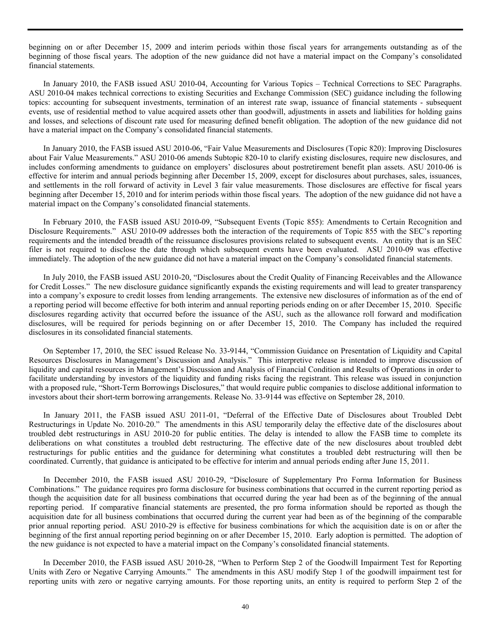beginning on or after December 15, 2009 and interim periods within those fiscal years for arrangements outstanding as of the beginning of those fiscal years. The adoption of the new guidance did not have a material impact on the Company's consolidated financial statements.

 In January 2010, the FASB issued ASU 2010-04, Accounting for Various Topics – Technical Corrections to SEC Paragraphs. ASU 2010-04 makes technical corrections to existing Securities and Exchange Commission (SEC) guidance including the following topics: accounting for subsequent investments, termination of an interest rate swap, issuance of financial statements - subsequent events, use of residential method to value acquired assets other than goodwill, adjustments in assets and liabilities for holding gains and losses, and selections of discount rate used for measuring defined benefit obligation. The adoption of the new guidance did not have a material impact on the Company's consolidated financial statements.

 In January 2010, the FASB issued ASU 2010-06, "Fair Value Measurements and Disclosures (Topic 820): Improving Disclosures about Fair Value Measurements." ASU 2010-06 amends Subtopic 820-10 to clarify existing disclosures, require new disclosures, and includes conforming amendments to guidance on employers' disclosures about postretirement benefit plan assets. ASU 2010-06 is effective for interim and annual periods beginning after December 15, 2009, except for disclosures about purchases, sales, issuances, and settlements in the roll forward of activity in Level 3 fair value measurements. Those disclosures are effective for fiscal years beginning after December 15, 2010 and for interim periods within those fiscal years. The adoption of the new guidance did not have a material impact on the Company's consolidated financial statements.

 In February 2010, the FASB issued ASU 2010-09, "Subsequent Events (Topic 855): Amendments to Certain Recognition and Disclosure Requirements." ASU 2010-09 addresses both the interaction of the requirements of Topic 855 with the SEC's reporting requirements and the intended breadth of the reissuance disclosures provisions related to subsequent events. An entity that is an SEC filer is not required to disclose the date through which subsequent events have been evaluated. ASU 2010-09 was effective immediately. The adoption of the new guidance did not have a material impact on the Company's consolidated financial statements.

 In July 2010, the FASB issued ASU 2010-20, "Disclosures about the Credit Quality of Financing Receivables and the Allowance for Credit Losses." The new disclosure guidance significantly expands the existing requirements and will lead to greater transparency into a company's exposure to credit losses from lending arrangements. The extensive new disclosures of information as of the end of a reporting period will become effective for both interim and annual reporting periods ending on or after December 15, 2010. Specific disclosures regarding activity that occurred before the issuance of the ASU, such as the allowance roll forward and modification disclosures, will be required for periods beginning on or after December 15, 2010. The Company has included the required disclosures in its consolidated financial statements.

 On September 17, 2010, the SEC issued Release No. 33-9144, "Commission Guidance on Presentation of Liquidity and Capital Resources Disclosures in Management's Discussion and Analysis." This interpretive release is intended to improve discussion of liquidity and capital resources in Management's Discussion and Analysis of Financial Condition and Results of Operations in order to facilitate understanding by investors of the liquidity and funding risks facing the registrant. This release was issued in conjunction with a proposed rule, "Short-Term Borrowings Disclosures," that would require public companies to disclose additional information to investors about their short-term borrowing arrangements. Release No. 33-9144 was effective on September 28, 2010.

 In January 2011, the FASB issued ASU 2011-01, "Deferral of the Effective Date of Disclosures about Troubled Debt Restructurings in Update No. 2010-20." The amendments in this ASU temporarily delay the effective date of the disclosures about troubled debt restructurings in ASU 2010-20 for public entities. The delay is intended to allow the FASB time to complete its deliberations on what constitutes a troubled debt restructuring. The effective date of the new disclosures about troubled debt restructurings for public entities and the guidance for determining what constitutes a troubled debt restructuring will then be coordinated. Currently, that guidance is anticipated to be effective for interim and annual periods ending after June 15, 2011.

 In December 2010, the FASB issued ASU 2010-29, "Disclosure of Supplementary Pro Forma Information for Business Combinations." The guidance requires pro forma disclosure for business combinations that occurred in the current reporting period as though the acquisition date for all business combinations that occurred during the year had been as of the beginning of the annual reporting period. If comparative financial statements are presented, the pro forma information should be reported as though the acquisition date for all business combinations that occurred during the current year had been as of the beginning of the comparable prior annual reporting period. ASU 2010-29 is effective for business combinations for which the acquisition date is on or after the beginning of the first annual reporting period beginning on or after December 15, 2010. Early adoption is permitted. The adoption of the new guidance is not expected to have a material impact on the Company's consolidated financial statements.

 In December 2010, the FASB issued ASU 2010-28, "When to Perform Step 2 of the Goodwill Impairment Test for Reporting Units with Zero or Negative Carrying Amounts." The amendments in this ASU modify Step 1 of the goodwill impairment test for reporting units with zero or negative carrying amounts. For those reporting units, an entity is required to perform Step 2 of the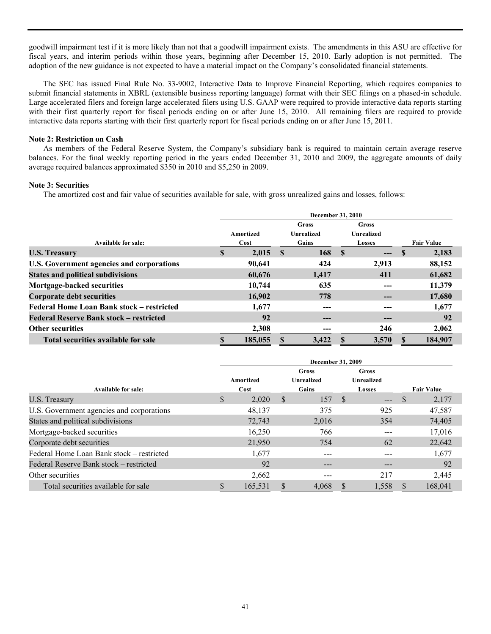goodwill impairment test if it is more likely than not that a goodwill impairment exists. The amendments in this ASU are effective for fiscal years, and interim periods within those years, beginning after December 15, 2010. Early adoption is not permitted. The adoption of the new guidance is not expected to have a material impact on the Company's consolidated financial statements.

 The SEC has issued Final Rule No. 33-9002, Interactive Data to Improve Financial Reporting, which requires companies to submit financial statements in XBRL (extensible business reporting language) format with their SEC filings on a phased-in schedule. Large accelerated filers and foreign large accelerated filers using U.S. GAAP were required to provide interactive data reports starting with their first quarterly report for fiscal periods ending on or after June 15, 2010. All remaining filers are required to provide interactive data reports starting with their first quarterly report for fiscal periods ending on or after June 15, 2011.

# **Note 2: Restriction on Cash**

 As members of the Federal Reserve System, the Company's subsidiary bank is required to maintain certain average reserve balances. For the final weekly reporting period in the years ended December 31, 2010 and 2009, the aggregate amounts of daily average required balances approximated \$350 in 2010 and \$5,250 in 2009.

## **Note 3: Securities**

The amortized cost and fair value of securities available for sale, with gross unrealized gains and losses, follows:

|                                                  |            |                          |          | <b>December 31, 2010</b>                          |             |                                                    |          |                   |
|--------------------------------------------------|------------|--------------------------|----------|---------------------------------------------------|-------------|----------------------------------------------------|----------|-------------------|
| Available for sale:                              |            | <b>Amortized</b><br>Cost |          | <b>Gross</b><br><b>Unrealized</b><br><b>Gains</b> |             | <b>Gross</b><br><b>Unrealized</b><br><b>Losses</b> |          | <b>Fair Value</b> |
| <b>U.S. Treasury</b>                             | S<br>2,015 |                          | <b>S</b> | 168                                               | -8<br>$---$ |                                                    | <b>S</b> | 2,183             |
| U.S. Government agencies and corporations        |            | 90.641                   |          | 424                                               |             | 2,913                                              |          | 88,152            |
| <b>States and political subdivisions</b>         |            | 60.676                   |          | 1,417                                             |             | 411                                                |          | 61,682            |
| Mortgage-backed securities                       |            | 10.744                   |          | 635                                               |             | ---                                                |          | 11,379            |
| <b>Corporate debt securities</b>                 |            | 16,902                   |          | 778                                               |             | ---                                                |          | 17,680            |
| <b>Federal Home Loan Bank stock – restricted</b> |            | 1,677                    |          | ---                                               |             | ---                                                |          | 1,677             |
| <b>Federal Reserve Bank stock – restricted</b>   |            | 92                       |          | $---$                                             |             | ---                                                |          | 92                |
| <b>Other securities</b>                          |            | 2,308                    |          | ---                                               |             | 246                                                |          | 2,062             |
| Total securities available for sale              |            | 185,055                  | S        | 3,422                                             |             | 3,570                                              |          | 184,907           |

|                                           |   |                   |   | <b>December 31, 2009</b>                   |    |                                             |    |                   |
|-------------------------------------------|---|-------------------|---|--------------------------------------------|----|---------------------------------------------|----|-------------------|
| <b>Available for sale:</b>                |   | Amortized<br>Cost |   | <b>Gross</b><br><b>Unrealized</b><br>Gains |    | Gross<br><b>Unrealized</b><br><b>Losses</b> |    | <b>Fair Value</b> |
| U.S. Treasury                             | S | 2,020             | S | 157                                        | -S | $---$                                       | S. | 2,177             |
| U.S. Government agencies and corporations |   | 48,137            |   | 375                                        |    | 925                                         |    | 47,587            |
| States and political subdivisions         |   | 72,743            |   | 2,016                                      |    | 354                                         |    | 74,405            |
| Mortgage-backed securities                |   | 16,250            |   | 766                                        |    | ---                                         |    | 17,016            |
| Corporate debt securities                 |   | 21,950            |   | 754                                        |    | 62                                          |    | 22,642            |
| Federal Home Loan Bank stock – restricted |   | 1,677             |   | ---                                        |    | ---                                         |    | 1,677             |
| Federal Reserve Bank stock – restricted   |   | 92                |   | $-- -$                                     |    | ---                                         |    | 92                |
| Other securities                          |   | 2,662             |   | $- - -$                                    |    | 217                                         |    | 2,445             |
| Total securities available for sale       |   | 165,531           |   | 4,068                                      |    | 1,558                                       |    | 168,041           |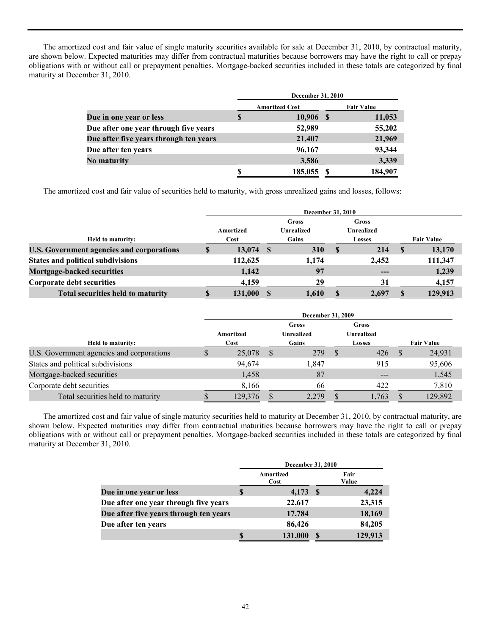The amortized cost and fair value of single maturity securities available for sale at December 31, 2010, by contractual maturity, are shown below. Expected maturities may differ from contractual maturities because borrowers may have the right to call or prepay obligations with or without call or prepayment penalties. Mortgage-backed securities included in these totals are categorized by final maturity at December 31, 2010.

|                                        |   | <b>December 31, 2010</b> |                   |
|----------------------------------------|---|--------------------------|-------------------|
|                                        |   | <b>Amortized Cost</b>    | <b>Fair Value</b> |
| Due in one year or less                | S | 10,906 \$                | 11,053            |
| Due after one year through five years  |   | 52,989                   | 55,202            |
| Due after five years through ten years |   | 21,407                   | 21,969            |
| Due after ten years                    |   | 96,167                   | 93,344            |
| <b>No maturity</b>                     |   | 3,586                    | 3,339             |
|                                        | S | 185,055                  | 184,907           |

The amortized cost and fair value of securities held to maturity, with gross unrealized gains and losses, follows:

|                                                  |      |           |    | <b>December 31, 2010</b>   |              |                            |                   |         |  |
|--------------------------------------------------|------|-----------|----|----------------------------|--------------|----------------------------|-------------------|---------|--|
|                                                  |      | Amortized |    | Gross<br><b>Unrealized</b> |              | Gross<br><b>Unrealized</b> |                   |         |  |
| <b>Held to maturity:</b>                         | Cost |           |    | Gains                      |              | <b>Losses</b>              | <b>Fair Value</b> |         |  |
| <b>U.S. Government agencies and corporations</b> | D    | 13,074    | -8 | <b>310</b>                 | $\mathbf{s}$ | 214                        | S                 | 13,170  |  |
| <b>States and political subdivisions</b>         |      | 112,625   |    | 1.174                      |              | 2,452                      |                   | 111,347 |  |
| Mortgage-backed securities                       |      | 1,142     |    | 97                         |              |                            |                   | 1,239   |  |
| <b>Corporate debt securities</b>                 |      | 4,159     |    | 29                         |              | 31                         |                   | 4,157   |  |
| <b>Total securities held to maturity</b>         |      | 131,000   |    | 1,610                      |              | 2,697                      |                   | 129,913 |  |

|                                           |                   |         |  | <b>December 31, 2009</b>            |               |                                             |   |                   |
|-------------------------------------------|-------------------|---------|--|-------------------------------------|---------------|---------------------------------------------|---|-------------------|
| <b>Held to maturity:</b>                  | Amortized<br>Cost |         |  | Gross<br><b>Unrealized</b><br>Gains |               | <b>Gross</b><br><b>Unrealized</b><br>Losses |   | <b>Fair Value</b> |
| U.S. Government agencies and corporations |                   | 25,078  |  | 279                                 | <sup>\$</sup> | 426                                         | S | 24,931            |
| States and political subdivisions         |                   | 94,674  |  | 847.ا                               |               | 915                                         |   | 95,606            |
| Mortgage-backed securities                |                   | 1,458   |  | 87                                  |               | ---                                         |   | 1,545             |
| Corporate debt securities                 |                   | 8,166   |  | 66                                  |               | 422                                         |   | 7,810             |
| Total securities held to maturity         |                   | 129,376 |  | 2,279                               |               | 1.763                                       |   | 129,892           |

The amortized cost and fair value of single maturity securities held to maturity at December 31, 2010, by contractual maturity, are shown below. Expected maturities may differ from contractual maturities because borrowers may have the right to call or prepay obligations with or without call or prepayment penalties. Mortgage-backed securities included in these totals are categorized by final maturity at December 31, 2010.

|                                        |   | December 31, 2010 |               |         |  |  |
|----------------------------------------|---|-------------------|---------------|---------|--|--|
|                                        |   | Amortized<br>Cost | Fair<br>Value |         |  |  |
| Due in one year or less                | S | 4,173             | - \$          | 4,224   |  |  |
| Due after one year through five years  |   | 22,617            |               | 23,315  |  |  |
| Due after five years through ten years |   | 17,784            |               | 18,169  |  |  |
| Due after ten years                    |   | 86,426            |               | 84,205  |  |  |
|                                        | S | 131,000           |               | 129,913 |  |  |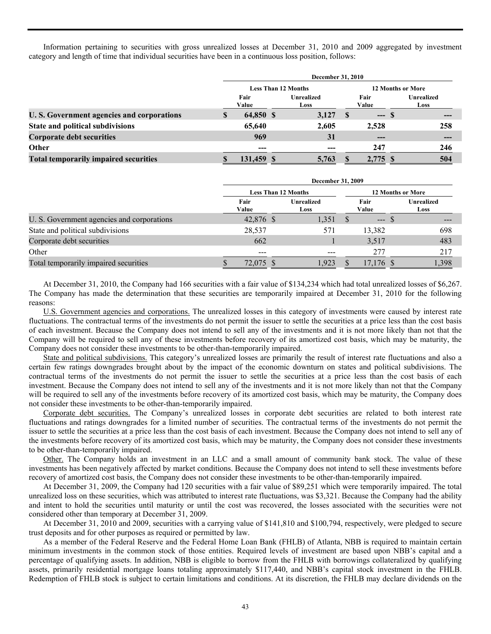Information pertaining to securities with gross unrealized losses at December 31, 2010 and 2009 aggregated by investment category and length of time that individual securities have been in a continuous loss position, follows:

|                                              |   | <b>December 31, 2010</b>   |                          |                           |   |               |  |                           |  |  |  |  |  |  |
|----------------------------------------------|---|----------------------------|--------------------------|---------------------------|---|---------------|--|---------------------------|--|--|--|--|--|--|
|                                              |   | <b>Less Than 12 Months</b> | <b>12 Months or More</b> |                           |   |               |  |                           |  |  |  |  |  |  |
|                                              |   | Fair<br>Value              |                          | <b>Unrealized</b><br>Loss |   | Fair<br>Value |  | <b>Unrealized</b><br>Loss |  |  |  |  |  |  |
| U.S. Government agencies and corporations    | S | 64,850 \$                  |                          | 3,127                     | S | $--$ S        |  | ---                       |  |  |  |  |  |  |
| State and political subdivisions             |   | 65,640                     |                          | 2,605                     |   | 2,528         |  | 258                       |  |  |  |  |  |  |
| <b>Corporate debt securities</b>             |   | 969                        |                          | 31                        |   | $--$          |  | $---$                     |  |  |  |  |  |  |
| Other                                        |   | ---                        |                          | ---                       |   | 247           |  | 246                       |  |  |  |  |  |  |
| <b>Total temporarily impaired securities</b> |   | 131,459 \$                 |                          | 5,763                     |   | 2.775 S       |  | 504                       |  |  |  |  |  |  |

|                                            |  |               |                           | <b>December 31, 2009</b>   |  |               |                           |
|--------------------------------------------|--|---------------|---------------------------|----------------------------|--|---------------|---------------------------|
|                                            |  |               |                           | <b>Less Than 12 Months</b> |  |               | <b>12 Months or More</b>  |
|                                            |  | Fair<br>Value | <b>Unrealized</b><br>Loss |                            |  | Fair<br>Value | <b>Unrealized</b><br>Loss |
| U. S. Government agencies and corporations |  | 42,876 \$     |                           | 1,351                      |  | $--$ S        |                           |
| State and political subdivisions           |  | 28,537        |                           | 571                        |  | 13,382        | 698                       |
| Corporate debt securities                  |  | 662           |                           |                            |  | 3,517         | 483                       |
| Other                                      |  | ---           |                           |                            |  | 277           | 217                       |
| Total temporarily impaired securities      |  | 72,075 \$     |                           | .923                       |  | 17,176 \$     | 1,398                     |

At December 31, 2010, the Company had 166 securities with a fair value of \$134,234 which had total unrealized losses of \$6,267. The Company has made the determination that these securities are temporarily impaired at December 31, 2010 for the following reasons:

 U.S. Government agencies and corporations. The unrealized losses in this category of investments were caused by interest rate fluctuations. The contractual terms of the investments do not permit the issuer to settle the securities at a price less than the cost basis of each investment. Because the Company does not intend to sell any of the investments and it is not more likely than not that the Company will be required to sell any of these investments before recovery of its amortized cost basis, which may be maturity, the Company does not consider these investments to be other-than-temporarily impaired.

 State and political subdivisions. This category's unrealized losses are primarily the result of interest rate fluctuations and also a certain few ratings downgrades brought about by the impact of the economic downturn on states and political subdivisions. The contractual terms of the investments do not permit the issuer to settle the securities at a price less than the cost basis of each investment. Because the Company does not intend to sell any of the investments and it is not more likely than not that the Company will be required to sell any of the investments before recovery of its amortized cost basis, which may be maturity, the Company does not consider these investments to be other-than-temporarily impaired.

 Corporate debt securities. The Company's unrealized losses in corporate debt securities are related to both interest rate fluctuations and ratings downgrades for a limited number of securities. The contractual terms of the investments do not permit the issuer to settle the securities at a price less than the cost basis of each investment. Because the Company does not intend to sell any of the investments before recovery of its amortized cost basis, which may be maturity, the Company does not consider these investments to be other-than-temporarily impaired.

 Other. The Company holds an investment in an LLC and a small amount of community bank stock. The value of these investments has been negatively affected by market conditions. Because the Company does not intend to sell these investments before recovery of amortized cost basis, the Company does not consider these investments to be other-than-temporarily impaired.

 At December 31, 2009, the Company had 120 securities with a fair value of \$89,251 which were temporarily impaired. The total unrealized loss on these securities, which was attributed to interest rate fluctuations, was \$3,321. Because the Company had the ability and intent to hold the securities until maturity or until the cost was recovered, the losses associated with the securities were not considered other than temporary at December 31, 2009.

 At December 31, 2010 and 2009, securities with a carrying value of \$141,810 and \$100,794, respectively, were pledged to secure trust deposits and for other purposes as required or permitted by law.

 As a member of the Federal Reserve and the Federal Home Loan Bank (FHLB) of Atlanta, NBB is required to maintain certain minimum investments in the common stock of those entities. Required levels of investment are based upon NBB's capital and a percentage of qualifying assets. In addition, NBB is eligible to borrow from the FHLB with borrowings collateralized by qualifying assets, primarily residential mortgage loans totaling approximately \$117,440, and NBB's capital stock investment in the FHLB. Redemption of FHLB stock is subject to certain limitations and conditions. At its discretion, the FHLB may declare dividends on the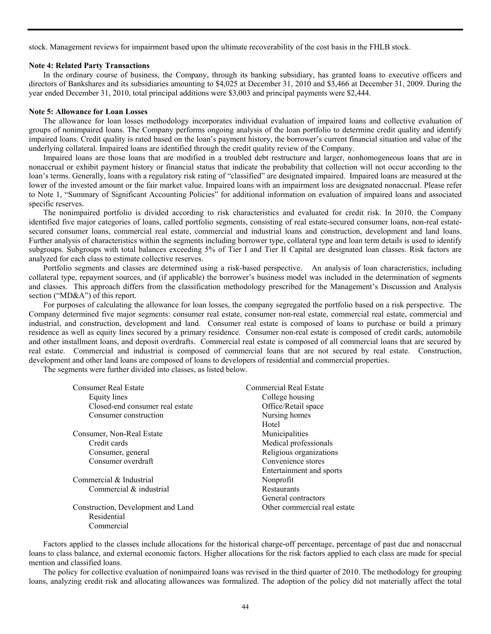stock. Management reviews for impairment based upon the ultimate recoverability of the cost basis in the FHLB stock.

#### **Note 4: Related Party Transactions**

 In the ordinary course of business, the Company, through its banking subsidiary, has granted loans to executive officers and directors of Bankshares and its subsidiaries amounting to \$4,025 at December 31, 2010 and \$3,466 at December 31, 2009. During the year ended December 31, 2010, total principal additions were \$3,003 and principal payments were \$2,444.

#### **Note 5: Allowance for Loan Losses**

 The allowance for loan losses methodology incorporates individual evaluation of impaired loans and collective evaluation of groups of nonimpaired loans. The Company performs ongoing analysis of the loan portfolio to determine credit quality and identify impaired loans. Credit quality is rated based on the loan's payment history, the borrower's current financial situation and value of the underlying collateral. Impaired loans are identified through the credit quality review of the Company.

 Impaired loans are those loans that are modified in a troubled debt restructure and larger, nonhomogeneous loans that are in nonaccrual or exhibit payment history or financial status that indicate the probability that collection will not occur according to the loan's terms. Generally, loans with a regulatory risk rating of "classified" are designated impaired. Impaired loans are measured at the lower of the invested amount or the fair market value. Impaired loans with an impairment loss are designated nonaccrual. Please refer to Note 1, "Summary of Significant Accounting Policies" for additional information on evaluation of impaired loans and associated specific reserves.

 The nonimpaired portfolio is divided according to risk characteristics and evaluated for credit risk. In 2010, the Company identified five major categories of loans, called portfolio segments, consisting of real estate-secured consumer loans, non-real estatesecured consumer loans, commercial real estate, commercial and industrial loans and construction, development and land loans. Further analysis of characteristics within the segments including borrower type, collateral type and loan term details is used to identify subgroups. Subgroups with total balances exceeding 5% of Tier I and Tier II Capital are designated loan classes. Risk factors are analyzed for each class to estimate collective reserves.

 Portfolio segments and classes are determined using a risk-based perspective. An analysis of loan characteristics, including collateral type, repayment sources, and (if applicable) the borrower's business model was included in the determination of segments and classes. This approach differs from the classification methodology prescribed for the Management's Discussion and Analysis section ("MD&A") of this report.

 For purposes of calculating the allowance for loan losses, the company segregated the portfolio based on a risk perspective. The Company determined five major segments: consumer real estate, consumer non-real estate, commercial real estate, commercial and industrial, and construction, development and land. Consumer real estate is composed of loans to purchase or build a primary residence as well as equity lines secured by a primary residence. Consumer non-real estate is composed of credit cards, automobile and other installment loans, and deposit overdrafts. Commercial real estate is composed of all commercial loans that are secured by real estate. Commercial and industrial is composed of commercial loans that are not secured by real estate. Construction, development and other land loans are composed of loans to developers of residential and commercial properties.

The segments were further divided into classes, as listed below.

| <b>Consumer Real Estate</b>        | Commercial Real Estate       |
|------------------------------------|------------------------------|
| Equity lines                       | College housing              |
| Closed-end consumer real estate    | Office/Retail space          |
| Consumer construction              | Nursing homes                |
|                                    | Hotel                        |
| Consumer, Non-Real Estate          | Municipalities               |
| Credit cards                       | Medical professionals        |
| Consumer, general                  | Religious organizations      |
| Consumer overdraft                 | Convenience stores           |
|                                    | Entertainment and sports     |
| Commercial & Industrial            | Nonprofit                    |
| Commercial & industrial            | Restaurants                  |
|                                    | General contractors          |
| Construction, Development and Land | Other commercial real estate |
| Residential                        |                              |
| Commercial                         |                              |

 Factors applied to the classes include allocations for the historical charge-off percentage, percentage of past due and nonaccrual loans to class balance, and external economic factors. Higher allocations for the risk factors applied to each class are made for special mention and classified loans.

 The policy for collective evaluation of nonimpaired loans was revised in the third quarter of 2010. The methodology for grouping loans, analyzing credit risk and allocating allowances was formalized. The adoption of the policy did not materially affect the total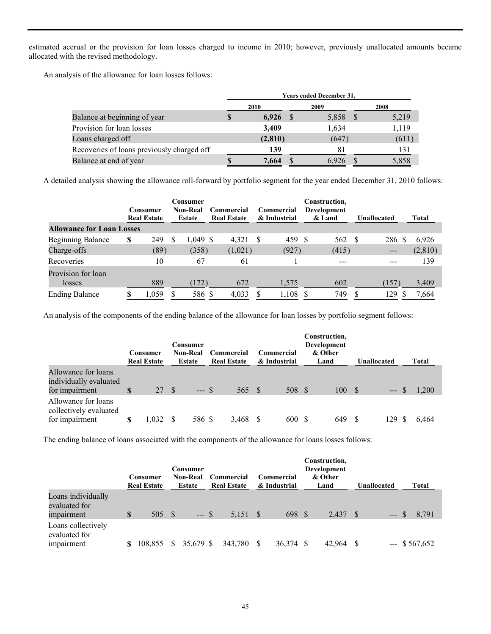estimated accrual or the provision for loan losses charged to income in 2010; however, previously unallocated amounts became allocated with the revised methodology.

An analysis of the allowance for loan losses follows:

|                                            |   |         | <b>Years ended December 31,</b> |       |
|--------------------------------------------|---|---------|---------------------------------|-------|
|                                            |   | 2010    | 2009                            | 2008  |
| Balance at beginning of year               | S | 6,926   | 5,858                           | 5,219 |
| Provision for loan losses                  |   | 3,409   | 1,634                           | 1,119 |
| Loans charged off                          |   | (2,810) | (647)                           | (611) |
| Recoveries of loans previously charged off |   | 139     | 81                              | 131   |
| Balance at end of year                     | Ф | 7,664   | 6.926                           | 5,858 |

A detailed analysis showing the allowance roll-forward by portfolio segment for the year ended December 31, 2010 follows:

|                                  |   | Consumer<br><b>Non-Real</b><br>Consumer<br><b>Real Estate</b><br><b>Estate</b> |   | Commercial<br>Commercial<br>& Industrial<br><b>Real Estate</b> |  |         | Construction,<br><b>Development</b><br>& Land | <b>Unallocated</b> | Total  |      |  |         |
|----------------------------------|---|--------------------------------------------------------------------------------|---|----------------------------------------------------------------|--|---------|-----------------------------------------------|--------------------|--------|------|--|---------|
| <b>Allowance for Loan Losses</b> |   |                                                                                |   |                                                                |  |         |                                               |                    |        |      |  |         |
| <b>Beginning Balance</b>         | S | 249                                                                            | S | $1,049$ \$                                                     |  | 4,321   | -S                                            | 459 \$             | 562 \$ | 286  |  | 6.926   |
| Charge-offs                      |   | (89)                                                                           |   | (358)                                                          |  | (1,021) |                                               | (927)              | (415)  | ---  |  | (2,810) |
| Recoveries                       |   | 10                                                                             |   | 67                                                             |  | 61      |                                               |                    | ---    |      |  | 139     |
| Provision for loan<br>losses     |   | 889                                                                            |   | (172)                                                          |  | 672     |                                               | 1,575              | 602    | 157) |  | 3,409   |
| <b>Ending Balance</b>            |   | 1,059                                                                          |   | 586 \$                                                         |  | 4,033   |                                               | 1,108              | 749    | 129  |  | .664    |

An analysis of the components of the ending balance of the allowance for loan losses by portfolio segment follows:

|                                                                 |   | Consumer<br><b>Real Estate</b> |   | Consumer<br><b>Non-Real</b><br><b>Estate</b> | Commercial<br><b>Real Estate</b> | Commercial<br>& Industrial |      | Construction,<br>Development<br>& Other<br>Land | <b>Unallocated</b> | Total |
|-----------------------------------------------------------------|---|--------------------------------|---|----------------------------------------------|----------------------------------|----------------------------|------|-------------------------------------------------|--------------------|-------|
| Allowance for loans<br>individually evaluated<br>for impairment | S | 27S                            |   | $--$ \$                                      | 565 \$                           | 508                        | - \$ | 100                                             | $---$              | 1,200 |
| Allowance for loans<br>collectively evaluated<br>for impairment | S | 1,032                          | S | 586 S                                        | 3.468                            | 600                        |      | 649                                             | 129                | 6.464 |

The ending balance of loans associated with the components of the allowance for loans losses follows:

|                                                   |    | Consumer<br><b>Real Estate</b> | Consumer<br><b>Non-Real</b><br><b>Estate</b> | Commercial<br><b>Real Estate</b> |              | <b>Commercial</b><br>& Industrial | Construction,<br>Development<br>& Other<br>Land |     | Unallocated | <b>Total</b> |
|---------------------------------------------------|----|--------------------------------|----------------------------------------------|----------------------------------|--------------|-----------------------------------|-------------------------------------------------|-----|-------------|--------------|
| Loans individually<br>evaluated for<br>impairment | S  | 505 \$                         | $--$ \$                                      | $5,151$ \$                       |              | 698 \$                            | 2,437                                           | - S |             | $-$ \$ 8,791 |
| Loans collectively<br>evaluated for<br>impairment | S. | 108,855                        | $$35,679$ \, S                               | 343,780                          | <sup>S</sup> | 36,374 \$                         | 42.964                                          |     |             | $-5567,652$  |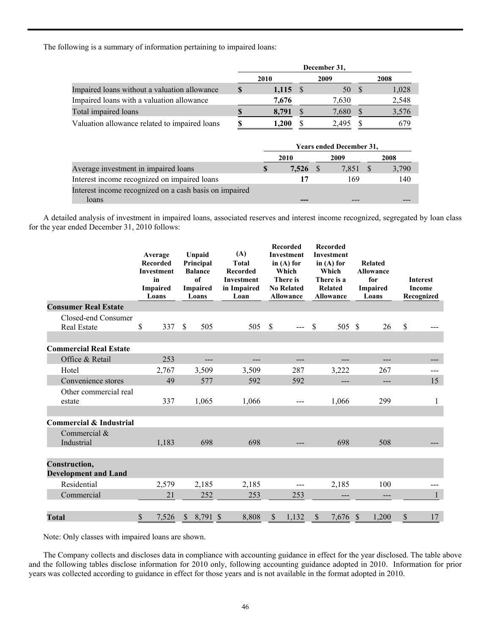The following is a summary of information pertaining to impaired loans:

|                                                  |  | December 31, |       |                                 |                  |                   |  |  |  |  |
|--------------------------------------------------|--|--------------|-------|---------------------------------|------------------|-------------------|--|--|--|--|
|                                                  |  | 2010         | 2009  |                                 |                  | 2008              |  |  |  |  |
| Impaired loans without a valuation allowance     |  | 1,115        |       | 50                              |                  | 1,028             |  |  |  |  |
| Impaired loans with a valuation allowance        |  | 7,676        |       | 7,630                           |                  | 2,548             |  |  |  |  |
| Total impaired loans                             |  | 8,791        |       | 7,680                           |                  | 3,576             |  |  |  |  |
| Valuation allowance related to impaired loans    |  | 1,200        |       | 2,495                           |                  | 679               |  |  |  |  |
|                                                  |  |              |       | <b>Years ended December 31,</b> |                  |                   |  |  |  |  |
|                                                  |  | 2010         |       | 2009                            |                  | 2008              |  |  |  |  |
| Average investment in impaired loans             |  | S            | 7,526 | 7,851                           |                  | 3,790<br><b>S</b> |  |  |  |  |
| Interest in cause measurined on increalmed lagua |  |              | $1 -$ |                                 | 1 C <sub>O</sub> | 1.4 <sub>0</sub>  |  |  |  |  |

Interest income recognized on impaired loans **17** 169 140 Interest income recognized on a cash basis on impaired loans **---** --- ---

 A detailed analysis of investment in impaired loans, associated reserves and interest income recognized, segregated by loan class for the year ended December 31, 2010 follows:

|                                              | Average<br><b>Recorded</b><br><b>Investment</b><br>in<br>Impaired<br>Loans | Unpaid<br>Principal<br><b>Balance</b><br>of<br>Impaired<br>Loans | (A)<br><b>Total</b><br><b>Recorded</b><br><b>Investment</b><br>in Impaired<br>Loan | <b>Recorded</b><br><b>Investment</b><br>in $(A)$ for<br>Which<br>There is<br><b>No Related</b><br><b>Allowance</b> | <b>Recorded</b><br><b>Investment</b><br>in $(A)$ for<br>Which<br>There is a<br><b>Related</b><br><b>Allowance</b> | <b>Related</b><br><b>Allowance</b><br>for<br><b>Impaired</b><br>Loans | <b>Interest</b><br><b>Income</b><br>Recognized |
|----------------------------------------------|----------------------------------------------------------------------------|------------------------------------------------------------------|------------------------------------------------------------------------------------|--------------------------------------------------------------------------------------------------------------------|-------------------------------------------------------------------------------------------------------------------|-----------------------------------------------------------------------|------------------------------------------------|
| <b>Consumer Real Estate</b>                  |                                                                            |                                                                  |                                                                                    |                                                                                                                    |                                                                                                                   |                                                                       |                                                |
| Closed-end Consumer<br><b>Real Estate</b>    | \$<br>337                                                                  | $\mathbf{\hat{S}}$<br>505                                        | 505                                                                                | $\mathbb{S}$                                                                                                       | \$<br>505 \$                                                                                                      | 26                                                                    | \$                                             |
| <b>Commercial Real Estate</b>                |                                                                            |                                                                  |                                                                                    |                                                                                                                    |                                                                                                                   |                                                                       |                                                |
| Office & Retail                              | 253                                                                        |                                                                  |                                                                                    | $---$                                                                                                              | ---                                                                                                               |                                                                       |                                                |
| Hotel                                        | 2,767                                                                      | 3,509                                                            | 3,509                                                                              | 287                                                                                                                | 3,222                                                                                                             | 267                                                                   |                                                |
| Convenience stores                           | 49                                                                         | 577                                                              | 592                                                                                | 592                                                                                                                | ---                                                                                                               |                                                                       | 15                                             |
| Other commercial real<br>estate              | 337                                                                        | 1,065                                                            | 1,066                                                                              | ---                                                                                                                | 1,066                                                                                                             | 299                                                                   | $\mathbf{1}$                                   |
| <b>Commercial &amp; Industrial</b>           |                                                                            |                                                                  |                                                                                    |                                                                                                                    |                                                                                                                   |                                                                       |                                                |
| Commercial &<br>Industrial                   | 1,183                                                                      | 698                                                              | 698                                                                                |                                                                                                                    | 698                                                                                                               | 508                                                                   |                                                |
| Construction,<br><b>Development and Land</b> |                                                                            |                                                                  |                                                                                    |                                                                                                                    |                                                                                                                   |                                                                       |                                                |
| Residential                                  | 2,579                                                                      | 2,185                                                            | 2,185                                                                              | ---                                                                                                                | 2,185                                                                                                             | 100                                                                   |                                                |
| Commercial                                   | 21                                                                         | 252                                                              | 253                                                                                | 253                                                                                                                | ---                                                                                                               |                                                                       | $\mathbf{1}$                                   |
| <b>Total</b>                                 | 7,526<br>$\mathbb{S}$                                                      | 8,791 \$<br><sup>S</sup>                                         | 8,808                                                                              | $\mathcal{S}$<br>1,132                                                                                             | 7,676<br>$\mathbb{S}$                                                                                             | 1,200<br><sup>\$</sup>                                                | \$<br>17                                       |

Note: Only classes with impaired loans are shown.

 The Company collects and discloses data in compliance with accounting guidance in effect for the year disclosed. The table above and the following tables disclose information for 2010 only, following accounting guidance adopted in 2010. Information for prior years was collected according to guidance in effect for those years and is not available in the format adopted in 2010.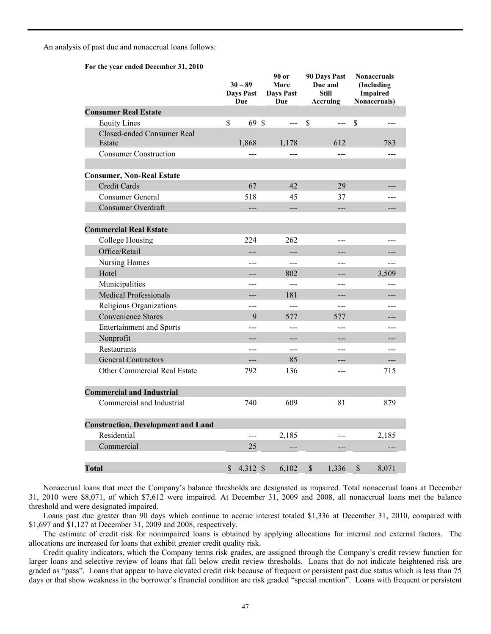An analysis of past due and nonaccrual loans follows:

| For the year ended December 31, 2010 |  |  |  |  |
|--------------------------------------|--|--|--|--|
|--------------------------------------|--|--|--|--|

|                                           | $30 - 89$<br><b>Days Past</b><br>Due | 90 or<br>More<br><b>Days Past</b><br>Due | 90 Days Past<br>Due and<br>Still<br>Accruing | <b>Nonaccruals</b><br>(Including<br>Impaired<br>Nonaccruals) |
|-------------------------------------------|--------------------------------------|------------------------------------------|----------------------------------------------|--------------------------------------------------------------|
| <b>Consumer Real Estate</b>               |                                      |                                          |                                              |                                                              |
| <b>Equity Lines</b>                       | \$<br>69 \$                          | $\overline{a}$                           | $\mathbf{\hat{S}}$<br>$\frac{1}{2}$          | $\mathcal{S}$<br>$---$                                       |
| Closed-ended Consumer Real<br>Estate      | 1,868                                | 1,178                                    | 612                                          | 783                                                          |
| <b>Consumer Construction</b>              | $---$                                | ---                                      | ---                                          | ---                                                          |
|                                           |                                      |                                          |                                              |                                                              |
| <b>Consumer, Non-Real Estate</b>          |                                      |                                          |                                              |                                                              |
| <b>Credit Cards</b>                       | 67                                   | 42                                       | 29                                           | ---                                                          |
| <b>Consumer General</b>                   | 518                                  | 45                                       | 37                                           |                                                              |
| <b>Consumer Overdraft</b>                 | $---$                                | $---$                                    | ---                                          | ---                                                          |
|                                           |                                      |                                          |                                              |                                                              |
| <b>Commercial Real Estate</b>             |                                      |                                          |                                              |                                                              |
| <b>College Housing</b>                    | 224                                  | 262                                      | $---$                                        |                                                              |
| Office/Retail                             | ---                                  | $---$                                    |                                              |                                                              |
| Nursing Homes                             | $---$                                | $---$                                    | $---$                                        | $---$                                                        |
| Hotel                                     | $---$                                | 802                                      |                                              | 3,509                                                        |
| Municipalities                            | $---$                                | $\overline{a}$                           | $---$                                        |                                                              |
| <b>Medical Professionals</b>              | $---$                                | 181                                      | $---$                                        |                                                              |
| Religious Organizations                   | ---                                  | $\overline{a}$                           | ---                                          | ---                                                          |
| <b>Convenience Stores</b>                 | 9                                    | 577                                      | 577                                          | ---                                                          |
| <b>Entertainment and Sports</b>           | $---$                                | $\sim$                                   | $\overline{a}$                               |                                                              |
| Nonprofit                                 | ---                                  | $---$                                    | $---$                                        |                                                              |
| <b>Restaurants</b>                        | $---$                                | ---                                      | ---                                          |                                                              |
| <b>General Contractors</b>                | ---                                  | 85                                       | ---                                          | ---                                                          |
| Other Commercial Real Estate              | 792                                  | 136                                      | ---                                          | 715                                                          |
| <b>Commercial and Industrial</b>          |                                      |                                          |                                              |                                                              |
| Commercial and Industrial                 | 740                                  | 609                                      | 81                                           | 879                                                          |
| <b>Construction, Development and Land</b> |                                      |                                          |                                              |                                                              |
| Residential                               | ---                                  | 2,185                                    | $---$                                        | 2,185                                                        |
| Commercial                                | 25                                   |                                          |                                              |                                                              |
|                                           |                                      |                                          |                                              |                                                              |
| <b>Total</b>                              | \$<br>4,312 \$                       | 6,102                                    | \$<br>1,336                                  | \$<br>8,071                                                  |

 Nonaccrual loans that meet the Company's balance thresholds are designated as impaired. Total nonaccrual loans at December 31, 2010 were \$8,071, of which \$7,612 were impaired. At December 31, 2009 and 2008, all nonaccrual loans met the balance threshold and were designated impaired.

 Loans past due greater than 90 days which continue to accrue interest totaled \$1,336 at December 31, 2010, compared with \$1,697 and \$1,127 at December 31, 2009 and 2008, respectively.

 The estimate of credit risk for nonimpaired loans is obtained by applying allocations for internal and external factors. The allocations are increased for loans that exhibit greater credit quality risk.

 Credit quality indicators, which the Company terms risk grades, are assigned through the Company's credit review function for larger loans and selective review of loans that fall below credit review thresholds. Loans that do not indicate heightened risk are graded as "pass". Loans that appear to have elevated credit risk because of frequent or persistent past due status which is less than 75 days or that show weakness in the borrower's financial condition are risk graded "special mention". Loans with frequent or persistent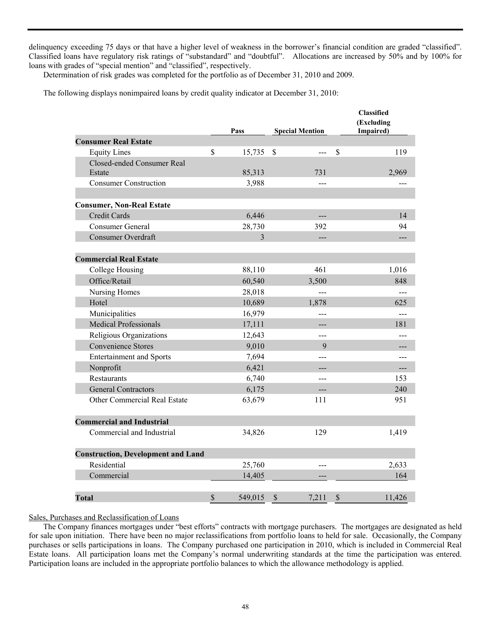delinquency exceeding 75 days or that have a higher level of weakness in the borrower's financial condition are graded "classified". Classified loans have regulatory risk ratings of "substandard" and "doubtful". Allocations are increased by 50% and by 100% for loans with grades of "special mention" and "classified", respectively.

Determination of risk grades was completed for the portfolio as of December 31, 2010 and 2009.

The following displays nonimpaired loans by credit quality indicator at December 31, 2010:

|                                           |             | Pass    | <b>Special Mention</b> | <b>Classified</b><br>(Excluding<br>Impaired) |       |
|-------------------------------------------|-------------|---------|------------------------|----------------------------------------------|-------|
| <b>Consumer Real Estate</b>               |             |         |                        |                                              |       |
| <b>Equity Lines</b>                       | $\mathbf S$ | 15,735  | \$<br>$---$            | \$                                           | 119   |
| Closed-ended Consumer Real<br>Estate      |             | 85,313  | 731                    |                                              | 2,969 |
| <b>Consumer Construction</b>              |             | 3,988   |                        |                                              | $---$ |
| <b>Consumer, Non-Real Estate</b>          |             |         |                        |                                              |       |
| <b>Credit Cards</b>                       |             | 6,446   | $---$                  |                                              | 14    |
| <b>Consumer General</b>                   |             | 28,730  | 392                    |                                              | 94    |
| <b>Consumer Overdraft</b>                 |             | 3       | $---$                  |                                              | $---$ |
| <b>Commercial Real Estate</b>             |             |         |                        |                                              |       |
| College Housing                           |             | 88,110  | 461                    |                                              | 1,016 |
| Office/Retail                             |             | 60,540  | 3,500                  |                                              | 848   |
| Nursing Homes                             |             | 28,018  | $---$                  |                                              |       |
| Hotel                                     |             | 10,689  | 1,878                  |                                              | 625   |
| Municipalities                            |             | 16,979  | ---                    |                                              |       |
| <b>Medical Professionals</b>              |             | 17,111  | $---$                  |                                              | 181   |
| Religious Organizations                   |             | 12,643  | ---                    |                                              |       |
| <b>Convenience Stores</b>                 |             | 9,010   | 9                      |                                              |       |
| <b>Entertainment and Sports</b>           |             | 7,694   | $---$                  |                                              |       |
| Nonprofit                                 |             | 6,421   | ---                    |                                              |       |
| Restaurants                               |             | 6,740   | $---$                  |                                              | 153   |
| <b>General Contractors</b>                |             | 6,175   | $---$                  |                                              | 240   |
| Other Commercial Real Estate              |             | 63,679  | 111                    |                                              | 951   |
| <b>Commercial and Industrial</b>          |             |         |                        |                                              |       |
| Commercial and Industrial                 |             | 34,826  | 129                    |                                              | 1,419 |
| <b>Construction, Development and Land</b> |             |         |                        |                                              |       |
| Residential                               |             | 25,760  | ---                    |                                              | 2,633 |
| Commercial                                |             | 14,405  |                        |                                              | 164   |
| <b>Total</b>                              | \$          | 549,015 | \$<br>7,211            | \$<br>11,426                                 |       |

# Sales, Purchases and Reclassification of Loans

 The Company finances mortgages under "best efforts" contracts with mortgage purchasers. The mortgages are designated as held for sale upon initiation. There have been no major reclassifications from portfolio loans to held for sale. Occasionally, the Company purchases or sells participations in loans. The Company purchased one participation in 2010, which is included in Commercial Real Estate loans. All participation loans met the Company's normal underwriting standards at the time the participation was entered. Participation loans are included in the appropriate portfolio balances to which the allowance methodology is applied.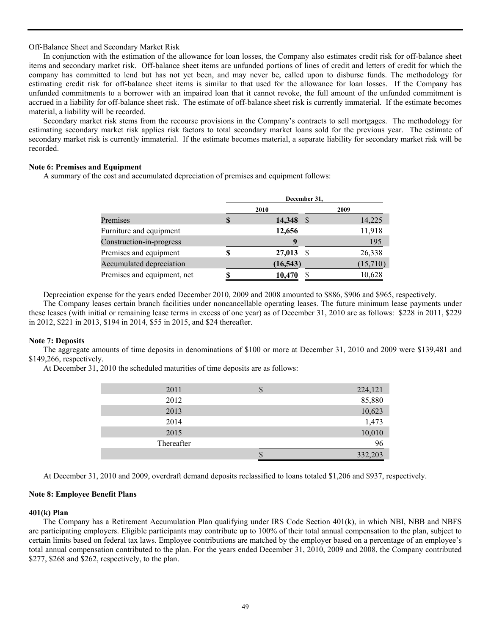#### Off-Balance Sheet and Secondary Market Risk

 In conjunction with the estimation of the allowance for loan losses, the Company also estimates credit risk for off-balance sheet items and secondary market risk. Off-balance sheet items are unfunded portions of lines of credit and letters of credit for which the company has committed to lend but has not yet been, and may never be, called upon to disburse funds. The methodology for estimating credit risk for off-balance sheet items is similar to that used for the allowance for loan losses. If the Company has unfunded commitments to a borrower with an impaired loan that it cannot revoke, the full amount of the unfunded commitment is accrued in a liability for off-balance sheet risk. The estimate of off-balance sheet risk is currently immaterial. If the estimate becomes material, a liability will be recorded.

 Secondary market risk stems from the recourse provisions in the Company's contracts to sell mortgages. The methodology for estimating secondary market risk applies risk factors to total secondary market loans sold for the previous year. The estimate of secondary market risk is currently immaterial. If the estimate becomes material, a separate liability for secondary market risk will be recorded.

#### **Note 6: Premises and Equipment**

A summary of the cost and accumulated depreciation of premises and equipment follows:

|                             | December 31, |           |              |          |  |  |  |  |
|-----------------------------|--------------|-----------|--------------|----------|--|--|--|--|
|                             |              | 2010      | 2009         |          |  |  |  |  |
| Premises                    | S            | 14,348    | <sup>S</sup> | 14,225   |  |  |  |  |
| Furniture and equipment     |              | 12,656    |              | 11,918   |  |  |  |  |
| Construction-in-progress    |              | 9         |              | 195      |  |  |  |  |
| Premises and equipment      |              | 27,013    |              | 26,338   |  |  |  |  |
| Accumulated depreciation    |              | (16, 543) |              | (15,710) |  |  |  |  |
| Premises and equipment, net |              | 10,470    |              | 10,628   |  |  |  |  |

Depreciation expense for the years ended December 2010, 2009 and 2008 amounted to \$886, \$906 and \$965, respectively.

 The Company leases certain branch facilities under noncancellable operating leases. The future minimum lease payments under these leases (with initial or remaining lease terms in excess of one year) as of December 31, 2010 are as follows: \$228 in 2011, \$229 in 2012, \$221 in 2013, \$194 in 2014, \$55 in 2015, and \$24 thereafter.

## **Note 7: Deposits**

 The aggregate amounts of time deposits in denominations of \$100 or more at December 31, 2010 and 2009 were \$139,481 and \$149,266, respectively.

At December 31, 2010 the scheduled maturities of time deposits are as follows:

| 2011       | 224,121 |
|------------|---------|
| 2012       | 85,880  |
| 2013       | 10,623  |
| 2014       | 1,473   |
| 2015       | 10,010  |
| Thereafter | 96      |
|            | 332,203 |

At December 31, 2010 and 2009, overdraft demand deposits reclassified to loans totaled \$1,206 and \$937, respectively.

#### **Note 8: Employee Benefit Plans**

#### **401(k) Plan**

The Company has a Retirement Accumulation Plan qualifying under IRS Code Section 401(k), in which NBI, NBB and NBFS are participating employers. Eligible participants may contribute up to 100% of their total annual compensation to the plan, subject to certain limits based on federal tax laws. Employee contributions are matched by the employer based on a percentage of an employee's total annual compensation contributed to the plan. For the years ended December 31, 2010, 2009 and 2008, the Company contributed \$277, \$268 and \$262, respectively, to the plan.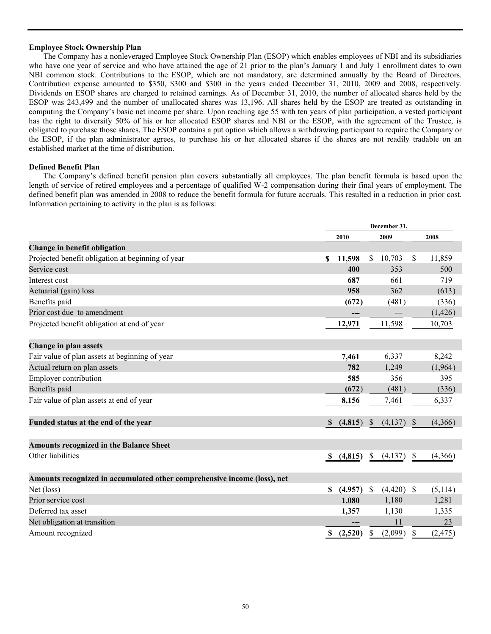#### **Employee Stock Ownership Plan**

 The Company has a nonleveraged Employee Stock Ownership Plan (ESOP) which enables employees of NBI and its subsidiaries who have one year of service and who have attained the age of 21 prior to the plan's January 1 and July 1 enrollment dates to own NBI common stock. Contributions to the ESOP, which are not mandatory, are determined annually by the Board of Directors. Contribution expense amounted to \$350, \$300 and \$300 in the years ended December 31, 2010, 2009 and 2008, respectively. Dividends on ESOP shares are charged to retained earnings. As of December 31, 2010, the number of allocated shares held by the ESOP was 243,499 and the number of unallocated shares was 13,196. All shares held by the ESOP are treated as outstanding in computing the Company's basic net income per share. Upon reaching age 55 with ten years of plan participation, a vested participant has the right to diversify 50% of his or her allocated ESOP shares and NBI or the ESOP, with the agreement of the Trustee, is obligated to purchase those shares. The ESOP contains a put option which allows a withdrawing participant to require the Company or the ESOP, if the plan administrator agrees, to purchase his or her allocated shares if the shares are not readily tradable on an established market at the time of distribution.

## **Defined Benefit Plan**

 The Company's defined benefit pension plan covers substantially all employees. The plan benefit formula is based upon the length of service of retired employees and a percentage of qualified W-2 compensation during their final years of employment. The defined benefit plan was amended in 2008 to reduce the benefit formula for future accruals. This resulted in a reduction in prior cost. Information pertaining to activity in the plan is as follows:

|                                                                          | December 31,  |         |              |              |              |          |
|--------------------------------------------------------------------------|---------------|---------|--------------|--------------|--------------|----------|
|                                                                          | 2010          |         |              | 2009         |              | 2008     |
| Change in benefit obligation                                             |               |         |              |              |              |          |
| Projected benefit obligation at beginning of year                        | 11,598<br>S   |         | \$           | 10,703       | S            | 11,859   |
| Service cost                                                             |               | 400     |              | 353          |              | 500      |
| Interest cost                                                            |               | 687     |              | 661          |              | 719      |
| Actuarial (gain) loss                                                    |               | 958     |              | 362          |              | (613)    |
| Benefits paid                                                            |               | (672)   |              | (481)        |              | (336)    |
| Prior cost due to amendment                                              |               | ---     |              |              |              | (1, 426) |
| Projected benefit obligation at end of year                              | 12,971        |         |              | 11,598       |              | 10,703   |
|                                                                          |               |         |              |              |              |          |
| Change in plan assets                                                    |               |         |              |              |              |          |
| Fair value of plan assets at beginning of year                           |               | 7,461   |              | 6,337        |              | 8,242    |
| Actual return on plan assets                                             |               | 782     |              | 1,249        |              | (1,964)  |
| <b>Employer contribution</b>                                             |               | 585     |              | 356          |              | 395      |
| Benefits paid                                                            |               | (672)   |              | (481)        |              | (336)    |
| Fair value of plan assets at end of year                                 |               | 8,156   |              | 7,461        |              | 6,337    |
| Funded status at the end of the year                                     | <sup>\$</sup> | (4,815) | $\mathbb{S}$ | (4,137)      | <sup>S</sup> | (4,366)  |
| <b>Amounts recognized in the Balance Sheet</b>                           |               |         |              |              |              |          |
| Other liabilities                                                        | \$            | (4,815) | \$           | (4,137)      | \$           | (4,366)  |
| Amounts recognized in accumulated other comprehensive income (loss), net |               |         |              |              |              |          |
| Net (loss)                                                               | \$            | (4,957) | \$           | $(4,420)$ \$ |              | (5,114)  |
| Prior service cost                                                       |               | 1,080   |              | 1,180        |              | 1,281    |
| Deferred tax asset                                                       |               | 1,357   |              | 1,130        |              | 1,335    |
| Net obligation at transition                                             |               |         |              | 11           |              | 23       |
| Amount recognized                                                        | S             | (2,520) | \$           | (2,099)      | \$           | (2, 475) |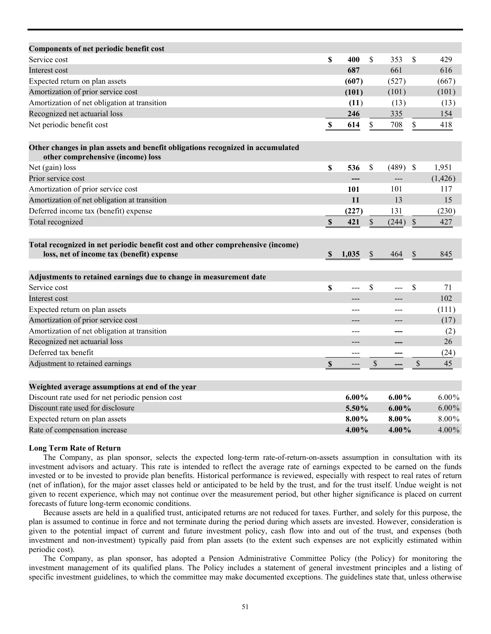| Components of net periodic benefit cost                                                                                     |               |          |                           |          |                           |          |
|-----------------------------------------------------------------------------------------------------------------------------|---------------|----------|---------------------------|----------|---------------------------|----------|
| Service cost                                                                                                                | \$            | 400      | \$                        | 353      | \$                        | 429      |
| Interest cost                                                                                                               |               | 687      |                           | 661      |                           | 616      |
| Expected return on plan assets                                                                                              |               | (607)    |                           | (527)    |                           | (667)    |
| Amortization of prior service cost                                                                                          |               | (101)    |                           | (101)    |                           | (101)    |
| Amortization of net obligation at transition                                                                                |               | (11)     |                           | (13)     |                           | (13)     |
| Recognized net actuarial loss                                                                                               |               | 246      |                           | 335      |                           | 154      |
| Net periodic benefit cost                                                                                                   | $\mathbf{\$}$ | 614      | $\$$                      | 708      | \$                        | 418      |
| Other changes in plan assets and benefit obligations recognized in accumulated<br>other comprehensive (income) loss         |               |          |                           |          |                           |          |
| Net (gain) loss                                                                                                             | \$            | 536      | \$                        | (489)    | $\boldsymbol{\mathsf{S}}$ | 1,951    |
| Prior service cost                                                                                                          |               |          |                           |          |                           | (1, 426) |
| Amortization of prior service cost                                                                                          |               | 101      |                           | 101      |                           | 117      |
| Amortization of net obligation at transition                                                                                |               | 11       |                           | 13       |                           | 15       |
| Deferred income tax (benefit) expense                                                                                       |               | (227)    |                           | 131      |                           | (230)    |
| Total recognized                                                                                                            | $\mathbf S$   | 421      | $\$$                      | (244)    | $\$$                      | 427      |
| Total recognized in net periodic benefit cost and other comprehensive (income)<br>loss, net of income tax (benefit) expense | $\mathbf{\$}$ | 1,035    | $\boldsymbol{\mathsf{S}}$ | 464      | \$                        | 845      |
| Adjustments to retained earnings due to change in measurement date                                                          |               |          |                           |          |                           |          |
| Service cost                                                                                                                | \$            | ---      | \$                        |          | \$                        | 71       |
| Interest cost                                                                                                               |               |          |                           |          |                           | 102      |
| Expected return on plan assets                                                                                              |               | ---      |                           |          |                           | (111)    |
| Amortization of prior service cost                                                                                          |               |          |                           |          |                           | (17)     |
| Amortization of net obligation at transition                                                                                |               | ---      |                           |          |                           | (2)      |
| Recognized net actuarial loss                                                                                               |               |          |                           |          |                           | 26       |
| Deferred tax benefit                                                                                                        |               |          |                           |          |                           | (24)     |
| Adjustment to retained earnings                                                                                             | $\mathbf S$   | ---      | $\mathbb{S}$              |          | $\mathcal{S}$             | 45       |
| Weighted average assumptions at end of the year                                                                             |               |          |                           |          |                           |          |
| Discount rate used for net periodic pension cost                                                                            |               | $6.00\%$ |                           | $6.00\%$ |                           | $6.00\%$ |
| Discount rate used for disclosure                                                                                           |               | 5.50%    |                           | $6.00\%$ |                           | $6.00\%$ |
| Expected return on plan assets                                                                                              |               | $8.00\%$ |                           | $8.00\%$ |                           | 8.00%    |
| Rate of compensation increase                                                                                               |               | 4.00%    |                           | $4.00\%$ |                           | 4.00%    |

# **Long Term Rate of Return**

 The Company, as plan sponsor, selects the expected long-term rate-of-return-on-assets assumption in consultation with its investment advisors and actuary. This rate is intended to reflect the average rate of earnings expected to be earned on the funds invested or to be invested to provide plan benefits. Historical performance is reviewed, especially with respect to real rates of return (net of inflation), for the major asset classes held or anticipated to be held by the trust, and for the trust itself. Undue weight is not given to recent experience, which may not continue over the measurement period, but other higher significance is placed on current forecasts of future long-term economic conditions.

 Because assets are held in a qualified trust, anticipated returns are not reduced for taxes. Further, and solely for this purpose, the plan is assumed to continue in force and not terminate during the period during which assets are invested. However, consideration is given to the potential impact of current and future investment policy, cash flow into and out of the trust, and expenses (both investment and non-investment) typically paid from plan assets (to the extent such expenses are not explicitly estimated within periodic cost).

 The Company, as plan sponsor, has adopted a Pension Administrative Committee Policy (the Policy) for monitoring the investment management of its qualified plans. The Policy includes a statement of general investment principles and a listing of specific investment guidelines, to which the committee may make documented exceptions. The guidelines state that, unless otherwise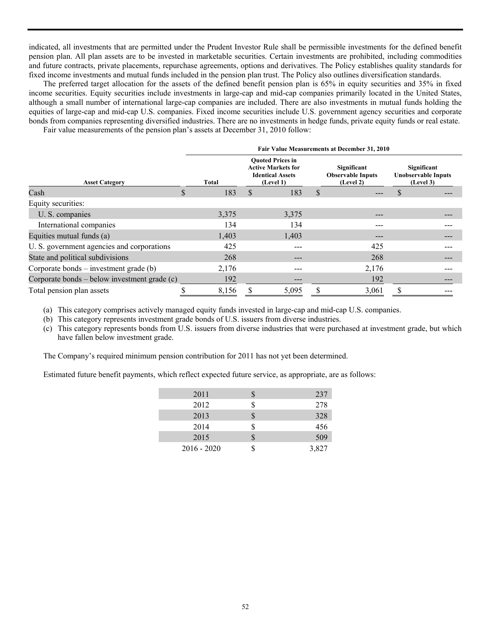indicated, all investments that are permitted under the Prudent Investor Rule shall be permissible investments for the defined benefit pension plan. All plan assets are to be invested in marketable securities. Certain investments are prohibited, including commodities and future contracts, private placements, repurchase agreements, options and derivatives. The Policy establishes quality standards for fixed income investments and mutual funds included in the pension plan trust. The Policy also outlines diversification standards.

 The preferred target allocation for the assets of the defined benefit pension plan is 65% in equity securities and 35% in fixed income securities. Equity securities include investments in large-cap and mid-cap companies primarily located in the United States, although a small number of international large-cap companies are included. There are also investments in mutual funds holding the equities of large-cap and mid-cap U.S. companies. Fixed income securities include U.S. government agency securities and corporate bonds from companies representing diversified industries. There are no investments in hedge funds, private equity funds or real estate.

Fair value measurements of the pension plan's assets at December 31, 2010 follow:

|                                              |       |       |                                                                                              |   | Fair Value Measurements at December 31, 2010         |                                                        |     |
|----------------------------------------------|-------|-------|----------------------------------------------------------------------------------------------|---|------------------------------------------------------|--------------------------------------------------------|-----|
| <b>Asset Category</b>                        | Total |       | <b>Ouoted Prices in</b><br><b>Active Markets for</b><br><b>Identical Assets</b><br>(Level 1) |   | Significant<br><b>Observable Inputs</b><br>(Level 2) | Significant<br><b>Unobservable Inputs</b><br>(Level 3) |     |
| Cash                                         |       | 183   | \$<br>183                                                                                    | S |                                                      |                                                        |     |
| Equity securities:                           |       |       |                                                                                              |   |                                                      |                                                        |     |
| U. S. companies                              |       | 3,375 | 3,375                                                                                        |   | $---$                                                |                                                        | --- |
| International companies                      |       | 134   | 134                                                                                          |   |                                                      |                                                        |     |
| Equities mutual funds (a)                    |       | 1,403 | 1,403                                                                                        |   | ---                                                  |                                                        |     |
| U. S. government agencies and corporations   |       | 425   | $- - -$                                                                                      |   | 425                                                  |                                                        | --- |
| State and political subdivisions             |       | 268   | ---                                                                                          |   | 268                                                  |                                                        |     |
| Corporate bonds – investment grade (b)       |       | 2,176 |                                                                                              |   | 2,176                                                |                                                        |     |
| Corporate bonds – below investment grade (c) |       | 192   | $\qquad \qquad \cdots$                                                                       |   | 192                                                  |                                                        |     |
| Total pension plan assets                    |       | 8,156 | 5,095                                                                                        |   | 3,061                                                |                                                        |     |

(a) This category comprises actively managed equity funds invested in large-cap and mid-cap U.S. companies.

(b) This category represents investment grade bonds of U.S. issuers from diverse industries.

(c) This category represents bonds from U.S. issuers from diverse industries that were purchased at investment grade, but which have fallen below investment grade.

The Company's required minimum pension contribution for 2011 has not yet been determined.

Estimated future benefit payments, which reflect expected future service, as appropriate, are as follows:

| 2011          | \$ | 237   |
|---------------|----|-------|
| 2012          | \$ | 278   |
| 2013          | \$ | 328   |
| 2014          | S  | 456   |
| 2015          | \$ | 509   |
| $2016 - 2020$ |    | 3,827 |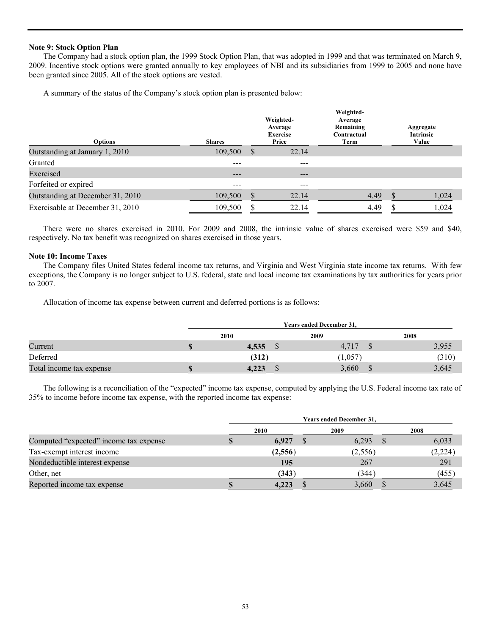### **Note 9: Stock Option Plan**

 The Company had a stock option plan, the 1999 Stock Option Plan, that was adopted in 1999 and that was terminated on March 9, 2009. Incentive stock options were granted annually to key employees of NBI and its subsidiaries from 1999 to 2005 and none have been granted since 2005. All of the stock options are vested.

A summary of the status of the Company's stock option plan is presented below:

| <b>Options</b>                   | Weighted-<br>Weighted-<br>Average<br>Remaining<br>Average<br><b>Exercise</b><br>Contractual<br>Price<br><b>Shares</b><br>Term |   | Aggregate<br><b>Intrinsic</b><br>Value |      |       |
|----------------------------------|-------------------------------------------------------------------------------------------------------------------------------|---|----------------------------------------|------|-------|
| Outstanding at January 1, 2010   | 109,500                                                                                                                       | S | 22.14                                  |      |       |
| Granted                          | ---                                                                                                                           |   | $---$                                  |      |       |
| Exercised                        | $- - -$                                                                                                                       |   | ---                                    |      |       |
| Forfeited or expired             | ---                                                                                                                           |   | ---                                    |      |       |
| Outstanding at December 31, 2010 | 109,500                                                                                                                       |   | 22.14                                  | 4.49 | 1,024 |
| Exercisable at December 31, 2010 | 109,500                                                                                                                       |   | 22.14                                  | 4.49 | 1,024 |

There were no shares exercised in 2010. For 2009 and 2008, the intrinsic value of shares exercised were \$59 and \$40, respectively. No tax benefit was recognized on shares exercised in those years.

## **Note 10: Income Taxes**

 The Company files United States federal income tax returns, and Virginia and West Virginia state income tax returns. With few exceptions, the Company is no longer subject to U.S. federal, state and local income tax examinations by tax authorities for years prior to 2007.

Allocation of income tax expense between current and deferred portions is as follows:

|                          | <b>Years ended December 31,</b> |  |       |  |       |  |  |  |  |  |
|--------------------------|---------------------------------|--|-------|--|-------|--|--|--|--|--|
|                          | 2010                            |  | 2009  |  | 2008  |  |  |  |  |  |
| Current                  | 4,535                           |  | 4,717 |  | 3,955 |  |  |  |  |  |
| Deferred                 | (312)                           |  | 1,057 |  | (310) |  |  |  |  |  |
| Total income tax expense | 4,223                           |  | 3,660 |  | 3,645 |  |  |  |  |  |

 The following is a reconciliation of the "expected" income tax expense, computed by applying the U.S. Federal income tax rate of 35% to income before income tax expense, with the reported income tax expense:

|                                        | <b>Years ended December 31,</b> |          |  |          |  |         |  |  |
|----------------------------------------|---------------------------------|----------|--|----------|--|---------|--|--|
|                                        |                                 | 2010     |  | 2009     |  | 2008    |  |  |
| Computed "expected" income tax expense |                                 | 6.927    |  | 6,293    |  | 6,033   |  |  |
| Tax-exempt interest income             |                                 | (2, 556) |  | (2, 556) |  | (2,224) |  |  |
| Nondeductible interest expense         |                                 | 195      |  | 267      |  | 291     |  |  |
| Other, net                             |                                 | (343)    |  | (344)    |  | (455)   |  |  |
| Reported income tax expense            |                                 | 4,223    |  | 3,660    |  | 3,645   |  |  |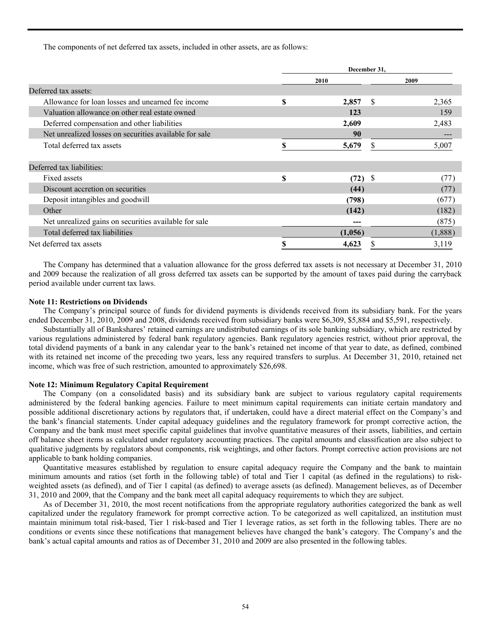The components of net deferred tax assets, included in other assets, are as follows:

|                                                        | December 31, |           |   |         |  |  |
|--------------------------------------------------------|--------------|-----------|---|---------|--|--|
|                                                        |              | 2010      |   | 2009    |  |  |
| Deferred tax assets:                                   |              |           |   |         |  |  |
| Allowance for loan losses and unearned fee income      | \$           | 2,857     | S | 2,365   |  |  |
| Valuation allowance on other real estate owned         |              | 123       |   | 159     |  |  |
| Deferred compensation and other liabilities            |              | 2,609     |   | 2,483   |  |  |
| Net unrealized losses on securities available for sale |              | 90        |   |         |  |  |
| Total deferred tax assets                              | \$           | 5,679     |   | 5,007   |  |  |
| Deferred tax liabilities:                              |              |           |   |         |  |  |
| Fixed assets                                           | \$           | $(72)$ \$ |   | (77)    |  |  |
| Discount accretion on securities                       |              | (44)      |   | (77)    |  |  |
| Deposit intangibles and goodwill                       |              | (798)     |   | (677)   |  |  |
| Other                                                  |              | (142)     |   | (182)   |  |  |
| Net unrealized gains on securities available for sale  |              | $--$      |   | (875)   |  |  |
| Total deferred tax liabilities                         |              | (1,056)   |   | (1,888) |  |  |
| Net deferred tax assets                                | \$           | 4,623     |   | 3,119   |  |  |

The Company has determined that a valuation allowance for the gross deferred tax assets is not necessary at December 31, 2010 and 2009 because the realization of all gross deferred tax assets can be supported by the amount of taxes paid during the carryback period available under current tax laws.

# **Note 11: Restrictions on Dividends**

 The Company's principal source of funds for dividend payments is dividends received from its subsidiary bank. For the years ended December 31, 2010, 2009 and 2008, dividends received from subsidiary banks were \$6,309, \$5,884 and \$5,591, respectively.

Substantially all of Bankshares' retained earnings are undistributed earnings of its sole banking subsidiary, which are restricted by various regulations administered by federal bank regulatory agencies. Bank regulatory agencies restrict, without prior approval, the total dividend payments of a bank in any calendar year to the bank's retained net income of that year to date, as defined, combined with its retained net income of the preceding two years, less any required transfers to surplus. At December 31, 2010, retained net income, which was free of such restriction, amounted to approximately \$26,698.

#### **Note 12: Minimum Regulatory Capital Requirement**

 The Company (on a consolidated basis) and its subsidiary bank are subject to various regulatory capital requirements administered by the federal banking agencies. Failure to meet minimum capital requirements can initiate certain mandatory and possible additional discretionary actions by regulators that, if undertaken, could have a direct material effect on the Company's and the bank's financial statements. Under capital adequacy guidelines and the regulatory framework for prompt corrective action, the Company and the bank must meet specific capital guidelines that involve quantitative measures of their assets, liabilities, and certain off balance sheet items as calculated under regulatory accounting practices. The capital amounts and classification are also subject to qualitative judgments by regulators about components, risk weightings, and other factors. Prompt corrective action provisions are not applicable to bank holding companies.

 Quantitative measures established by regulation to ensure capital adequacy require the Company and the bank to maintain minimum amounts and ratios (set forth in the following table) of total and Tier 1 capital (as defined in the regulations) to riskweighted assets (as defined), and of Tier 1 capital (as defined) to average assets (as defined). Management believes, as of December 31, 2010 and 2009, that the Company and the bank meet all capital adequacy requirements to which they are subject.

 As of December 31, 2010, the most recent notifications from the appropriate regulatory authorities categorized the bank as well capitalized under the regulatory framework for prompt corrective action. To be categorized as well capitalized, an institution must maintain minimum total risk-based, Tier 1 risk-based and Tier 1 leverage ratios, as set forth in the following tables. There are no conditions or events since these notifications that management believes have changed the bank's category. The Company's and the bank's actual capital amounts and ratios as of December 31, 2010 and 2009 are also presented in the following tables.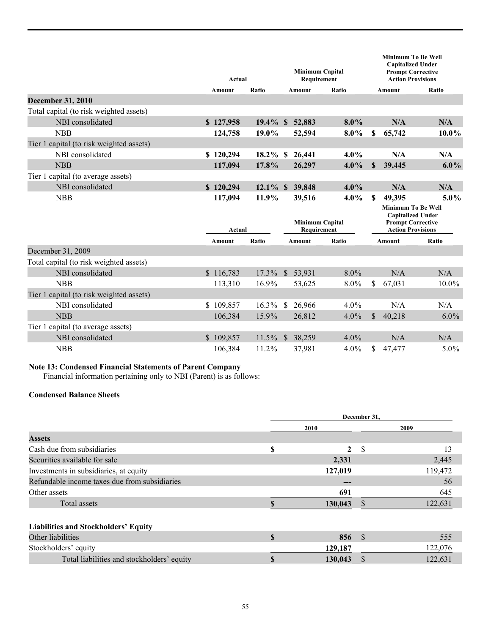|                                          | Actual    |             | <b>Minimum Capital</b><br>Requirement |         |              | <b>Minimum To Be Well</b><br><b>Capitalized Under</b><br><b>Prompt Corrective</b><br><b>Action Provisions</b> |          |
|------------------------------------------|-----------|-------------|---------------------------------------|---------|--------------|---------------------------------------------------------------------------------------------------------------|----------|
|                                          | Amount    | Ratio       | Amount                                | Ratio   |              | Amount                                                                                                        | Ratio    |
| <b>December 31, 2010</b>                 |           |             |                                       |         |              |                                                                                                               |          |
| Total capital (to risk weighted assets)  |           |             |                                       |         |              |                                                                                                               |          |
| NBI consolidated                         | \$127,958 | $19.4\%$ \$ | 52,883                                | $8.0\%$ |              | N/A                                                                                                           | N/A      |
| <b>NBB</b>                               | 124,758   | 19.0%       | 52,594                                | $8.0\%$ | \$           | 65,742                                                                                                        | $10.0\%$ |
| Tier 1 capital (to risk weighted assets) |           |             |                                       |         |              |                                                                                                               |          |
| NBI consolidated                         | \$120,294 | $18.2\%$ \$ | 26,441                                | $4.0\%$ |              | N/A                                                                                                           | N/A      |
| <b>NBB</b>                               | 117,094   | 17.8%       | 26,297                                | $4.0\%$ | $\mathbf{s}$ | 39,445                                                                                                        | $6.0\%$  |
| Tier 1 capital (to average assets)       |           |             |                                       |         |              |                                                                                                               |          |
| NBI consolidated                         | \$120,294 | $12.1\%$ \$ | 39,848                                | $4.0\%$ |              | N/A                                                                                                           | N/A      |
| <b>NBB</b>                               | 117,094   | 11.9%       | 39,516                                | $4.0\%$ | <b>S</b>     | 49,395                                                                                                        | $5.0\%$  |
|                                          | Actual    |             | <b>Minimum Capital</b><br>Requirement |         |              | <b>Minimum To Be Well</b><br><b>Capitalized Under</b><br><b>Prompt Corrective</b><br><b>Action Provisions</b> |          |
|                                          | Amount    | Ratio       | Amount                                | Ratio   |              | Amount                                                                                                        | Ratio    |
| December 31, 2009                        |           |             |                                       |         |              |                                                                                                               |          |
| Total capital (to risk weighted assets)  |           |             |                                       |         |              |                                                                                                               |          |
| NBI consolidated                         | \$116,783 |             | 17.3% \$ 53,931                       | 8.0%    |              | N/A                                                                                                           | N/A      |
| <b>NBB</b>                               | 113,310   | 16.9%       | 53,625                                | 8.0%    | \$           | 67,031                                                                                                        | 10.0%    |
| Tier 1 capital (to risk weighted assets) |           |             |                                       |         |              |                                                                                                               |          |
| NBI consolidated                         | \$109,857 | $16.3\%$    | 26,966<br><sup>S</sup>                | $4.0\%$ |              | N/A                                                                                                           | N/A      |
| <b>NBB</b>                               | 106,384   | 15.9%       | 26,812                                | 4.0%    | $\mathbb{S}$ | 40,218                                                                                                        | $6.0\%$  |
| Tier 1 capital (to average assets)       |           |             |                                       |         |              |                                                                                                               |          |
| NBI consolidated                         | \$109,857 | $11.5\%$ \$ | 38,259                                | 4.0%    |              | N/A                                                                                                           | N/A      |
| <b>NBB</b>                               | 106,384   | 11.2%       | 37,981                                | $4.0\%$ | \$           | 47,477                                                                                                        | 5.0%     |

## **Note 13: Condensed Financial Statements of Parent Company**

Financial information pertaining only to NBI (Parent) is as follows:

# **Condensed Balance Sheets**

|                                               | December 31, |              |               |         |  |  |  |
|-----------------------------------------------|--------------|--------------|---------------|---------|--|--|--|
|                                               |              | 2010         |               | 2009    |  |  |  |
| <b>Assets</b>                                 |              |              |               |         |  |  |  |
| Cash due from subsidiaries                    | \$           | $\mathbf{2}$ | -\$           | 13      |  |  |  |
| Securities available for sale                 |              | 2,331        |               | 2,445   |  |  |  |
| Investments in subsidiaries, at equity        |              | 127,019      |               | 119,472 |  |  |  |
| Refundable income taxes due from subsidiaries |              | ---          |               | 56      |  |  |  |
| Other assets                                  |              | 691          |               | 645     |  |  |  |
| Total assets                                  |              | 130,043      | <sup>\$</sup> | 122,631 |  |  |  |
| <b>Liabilities and Stockholders' Equity</b>   |              |              |               |         |  |  |  |
| Other liabilities                             | \$           | 856          | - \$          | 555     |  |  |  |
| Stockholders' equity                          |              | 129,187      |               | 122,076 |  |  |  |
| Total liabilities and stockholders' equity    |              | 130,043      |               | 122,631 |  |  |  |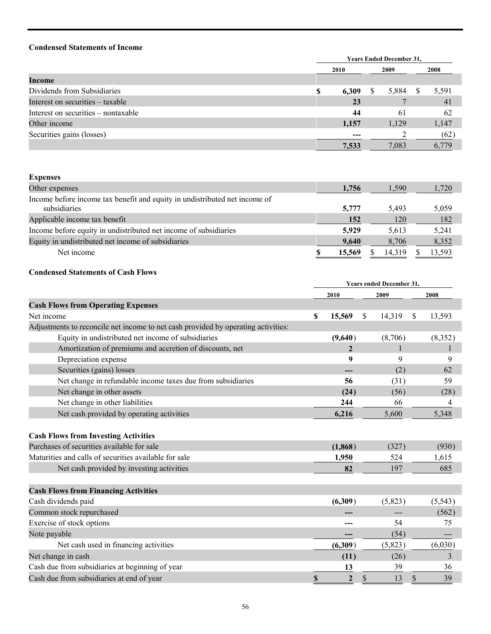# **Condensed Statements of Income**

|                                     |             | <b>Years Ended December 31,</b> |       |  |       |  |  |  |  |  |  |
|-------------------------------------|-------------|---------------------------------|-------|--|-------|--|--|--|--|--|--|
|                                     | 2010        |                                 | 2009  |  | 2008  |  |  |  |  |  |  |
| Income                              |             |                                 |       |  |       |  |  |  |  |  |  |
| Dividends from Subsidiaries         | \$<br>6,309 | S                               | 5,884 |  | 5,591 |  |  |  |  |  |  |
| Interest on securities – taxable    |             | 23                              |       |  | 41    |  |  |  |  |  |  |
| Interest on securities – nontaxable |             | 44                              | 61    |  | 62    |  |  |  |  |  |  |
| Other income                        | 1,157       |                                 | 1,129 |  | 1,147 |  |  |  |  |  |  |
| Securities gains (losses)           |             | $--$                            |       |  | (62)  |  |  |  |  |  |  |
|                                     | 7,533       |                                 | 7,083 |  | 6,779 |  |  |  |  |  |  |

# **Expenses**

| Other expenses                                                             |    | 1.756  | .590   | l.720  |
|----------------------------------------------------------------------------|----|--------|--------|--------|
| Income before income tax benefit and equity in undistributed net income of |    |        |        |        |
| subsidiaries                                                               |    | 5,777  | 5,493  | 5,059  |
| Applicable income tax benefit                                              |    | 152    | 120    | 182    |
| Income before equity in undistributed net income of subsidiaries           |    | 5,929  | 5,613  | 5,241  |
| Equity in undistributed net income of subsidiaries                         |    | 9,640  | 8,706  | 8,352  |
| Net income                                                                 | -S | 15,569 | 14.319 | 13.593 |

# **Condensed Statements of Cash Flows**

|                                                                                   | <b>Years ended December 31,</b> |                |              |         |               |          |  |
|-----------------------------------------------------------------------------------|---------------------------------|----------------|--------------|---------|---------------|----------|--|
|                                                                                   | 2010<br>2009                    |                |              |         | 2008          |          |  |
| <b>Cash Flows from Operating Expenses</b>                                         |                                 |                |              |         |               |          |  |
| Net income                                                                        | \$                              | 15,569         | S.           | 14,319  | <sup>\$</sup> | 13,593   |  |
| Adjustments to reconcile net income to net cash provided by operating activities: |                                 |                |              |         |               |          |  |
| Equity in undistributed net income of subsidiaries                                |                                 | (9,640)        |              | (8,706) |               | (8,352)  |  |
| Amortization of premiums and accretion of discounts, net                          |                                 | $\mathbf{2}$   |              |         |               |          |  |
| Depreciation expense                                                              |                                 | 9              |              | 9       |               | 9        |  |
| Securities (gains) losses                                                         |                                 |                |              | (2)     |               | 62       |  |
| Net change in refundable income taxes due from subsidiaries                       |                                 | 56             |              | (31)    |               | 59       |  |
| Net change in other assets                                                        |                                 | (24)           |              | (56)    |               | (28)     |  |
| Net change in other liabilities                                                   |                                 | 244            |              | 66      |               | 4        |  |
| Net cash provided by operating activities                                         |                                 | 6,216          |              | 5,600   |               | 5,348    |  |
| <b>Cash Flows from Investing Activities</b>                                       |                                 |                |              |         |               |          |  |
| Purchases of securities available for sale                                        |                                 | (1, 868)       |              | (327)   |               | (930)    |  |
| Maturities and calls of securities available for sale                             |                                 | 1,950          |              | 524     |               | 1,615    |  |
| Net cash provided by investing activities                                         |                                 | 82             |              | 197     |               | 685      |  |
| <b>Cash Flows from Financing Activities</b>                                       |                                 |                |              |         |               |          |  |
| Cash dividends paid                                                               |                                 | (6,309)        |              | (5,823) |               | (5, 543) |  |
| Common stock repurchased                                                          |                                 |                |              |         |               | (562)    |  |
| Exercise of stock options                                                         |                                 | ---            |              | 54      |               | 75       |  |
| Note payable                                                                      |                                 |                |              | (54)    |               |          |  |
| Net cash used in financing activities                                             |                                 | (6,309)        |              | (5,823) |               | (6,030)  |  |
| Net change in cash                                                                |                                 | (11)           |              | (26)    |               | 3        |  |
| Cash due from subsidiaries at beginning of year                                   |                                 | 13             |              | 39      |               | 36       |  |
| Cash due from subsidiaries at end of year                                         | \$                              | $\overline{2}$ | $\mathbb{S}$ | 13      | $\mathbb{S}$  | 39       |  |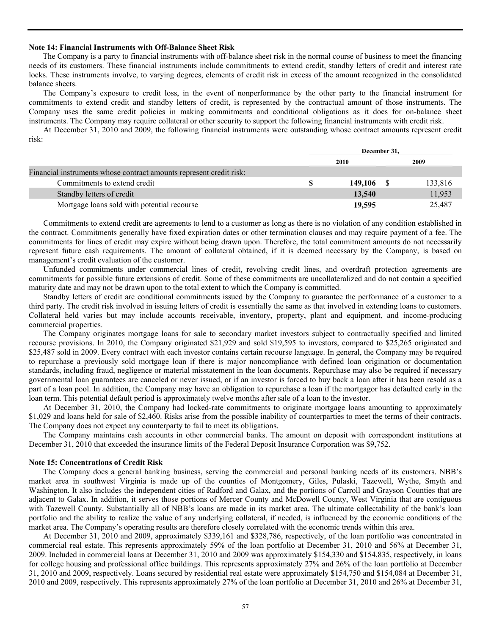#### **Note 14: Financial Instruments with Off-Balance Sheet Risk**

 The Company is a party to financial instruments with off-balance sheet risk in the normal course of business to meet the financing needs of its customers. These financial instruments include commitments to extend credit, standby letters of credit and interest rate locks. These instruments involve, to varying degrees, elements of credit risk in excess of the amount recognized in the consolidated balance sheets.

 The Company's exposure to credit loss, in the event of nonperformance by the other party to the financial instrument for commitments to extend credit and standby letters of credit, is represented by the contractual amount of those instruments. The Company uses the same credit policies in making commitments and conditional obligations as it does for on-balance sheet instruments. The Company may require collateral or other security to support the following financial instruments with credit risk.

 At December 31, 2010 and 2009, the following financial instruments were outstanding whose contract amounts represent credit risk:

|                                                                     | December 31. |         |  |         |  |
|---------------------------------------------------------------------|--------------|---------|--|---------|--|
|                                                                     | 2010         |         |  | 2009    |  |
| Financial instruments whose contract amounts represent credit risk: |              |         |  |         |  |
| Commitments to extend credit                                        |              | 149.106 |  | 133,816 |  |
| Standby letters of credit                                           |              | 13,540  |  | 11,953  |  |
| Mortgage loans sold with potential recourse                         |              | 19.595  |  | 25,487  |  |

Commitments to extend credit are agreements to lend to a customer as long as there is no violation of any condition established in the contract. Commitments generally have fixed expiration dates or other termination clauses and may require payment of a fee. The commitments for lines of credit may expire without being drawn upon. Therefore, the total commitment amounts do not necessarily represent future cash requirements. The amount of collateral obtained, if it is deemed necessary by the Company, is based on management's credit evaluation of the customer.

 Unfunded commitments under commercial lines of credit, revolving credit lines, and overdraft protection agreements are commitments for possible future extensions of credit. Some of these commitments are uncollateralized and do not contain a specified maturity date and may not be drawn upon to the total extent to which the Company is committed.

 Standby letters of credit are conditional commitments issued by the Company to guarantee the performance of a customer to a third party. The credit risk involved in issuing letters of credit is essentially the same as that involved in extending loans to customers. Collateral held varies but may include accounts receivable, inventory, property, plant and equipment, and income-producing commercial properties.

 The Company originates mortgage loans for sale to secondary market investors subject to contractually specified and limited recourse provisions. In 2010, the Company originated \$21,929 and sold \$19,595 to investors, compared to \$25,265 originated and \$25,487 sold in 2009. Every contract with each investor contains certain recourse language. In general, the Company may be required to repurchase a previously sold mortgage loan if there is major noncompliance with defined loan origination or documentation standards, including fraud, negligence or material misstatement in the loan documents. Repurchase may also be required if necessary governmental loan guarantees are canceled or never issued, or if an investor is forced to buy back a loan after it has been resold as a part of a loan pool. In addition, the Company may have an obligation to repurchase a loan if the mortgagor has defaulted early in the loan term. This potential default period is approximately twelve months after sale of a loan to the investor.

 At December 31, 2010, the Company had locked-rate commitments to originate mortgage loans amounting to approximately \$1,029 and loans held for sale of \$2,460. Risks arise from the possible inability of counterparties to meet the terms of their contracts. The Company does not expect any counterparty to fail to meet its obligations.

 The Company maintains cash accounts in other commercial banks. The amount on deposit with correspondent institutions at December 31, 2010 that exceeded the insurance limits of the Federal Deposit Insurance Corporation was \$9,752.

#### **Note 15: Concentrations of Credit Risk**

 The Company does a general banking business, serving the commercial and personal banking needs of its customers. NBB's market area in southwest Virginia is made up of the counties of Montgomery, Giles, Pulaski, Tazewell, Wythe, Smyth and Washington. It also includes the independent cities of Radford and Galax, and the portions of Carroll and Grayson Counties that are adjacent to Galax. In addition, it serves those portions of Mercer County and McDowell County, West Virginia that are contiguous with Tazewell County. Substantially all of NBB's loans are made in its market area. The ultimate collectability of the bank's loan portfolio and the ability to realize the value of any underlying collateral, if needed, is influenced by the economic conditions of the market area. The Company's operating results are therefore closely correlated with the economic trends within this area.

 At December 31, 2010 and 2009, approximately \$339,161 and \$328,786, respectively, of the loan portfolio was concentrated in commercial real estate. This represents approximately 59% of the loan portfolio at December 31, 2010 and 56% at December 31, 2009. Included in commercial loans at December 31, 2010 and 2009 was approximately \$154,330 and \$154,835, respectively, in loans for college housing and professional office buildings. This represents approximately 27% and 26% of the loan portfolio at December 31, 2010 and 2009, respectively. Loans secured by residential real estate were approximately \$154,750 and \$154,084 at December 31, 2010 and 2009, respectively. This represents approximately 27% of the loan portfolio at December 31, 2010 and 26% at December 31,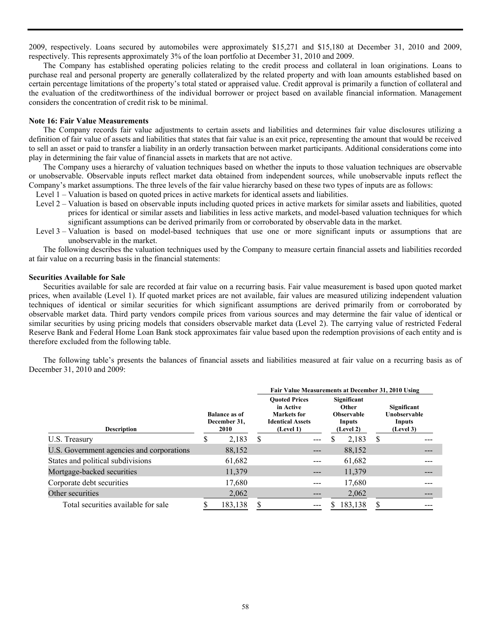2009, respectively. Loans secured by automobiles were approximately \$15,271 and \$15,180 at December 31, 2010 and 2009, respectively. This represents approximately 3% of the loan portfolio at December 31, 2010 and 2009.

 The Company has established operating policies relating to the credit process and collateral in loan originations. Loans to purchase real and personal property are generally collateralized by the related property and with loan amounts established based on certain percentage limitations of the property's total stated or appraised value. Credit approval is primarily a function of collateral and the evaluation of the creditworthiness of the individual borrower or project based on available financial information. Management considers the concentration of credit risk to be minimal.

#### **Note 16: Fair Value Measurements**

 The Company records fair value adjustments to certain assets and liabilities and determines fair value disclosures utilizing a definition of fair value of assets and liabilities that states that fair value is an exit price, representing the amount that would be received to sell an asset or paid to transfer a liability in an orderly transaction between market participants. Additional considerations come into play in determining the fair value of financial assets in markets that are not active.

 The Company uses a hierarchy of valuation techniques based on whether the inputs to those valuation techniques are observable or unobservable. Observable inputs reflect market data obtained from independent sources, while unobservable inputs reflect the Company's market assumptions. The three levels of the fair value hierarchy based on these two types of inputs are as follows:

- Level 1 Valuation is based on quoted prices in active markets for identical assets and liabilities.
- Level 2 Valuation is based on observable inputs including quoted prices in active markets for similar assets and liabilities, quoted prices for identical or similar assets and liabilities in less active markets, and model-based valuation techniques for which significant assumptions can be derived primarily from or corroborated by observable data in the market.
- Level 3 Valuation is based on model-based techniques that use one or more significant inputs or assumptions that are unobservable in the market.

 The following describes the valuation techniques used by the Company to measure certain financial assets and liabilities recorded at fair value on a recurring basis in the financial statements:

## **Securities Available for Sale**

 Securities available for sale are recorded at fair value on a recurring basis. Fair value measurement is based upon quoted market prices, when available (Level 1). If quoted market prices are not available, fair values are measured utilizing independent valuation techniques of identical or similar securities for which significant assumptions are derived primarily from or corroborated by observable market data. Third party vendors compile prices from various sources and may determine the fair value of identical or similar securities by using pricing models that considers observable market data (Level 2). The carrying value of restricted Federal Reserve Bank and Federal Home Loan Bank stock approximates fair value based upon the redemption provisions of each entity and is therefore excluded from the following table.

 The following table's presents the balances of financial assets and liabilities measured at fair value on a recurring basis as of December 31, 2010 and 2009:

|                                           |    |                                              | Fair Value Measurements at December 31, 2010 Using |                                                                                                 |   |                                                                         |    |                                                    |  |  |
|-------------------------------------------|----|----------------------------------------------|----------------------------------------------------|-------------------------------------------------------------------------------------------------|---|-------------------------------------------------------------------------|----|----------------------------------------------------|--|--|
| <b>Description</b>                        |    | <b>Balance as of</b><br>December 31,<br>2010 |                                                    | <b>Ouoted Prices</b><br>in Active<br><b>Markets</b> for<br><b>Identical Assets</b><br>(Level 1) |   | Significant<br><b>Other</b><br><b>Observable</b><br>Inputs<br>(Level 2) |    | Significant<br>Unobservable<br>Inputs<br>(Level 3) |  |  |
| U.S. Treasury                             | \$ | 2,183                                        | S                                                  |                                                                                                 | S | 2,183                                                                   | -S |                                                    |  |  |
| U.S. Government agencies and corporations |    | 88,152                                       |                                                    |                                                                                                 |   | 88,152                                                                  |    |                                                    |  |  |
| States and political subdivisions         |    | 61,682                                       |                                                    |                                                                                                 |   | 61,682                                                                  |    |                                                    |  |  |
| Mortgage-backed securities                |    | 11,379                                       |                                                    | ---                                                                                             |   | 11,379                                                                  |    |                                                    |  |  |
| Corporate debt securities                 |    | 17,680                                       |                                                    |                                                                                                 |   | 17,680                                                                  |    |                                                    |  |  |
| Other securities                          |    | 2,062                                        |                                                    |                                                                                                 |   | 2,062                                                                   |    |                                                    |  |  |
| Total securities available for sale       |    | 183,138                                      |                                                    |                                                                                                 |   | 183,138                                                                 |    |                                                    |  |  |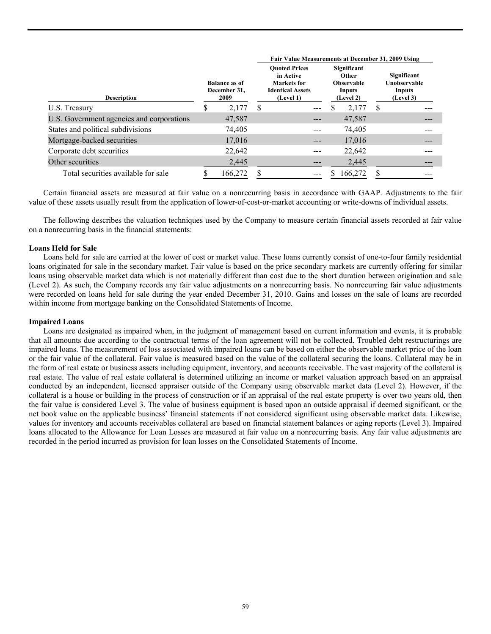|                                           |                                              |         |   | Fair Value Measurements at December 31, 2009 Using                                       |    |                                                                         |    |                                                    |  |  |  |  |
|-------------------------------------------|----------------------------------------------|---------|---|------------------------------------------------------------------------------------------|----|-------------------------------------------------------------------------|----|----------------------------------------------------|--|--|--|--|
| <b>Description</b>                        | <b>Balance as of</b><br>December 31,<br>2009 |         |   | <b>Ouoted Prices</b><br>in Active<br>Markets for<br><b>Identical Assets</b><br>(Level 1) |    | Significant<br><b>Other</b><br><b>Observable</b><br>Inputs<br>(Level 2) |    | Significant<br>Unobservable<br>Inputs<br>(Level 3) |  |  |  |  |
| U.S. Treasury                             | S                                            | 2,177   | S |                                                                                          | ъ. | 2,177                                                                   | -S |                                                    |  |  |  |  |
| U.S. Government agencies and corporations |                                              | 47,587  |   |                                                                                          |    | 47,587                                                                  |    |                                                    |  |  |  |  |
| States and political subdivisions         |                                              | 74,405  |   |                                                                                          |    | 74,405                                                                  |    |                                                    |  |  |  |  |
| Mortgage-backed securities                |                                              | 17,016  |   |                                                                                          |    | 17,016                                                                  |    |                                                    |  |  |  |  |
| Corporate debt securities                 |                                              | 22,642  |   |                                                                                          |    | 22,642                                                                  |    |                                                    |  |  |  |  |
| Other securities                          |                                              | 2,445   |   |                                                                                          |    | 2,445                                                                   |    |                                                    |  |  |  |  |
| Total securities available for sale       |                                              | 166,272 |   |                                                                                          |    | 166,272                                                                 |    |                                                    |  |  |  |  |

 Certain financial assets are measured at fair value on a nonrecurring basis in accordance with GAAP. Adjustments to the fair value of these assets usually result from the application of lower-of-cost-or-market accounting or write-downs of individual assets.

 The following describes the valuation techniques used by the Company to measure certain financial assets recorded at fair value on a nonrecurring basis in the financial statements:

#### **Loans Held for Sale**

 Loans held for sale are carried at the lower of cost or market value. These loans currently consist of one-to-four family residential loans originated for sale in the secondary market. Fair value is based on the price secondary markets are currently offering for similar loans using observable market data which is not materially different than cost due to the short duration between origination and sale (Level 2). As such, the Company records any fair value adjustments on a nonrecurring basis. No nonrecurring fair value adjustments were recorded on loans held for sale during the year ended December 31, 2010. Gains and losses on the sale of loans are recorded within income from mortgage banking on the Consolidated Statements of Income.

#### **Impaired Loans**

 Loans are designated as impaired when, in the judgment of management based on current information and events, it is probable that all amounts due according to the contractual terms of the loan agreement will not be collected. Troubled debt restructurings are impaired loans. The measurement of loss associated with impaired loans can be based on either the observable market price of the loan or the fair value of the collateral. Fair value is measured based on the value of the collateral securing the loans. Collateral may be in the form of real estate or business assets including equipment, inventory, and accounts receivable. The vast majority of the collateral is real estate. The value of real estate collateral is determined utilizing an income or market valuation approach based on an appraisal conducted by an independent, licensed appraiser outside of the Company using observable market data (Level 2). However, if the collateral is a house or building in the process of construction or if an appraisal of the real estate property is over two years old, then the fair value is considered Level 3. The value of business equipment is based upon an outside appraisal if deemed significant, or the net book value on the applicable business' financial statements if not considered significant using observable market data. Likewise, values for inventory and accounts receivables collateral are based on financial statement balances or aging reports (Level 3). Impaired loans allocated to the Allowance for Loan Losses are measured at fair value on a nonrecurring basis. Any fair value adjustments are recorded in the period incurred as provision for loan losses on the Consolidated Statements of Income.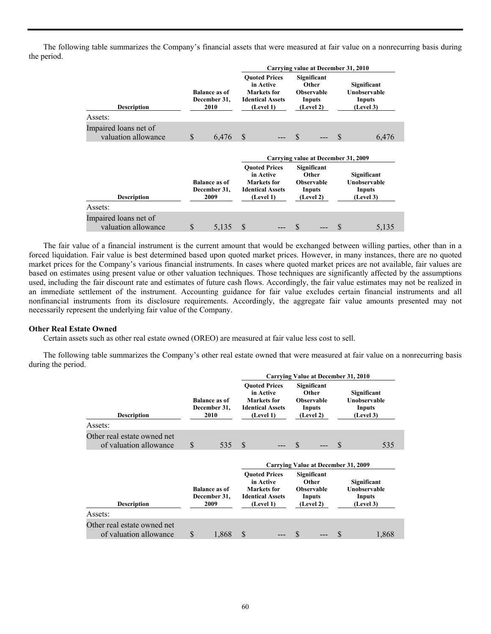The following table summarizes the Company's financial assets that were measured at fair value on a nonrecurring basis during the period.

|                               |                                              | Carrying value at December 31, 2010                                                      |                                     |                                                                  |  |               |                                                    |  |  |  |
|-------------------------------|----------------------------------------------|------------------------------------------------------------------------------------------|-------------------------------------|------------------------------------------------------------------|--|---------------|----------------------------------------------------|--|--|--|
| <b>Description</b><br>Assets: | <b>Balance as of</b><br>December 31,<br>2010 | <b>Ouoted Prices</b><br>in Active<br>Markets for<br><b>Identical Assets</b><br>(Level 1) |                                     | Significant<br>Other<br><b>Observable</b><br>Inputs<br>(Level 2) |  |               | Significant<br>Unobservable<br>Inputs<br>(Level 3) |  |  |  |
| Impaired loans net of         |                                              |                                                                                          |                                     |                                                                  |  |               |                                                    |  |  |  |
| valuation allowance           | \$<br>6,476                                  | <sup>\$</sup>                                                                            |                                     | \$                                                               |  | <sup>\$</sup> | 6,476                                              |  |  |  |
|                               |                                              |                                                                                          |                                     |                                                                  |  |               |                                                    |  |  |  |
|                               |                                              |                                                                                          | Carrying value at December 31, 2009 |                                                                  |  |               |                                                    |  |  |  |
| <b>Description</b>            | <b>Balance as of</b><br>December 31,<br>2009 | <b>Ouoted Prices</b><br>in Active<br>Markets for<br><b>Identical Assets</b><br>(Level 1) |                                     | Significant<br>Other<br><b>Observable</b><br>Inputs<br>(Level 2) |  |               | Significant<br>Unobservable<br>Inputs<br>(Level 3) |  |  |  |
| Assets:                       |                                              |                                                                                          |                                     |                                                                  |  |               |                                                    |  |  |  |

 The fair value of a financial instrument is the current amount that would be exchanged between willing parties, other than in a forced liquidation. Fair value is best determined based upon quoted market prices. However, in many instances, there are no quoted market prices for the Company's various financial instruments. In cases where quoted market prices are not available, fair values are based on estimates using present value or other valuation techniques. Those techniques are significantly affected by the assumptions used, including the fair discount rate and estimates of future cash flows. Accordingly, the fair value estimates may not be realized in an immediate settlement of the instrument. Accounting guidance for fair value excludes certain financial instruments and all nonfinancial instruments from its disclosure requirements. Accordingly, the aggregate fair value amounts presented may not necessarily represent the underlying fair value of the Company.

## **Other Real Estate Owned**

Certain assets such as other real estate owned (OREO) are measured at fair value less cost to sell.

The following table summarizes the Company's other real estate owned that were measured at fair value on a nonrecurring basis during the period.

|                                                       |                                              |                                              | Carrying Value at December 31, 2010 |                                                                                          |               |                                                                  |                                                    |                                                    |  |  |  |  |
|-------------------------------------------------------|----------------------------------------------|----------------------------------------------|-------------------------------------|------------------------------------------------------------------------------------------|---------------|------------------------------------------------------------------|----------------------------------------------------|----------------------------------------------------|--|--|--|--|
| <b>Description</b><br>Assets:                         | <b>Balance as of</b><br>December 31,<br>2010 |                                              |                                     | <b>Ouoted Prices</b><br>in Active<br>Markets for<br><b>Identical Assets</b><br>(Level 1) |               | Significant<br>Other<br><b>Observable</b><br>Inputs<br>(Level 2) | Significant<br>Unobservable<br>Inputs<br>(Level 3) |                                                    |  |  |  |  |
| Other real estate owned net<br>of valuation allowance | $\mathcal{S}$                                | 535                                          | <sup>\$</sup>                       |                                                                                          | <sup>\$</sup> |                                                                  | \$                                                 | 535                                                |  |  |  |  |
|                                                       |                                              |                                              | Carrying Value at December 31, 2009 |                                                                                          |               |                                                                  |                                                    |                                                    |  |  |  |  |
| <b>Description</b>                                    |                                              | <b>Balance as of</b><br>December 31,<br>2009 |                                     | <b>Ouoted Prices</b><br>in Active<br>Markets for<br><b>Identical Assets</b><br>(Level 1) |               | Significant<br>Other<br><b>Observable</b><br>Inputs<br>(Level 2) |                                                    | Significant<br>Unobservable<br>Inputs<br>(Level 3) |  |  |  |  |
| Assets:                                               |                                              |                                              |                                     |                                                                                          |               |                                                                  |                                                    |                                                    |  |  |  |  |
| Other real estate owned net<br>of valuation allowance | $\mathcal{S}$                                | 1,868                                        | S                                   |                                                                                          | S             |                                                                  | S                                                  | 1,868                                              |  |  |  |  |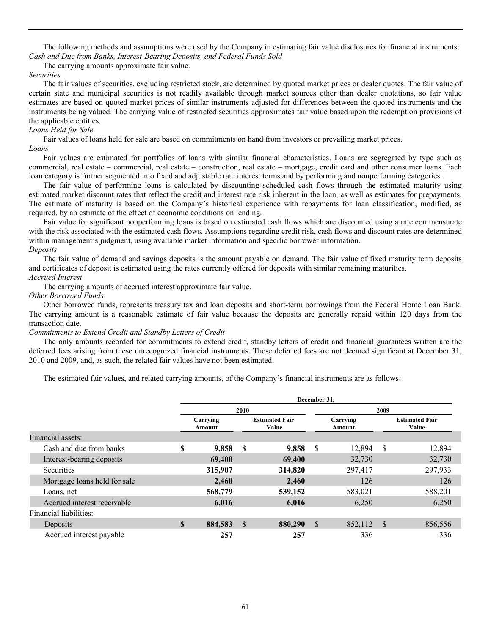The following methods and assumptions were used by the Company in estimating fair value disclosures for financial instruments: *Cash and Due from Banks, Interest-Bearing Deposits, and Federal Funds Sold* 

The carrying amounts approximate fair value.

# *Securities*

 The fair values of securities, excluding restricted stock, are determined by quoted market prices or dealer quotes. The fair value of certain state and municipal securities is not readily available through market sources other than dealer quotations, so fair value estimates are based on quoted market prices of similar instruments adjusted for differences between the quoted instruments and the instruments being valued. The carrying value of restricted securities approximates fair value based upon the redemption provisions of the applicable entities.

### *Loans Held for Sale*

Fair values of loans held for sale are based on commitments on hand from investors or prevailing market prices.

#### *Loans*

 Fair values are estimated for portfolios of loans with similar financial characteristics. Loans are segregated by type such as commercial, real estate – commercial, real estate – construction, real estate – mortgage, credit card and other consumer loans. Each loan category is further segmented into fixed and adjustable rate interest terms and by performing and nonperforming categories.

 The fair value of performing loans is calculated by discounting scheduled cash flows through the estimated maturity using estimated market discount rates that reflect the credit and interest rate risk inherent in the loan, as well as estimates for prepayments. The estimate of maturity is based on the Company's historical experience with repayments for loan classification, modified, as required, by an estimate of the effect of economic conditions on lending.

 Fair value for significant nonperforming loans is based on estimated cash flows which are discounted using a rate commensurate with the risk associated with the estimated cash flows. Assumptions regarding credit risk, cash flows and discount rates are determined within management's judgment, using available market information and specific borrower information. *Deposits* 

 The fair value of demand and savings deposits is the amount payable on demand. The fair value of fixed maturity term deposits and certificates of deposit is estimated using the rates currently offered for deposits with similar remaining maturities. *Accrued Interest* 

The carrying amounts of accrued interest approximate fair value.

#### *Other Borrowed Funds*

 Other borrowed funds, represents treasury tax and loan deposits and short-term borrowings from the Federal Home Loan Bank. The carrying amount is a reasonable estimate of fair value because the deposits are generally repaid within 120 days from the transaction date.

# *Commitments to Extend Credit and Standby Letters of Credit*

 The only amounts recorded for commitments to extend credit, standby letters of credit and financial guarantees written are the deferred fees arising from these unrecognized financial instruments. These deferred fees are not deemed significant at December 31, 2010 and 2009, and, as such, the related fair values have not been estimated.

The estimated fair values, and related carrying amounts, of the Company's financial instruments are as follows:

| December 31.  |                    |               |                                |              |                    |    |                                |  |  |
|---------------|--------------------|---------------|--------------------------------|--------------|--------------------|----|--------------------------------|--|--|
|               |                    |               |                                |              | 2009               |    |                                |  |  |
|               | Carrying<br>Amount |               | <b>Estimated Fair</b><br>Value |              | Carrying<br>Amount |    | <b>Estimated Fair</b><br>Value |  |  |
|               |                    |               |                                |              |                    |    |                                |  |  |
| \$            | 9,858              | -S            | 9,858                          | - \$         | 12,894             | -S | 12,894                         |  |  |
|               | 69,400             |               | 69,400                         |              | 32,730             |    | 32,730                         |  |  |
|               | 315,907            |               | 314,820                        |              | 297,417            |    | 297,933                        |  |  |
|               | 2,460              |               | 2,460                          |              | 126                |    | 126                            |  |  |
|               | 568,779            |               | 539,152                        |              | 583,021            |    | 588,201                        |  |  |
|               | 6,016              |               | 6,016                          |              | 6,250              |    | 6,250                          |  |  |
|               |                    |               |                                |              |                    |    |                                |  |  |
| <sup>\$</sup> | 884,583            | <sup>\$</sup> | 880,290                        | <sup>S</sup> | 852,112            | -S | 856,556                        |  |  |
|               | 257                |               | 257                            |              | 336                |    | 336                            |  |  |
|               |                    |               |                                | 2010         |                    |    |                                |  |  |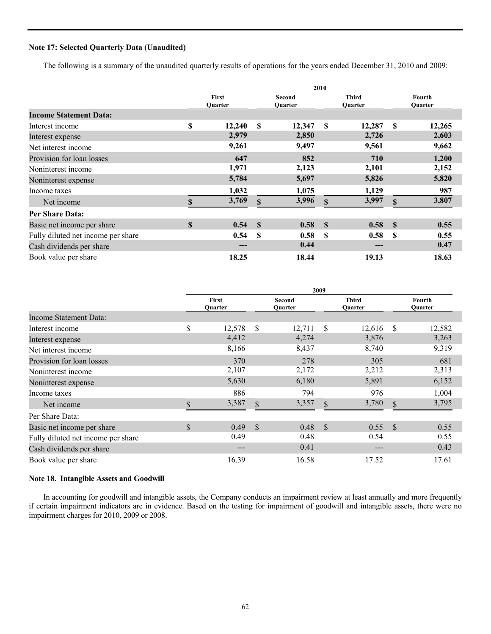# **Note 17: Selected Quarterly Data (Unaudited)**

The following is a summary of the unaudited quarterly results of operations for the years ended December 31, 2010 and 2009:

|                                    | 2010                      |        |              |                          |              |                         |              |                          |
|------------------------------------|---------------------------|--------|--------------|--------------------------|--------------|-------------------------|--------------|--------------------------|
|                                    | First<br><b>Ouarter</b>   |        |              | Second<br><b>Ouarter</b> |              | <b>Third</b><br>Ouarter |              | Fourth<br><b>Ouarter</b> |
| <b>Income Statement Data:</b>      |                           |        |              |                          |              |                         |              |                          |
| Interest income                    | \$                        | 12,240 | <b>S</b>     | 12,347                   | S            | 12,287                  | S            | 12,265                   |
| Interest expense                   |                           | 2,979  |              | 2,850                    |              | 2,726                   |              | 2,603                    |
| Net interest income                |                           | 9,261  |              | 9,497                    |              | 9,561                   |              | 9,662                    |
| Provision for loan losses          |                           | 647    |              | 852                      |              | 710                     |              | 1,200                    |
| Noninterest income                 |                           | 1,971  |              | 2,123                    |              | 2,101                   |              | 2,152                    |
| Noninterest expense                |                           | 5,784  |              | 5,697                    |              | 5,826                   |              | 5,820                    |
| Income taxes                       |                           | 1,032  |              | 1,075                    |              | 1,129                   |              | 987                      |
| Net income                         | $\boldsymbol{\mathsf{S}}$ | 3,769  | $\mathbf S$  | 3,996                    | $\mathbf{s}$ | 3,997                   | $\mathbf S$  | 3,807                    |
| <b>Per Share Data:</b>             |                           |        |              |                          |              |                         |              |                          |
| Basic net income per share         | $\mathbf S$               | 0.54   | $\mathbf{s}$ | 0.58                     | $\mathbf{s}$ | 0.58                    | <sup>S</sup> | 0.55                     |
| Fully diluted net income per share |                           | 0.54   | -S           | 0.58                     | S            | 0.58                    | S            | 0.55                     |
| Cash dividends per share           |                           | ---    |              | 0.44                     |              | $---$                   |              | 0.47                     |
| Book value per share               |                           | 18.25  |              | 18.44                    |              | 19.13                   |              | 18.63                    |

|                                    |                         | 2009    |                    |                          |                                |        |                    |        |
|------------------------------------|-------------------------|---------|--------------------|--------------------------|--------------------------------|--------|--------------------|--------|
|                                    | First<br><b>Ouarter</b> |         |                    | Second<br><b>Ouarter</b> | <b>Third</b><br><b>Ouarter</b> |        | Fourth<br>Quarter  |        |
| Income Statement Data:             |                         |         |                    |                          |                                |        |                    |        |
| Interest income                    | \$                      | 12,578  | \$.                | 12,711                   | <sup>\$</sup>                  | 12,616 | <sup>\$</sup>      | 12,582 |
| Interest expense                   |                         | 4,412   |                    | 4,274                    |                                | 3,876  |                    | 3,263  |
| Net interest income                |                         | 8,166   |                    | 8,437                    |                                | 8,740  |                    | 9,319  |
| Provision for loan losses          |                         | 370     |                    | 278                      |                                | 305    |                    | 681    |
| Noninterest income                 |                         | 2,107   |                    | 2,172                    |                                | 2,212  |                    | 2,313  |
| Noninterest expense                |                         | 5,630   |                    | 6,180                    |                                | 5,891  |                    | 6,152  |
| Income taxes                       |                         | 886     |                    | 794                      |                                | 976    |                    | 1,004  |
| Net income                         |                         | 3,387   | $\mathbf{\hat{S}}$ | 3,357                    | $\mathbf{\hat{X}}$             | 3,780  | $\mathbf{\hat{S}}$ | 3,795  |
| Per Share Data:                    |                         |         |                    |                          |                                |        |                    |        |
| Basic net income per share         | $\mathbf{\hat{S}}$      | 0.49    | <sup>\$</sup>      | 0.48                     | <sup>\$</sup>                  | 0.55   | <sup>\$</sup>      | 0.55   |
| Fully diluted net income per share |                         | 0.49    |                    | 0.48                     |                                | 0.54   |                    | 0.55   |
| Cash dividends per share           |                         | $- - -$ |                    | 0.41                     |                                | $---$  |                    | 0.43   |
| Book value per share               |                         | 16.39   |                    | 16.58                    |                                | 17.52  |                    | 17.61  |

# **Note 18. Intangible Assets and Goodwill**

 In accounting for goodwill and intangible assets, the Company conducts an impairment review at least annually and more frequently if certain impairment indicators are in evidence. Based on the testing for impairment of goodwill and intangible assets, there were no impairment charges for 2010, 2009 or 2008.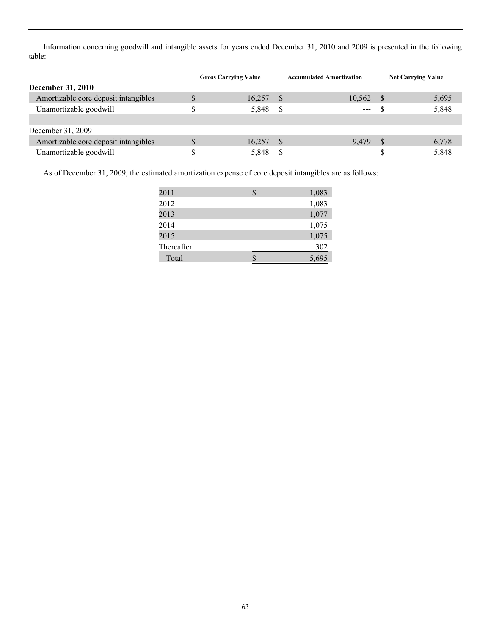Information concerning goodwill and intangible assets for years ended December 31, 2010 and 2009 is presented in the following table:

|                                      | <b>Gross Carrying Value</b> |        |    | <b>Accumulated Amortization</b> | <b>Net Carrying Value</b> |       |
|--------------------------------------|-----------------------------|--------|----|---------------------------------|---------------------------|-------|
| <b>December 31, 2010</b>             |                             |        |    |                                 |                           |       |
| Amortizable core deposit intangibles | S                           | 16.257 | -S | $10,562$ \$                     |                           | 5,695 |
| Unamortizable goodwill               | Φ                           | 5,848  | -S | $---$                           |                           | 5,848 |
|                                      |                             |        |    |                                 |                           |       |
| December 31, 2009                    |                             |        |    |                                 |                           |       |
| Amortizable core deposit intangibles |                             | 16.257 | -8 | 9.479                           |                           | 6,778 |
| Unamortizable goodwill               | J                           | 5,848  |    | ---                             |                           | 5.848 |

As of December 31, 2009, the estimated amortization expense of core deposit intangibles are as follows:

| 2011       | S | 1,083 |
|------------|---|-------|
| 2012       |   | 1,083 |
| 2013       |   | 1,077 |
| 2014       |   | 1,075 |
| 2015       |   | 1,075 |
| Thereafter |   | 302   |
| Total      |   | 5,695 |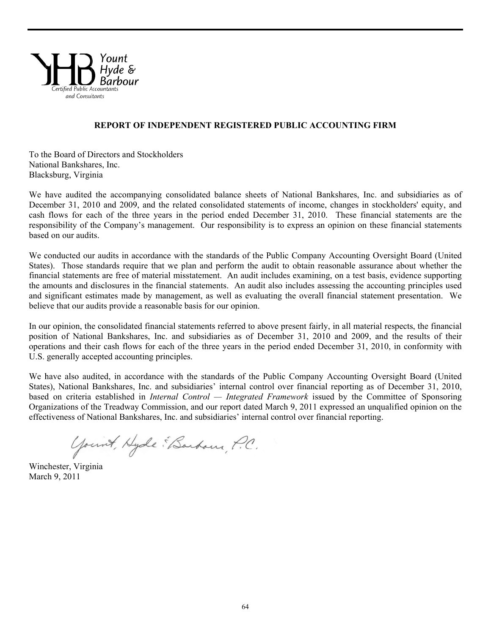

# **REPORT OF INDEPENDENT REGISTERED PUBLIC ACCOUNTING FIRM**

To the Board of Directors and Stockholders National Bankshares, Inc. Blacksburg, Virginia

We have audited the accompanying consolidated balance sheets of National Bankshares, Inc. and subsidiaries as of December 31, 2010 and 2009, and the related consolidated statements of income, changes in stockholders' equity, and cash flows for each of the three years in the period ended December 31, 2010. These financial statements are the December 31, 2010 and 2009, and the related consolidated statements of income, changes in stockholders' equity, and cash flows for each of the three years in the period ended December 31, 2010. These financial statements a based on our audits.

We conducted our audits in accordance with the standards of the Public Company Accounting Oversight Board (United States). Those standards require that we plan and perform the audit to obtain reasonable assurance about whether the financial statements are free of material misstatement. An audit includes examining, on a test basis, evidence supporting the amounts and disclosures in the financial statements. An audit also includes assessing the accounting principles used and significant estimates made by management, as well as evaluating the overall financial statement presentation. We believe that our audits provide a reasonable basis for our opinion. ed<br>ne<br>ng<br>ed<br>/e<br>al

In our opinion, the consolidated financial statements referred to above present fairly, in all material respects, the financia position of National Bankshares, Inc. and subsidiaries as of December 31, 2010 and 2009, and the results of their operations and their cash flows for each of the three years in the period ended December 31, 2010, in conformity with U.S. generally accepted accounting principles.

We have also audited, in accordance with the standards of the Public Company Accounting Oversight Board (United States), National Bankshares, Inc. and subsidiaries' internal control over financial reporting as of December 31, 2010 based on criteria established in *Internal Control — Integrated Framework* issued by the Committee of Sponsoring based on criteria established in *Internal Control — Integrated Framework* issued by the Committee of Sponsoring<br>Organizations of the Treadway Commission, and our report dated March 9, 2011 expressed an unqualified opinion effectiveness of National Bankshares, Inc. and subsidiaries' internal control over financial reporting. th<br>ed<br>0,

Winc chester, Virgi inia March 9, 2011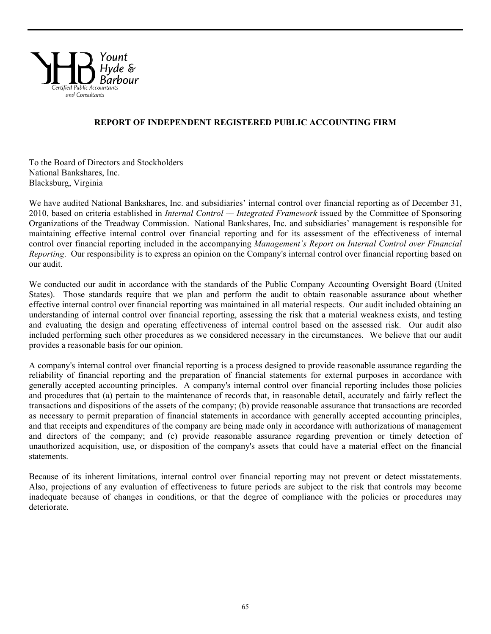

# **REPORT OF INDEPENDENT REGISTERED PUBLIC ACCOUNTING FIRM**

To the Board of Directors and Stockholders National Bankshares, Inc. Blacksburg, Virginia

We have audited National Bankshares, Inc. and subsidiaries' internal control over financial reporting as of December 31, 2010, based on criteria established in *Internal Control — Integrated Framework* issued by the Committee of Sponsoring 2010, based on criteria established in *Internal Control — Integrated Framework* issued by the Committee of Sponsoring<br>Organizations of the Treadway Commission. National Bankshares, Inc. and subsidiaries' management is res maintaining effective internal control over financial reporting and for its assessment of the effectiveness of internal control over financial reporting included in the accompanying Management's Report on Internal Control over Financial Reporting. Our responsibility is to express an opinion on the Company's internal control over financial reporting based on our a audit.

We conducted our audit in accordance with the standards of the Public Company Accounting Oversight Board (United States). Those standards require that we plan and perform the audit to obtain reasonable assurance about whethe effective internal control over financial reporting was maintained in all material respects. Our audit included obtaining an understanding of internal control over financial reporting, assessing the risk that a material weakness exists, and testing and evaluating the design and operating effectiveness of internal control based on the assessed risk. Our audit also included performing such other procedures as we considered necessary in the circumstances. We believe that our audi provides a reasonable basis for our opinion. on<br>ed<br>er n<br>goit

A company's internal control over financial reporting is a process designed to provide reasonable assurance regarding the reliability of financial reporting and the preparation of financial statements for external purposes in accordance with generally accepted accounting principles. A company's internal control over financial reporting includes those policie and procedures that (a) pertain to the maintenance of records that, in reasonable detail, accurately and fairly reflect the transactions and dispositions of the assets of the company; (b) provide reasonable assurance that transactions are recorded as necessary to permit preparation of financial statements in accordance with generally accepted accounting principles and that receipts and expenditures of the company are being made only in accordance with authorizations of management and directors of the company; and (c) provide reasonable assurance regarding prevention or timely detection of unauthorized acquisition, use, or disposition of the company's assets that could have a material effect on the financial statements. e<br>h<br>:s e<br>ds,

Because of its inherent limitations, internal control over financial reporting may not prevent or detect misstatements. Also, projections of any evaluation of effectiveness to future periods are subject to the risk that controls may become Also, projections of any evaluation of effectiveness to future periods are subject to the risk that controls may become inadequate because of changes in conditions, or that the degree of compliance with the policies or pro deteriorate.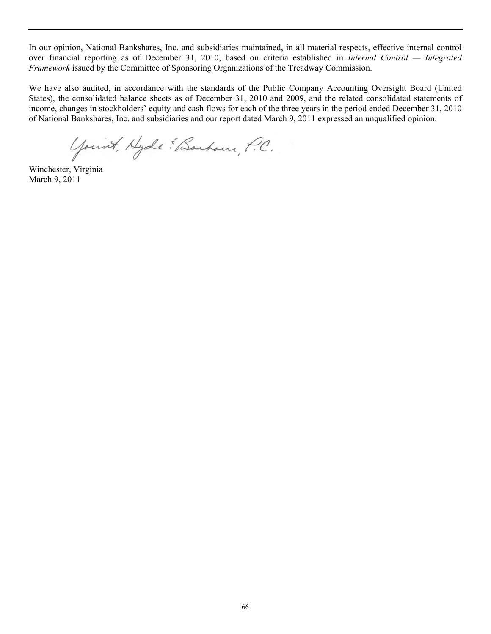In our opinion, National Bankshares, Inc. and subsidiaries maintained, in all material respects, effective internal control over financial reporting as of December 31, 2010, based on criteria established in *Internal Control — Integrated Framework* issued by the Committee of Sponsoring Organizations of the Treadway Commission.

We have also audited, in accordance with the standards of the Public Company Accounting Oversight Board (United States), the consolidated balance sheets as of December 31, 2010 and 2009, and the related consolidated statements of income, changes in stockholders' equity and cash flows for each of the three years in the period ended December 31, 2010 of National Bankshares, Inc. and subsidiaries and our report dated March 9, 2011 expressed an unqualified opinion.

Yount, Hyde : Barbour, P.C.

Winchester, Virginia March 9, 2011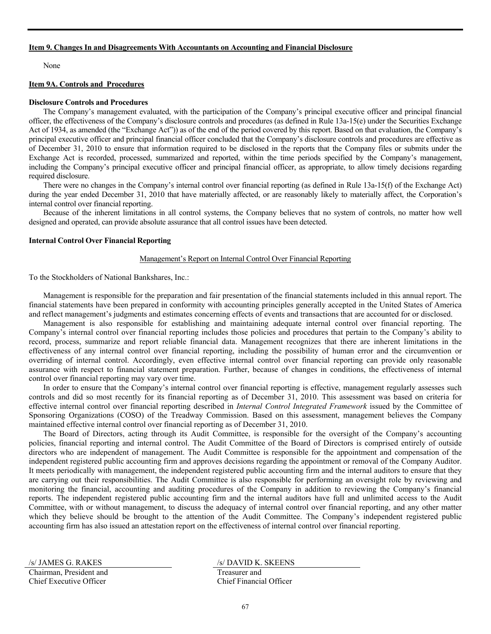### **Item 9. Changes In and Disagreements With Accountants on Accounting and Financial Disclosure**

None

## **Item 9A. Controls and Procedures**

#### **Disclosure Controls and Procedures**

 The Company's management evaluated, with the participation of the Company's principal executive officer and principal financial officer, the effectiveness of the Company's disclosure controls and procedures (as defined in Rule 13a-15(e) under the Securities Exchange Act of 1934, as amended (the "Exchange Act")) as of the end of the period covered by this report. Based on that evaluation, the Company's principal executive officer and principal financial officer concluded that the Company's disclosure controls and procedures are effective as of December 31, 2010 to ensure that information required to be disclosed in the reports that the Company files or submits under the Exchange Act is recorded, processed, summarized and reported, within the time periods specified by the Company's management, including the Company's principal executive officer and principal financial officer, as appropriate, to allow timely decisions regarding required disclosure.

 There were no changes in the Company's internal control over financial reporting (as defined in Rule 13a-15(f) of the Exchange Act) during the year ended December 31, 2010 that have materially affected, or are reasonably likely to materially affect, the Corporation's internal control over financial reporting.

 Because of the inherent limitations in all control systems, the Company believes that no system of controls, no matter how well designed and operated, can provide absolute assurance that all control issues have been detected.

#### **Internal Control Over Financial Reporting**

## Management's Report on Internal Control Over Financial Reporting

To the Stockholders of National Bankshares, Inc.:

 Management is responsible for the preparation and fair presentation of the financial statements included in this annual report. The financial statements have been prepared in conformity with accounting principles generally accepted in the United States of America and reflect management's judgments and estimates concerning effects of events and transactions that are accounted for or disclosed.

 Management is also responsible for establishing and maintaining adequate internal control over financial reporting. The Company's internal control over financial reporting includes those policies and procedures that pertain to the Company's ability to record, process, summarize and report reliable financial data. Management recognizes that there are inherent limitations in the effectiveness of any internal control over financial reporting, including the possibility of human error and the circumvention or overriding of internal control. Accordingly, even effective internal control over financial reporting can provide only reasonable assurance with respect to financial statement preparation. Further, because of changes in conditions, the effectiveness of internal control over financial reporting may vary over time.

 In order to ensure that the Company's internal control over financial reporting is effective, management regularly assesses such controls and did so most recently for its financial reporting as of December 31, 2010. This assessment was based on criteria for effective internal control over financial reporting described in *Internal Control Integrated Framework* issued by the Committee of Sponsoring Organizations (COSO) of the Treadway Commission. Based on this assessment, management believes the Company maintained effective internal control over financial reporting as of December 31, 2010.

 The Board of Directors, acting through its Audit Committee, is responsible for the oversight of the Company's accounting policies, financial reporting and internal control. The Audit Committee of the Board of Directors is comprised entirely of outside directors who are independent of management. The Audit Committee is responsible for the appointment and compensation of the independent registered public accounting firm and approves decisions regarding the appointment or removal of the Company Auditor. It meets periodically with management, the independent registered public accounting firm and the internal auditors to ensure that they are carrying out their responsibilities. The Audit Committee is also responsible for performing an oversight role by reviewing and monitoring the financial, accounting and auditing procedures of the Company in addition to reviewing the Company's financial reports. The independent registered public accounting firm and the internal auditors have full and unlimited access to the Audit Committee, with or without management, to discuss the adequacy of internal control over financial reporting, and any other matter which they believe should be brought to the attention of the Audit Committee. The Company's independent registered public accounting firm has also issued an attestation report on the effectiveness of internal control over financial reporting.

Chairman, President and Chief Executive Officer

/s/ JAMES G. RAKES /s/ DAVID K. SKEENS Treasurer and

Chief Financial Officer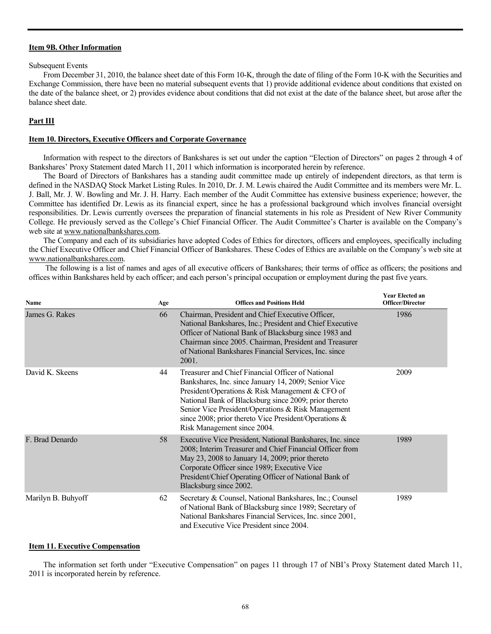### **Item 9B. Other Information**

#### Subsequent Events

 From December 31, 2010, the balance sheet date of this Form 10-K, through the date of filing of the Form 10-K with the Securities and Exchange Commission, there have been no material subsequent events that 1) provide additional evidence about conditions that existed on the date of the balance sheet, or 2) provides evidence about conditions that did not exist at the date of the balance sheet, but arose after the balance sheet date.

# **Part III**

## **Item 10. Directors, Executive Officers and Corporate Governance**

 Information with respect to the directors of Bankshares is set out under the caption "Election of Directors" on pages 2 through 4 of Bankshares' Proxy Statement dated March 11, 2011 which information is incorporated herein by reference.

 The Board of Directors of Bankshares has a standing audit committee made up entirely of independent directors, as that term is defined in the NASDAQ Stock Market Listing Rules. In 2010, Dr. J. M. Lewis chaired the Audit Committee and its members were Mr. L. J. Ball, Mr. J. W. Bowling and Mr. J. H. Harry. Each member of the Audit Committee has extensive business experience; however, the Committee has identified Dr. Lewis as its financial expert, since he has a professional background which involves financial oversight responsibilities. Dr. Lewis currently oversees the preparation of financial statements in his role as President of New River Community College. He previously served as the College's Chief Financial Officer. The Audit Committee's Charter is available on the Company's web site at www.nationalbankshares.com.

 The Company and each of its subsidiaries have adopted Codes of Ethics for directors, officers and employees, specifically including the Chief Executive Officer and Chief Financial Officer of Bankshares. These Codes of Ethics are available on the Company's web site at www.nationalbankshares.com.

 The following is a list of names and ages of all executive officers of Bankshares; their terms of office as officers; the positions and offices within Bankshares held by each officer; and each person's principal occupation or employment during the past five years.

| Name               | Age | <b>Offices and Positions Held</b>                                                                                                                                                                                                                                                                                                                                      | <b>Year Elected an</b><br><b>Officer/Director</b> |
|--------------------|-----|------------------------------------------------------------------------------------------------------------------------------------------------------------------------------------------------------------------------------------------------------------------------------------------------------------------------------------------------------------------------|---------------------------------------------------|
| James G. Rakes     | 66  | Chairman, President and Chief Executive Officer,<br>National Bankshares, Inc.; President and Chief Executive<br>Officer of National Bank of Blacksburg since 1983 and<br>Chairman since 2005. Chairman, President and Treasurer<br>of National Bankshares Financial Services, Inc. since<br>2001.                                                                      | 1986                                              |
| David K. Skeens    | 44  | Treasurer and Chief Financial Officer of National<br>Bankshares, Inc. since January 14, 2009; Senior Vice<br>President/Operations & Risk Management & CFO of<br>National Bank of Blacksburg since 2009; prior thereto<br>Senior Vice President/Operations & Risk Management<br>since 2008; prior thereto Vice President/Operations $\&$<br>Risk Management since 2004. | 2009                                              |
| F. Brad Denardo    | 58  | Executive Vice President, National Bankshares, Inc. since<br>2008; Interim Treasurer and Chief Financial Officer from<br>May 23, 2008 to January 14, 2009; prior thereto<br>Corporate Officer since 1989; Executive Vice<br>President/Chief Operating Officer of National Bank of<br>Blacksburg since 2002.                                                            | 1989                                              |
| Marilyn B. Buhyoff | 62  | Secretary & Counsel, National Bankshares, Inc.; Counsel<br>of National Bank of Blacksburg since 1989; Secretary of<br>National Bankshares Financial Services, Inc. since 2001,<br>and Executive Vice President since 2004.                                                                                                                                             | 1989                                              |

## **Item 11. Executive Compensation**

 The information set forth under "Executive Compensation" on pages 11 through 17 of NBI's Proxy Statement dated March 11, 2011 is incorporated herein by reference.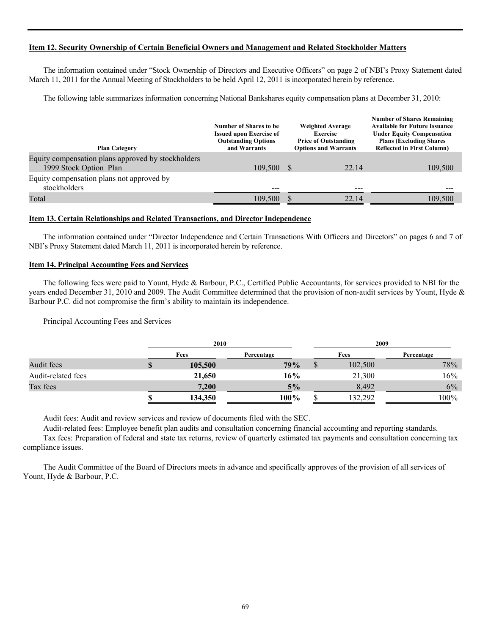# **Item 12. Security Ownership of Certain Beneficial Owners and Management and Related Stockholder Matters**

 The information contained under "Stock Ownership of Directors and Executive Officers" on page 2 of NBI's Proxy Statement dated March 11, 2011 for the Annual Meeting of Stockholders to be held April 12, 2011 is incorporated herein by reference.

The following table summarizes information concerning National Bankshares equity compensation plans at December 31, 2010:

| <b>Plan Category</b>                                                         | Number of Shares to be<br><b>Issued upon Exercise of</b><br><b>Outstanding Options</b><br>and Warrants | <b>Weighted Average</b><br><b>Exercise</b><br><b>Price of Outstanding</b><br><b>Options and Warrants</b> | <b>Number of Shares Remaining</b><br><b>Available for Future Issuance</b><br><b>Under Equity Compensation</b><br><b>Plans (Excluding Shares)</b><br><b>Reflected in First Column)</b> |
|------------------------------------------------------------------------------|--------------------------------------------------------------------------------------------------------|----------------------------------------------------------------------------------------------------------|---------------------------------------------------------------------------------------------------------------------------------------------------------------------------------------|
| Equity compensation plans approved by stockholders<br>1999 Stock Option Plan | 109,500                                                                                                | 22.14                                                                                                    | 109,500                                                                                                                                                                               |
| Equity compensation plans not approved by<br>stockholders                    |                                                                                                        |                                                                                                          |                                                                                                                                                                                       |
| Total                                                                        | 109,500                                                                                                | 22.14                                                                                                    | 109,500                                                                                                                                                                               |

## **Item 13. Certain Relationships and Related Transactions, and Director Independence**

 The information contained under "Director Independence and Certain Transactions With Officers and Directors" on pages 6 and 7 of NBI's Proxy Statement dated March 11, 2011 is incorporated herein by reference.

# **Item 14. Principal Accounting Fees and Services**

 The following fees were paid to Yount, Hyde & Barbour, P.C., Certified Public Accountants, for services provided to NBI for the years ended December 31, 2010 and 2009. The Audit Committee determined that the provision of non-audit services by Yount, Hyde & Barbour P.C. did not compromise the firm's ability to maintain its independence.

Principal Accounting Fees and Services

|                    | 2010    |            | 2009    |            |  |  |
|--------------------|---------|------------|---------|------------|--|--|
|                    | Fees    | Percentage | Fees    | Percentage |  |  |
| Audit fees         | 105,500 | <b>79%</b> | 102,500 | 78%        |  |  |
| Audit-related fees | 21,650  | 16%        | 21,300  | 16%        |  |  |
| Tax fees           | 7,200   | $5\%$      | 8,492   | 6%         |  |  |
|                    | 134.350 | 100%       | 132,292 | 100%       |  |  |

Audit fees: Audit and review services and review of documents filed with the SEC.

Audit-related fees: Employee benefit plan audits and consultation concerning financial accounting and reporting standards.

 Tax fees: Preparation of federal and state tax returns, review of quarterly estimated tax payments and consultation concerning tax compliance issues.

 The Audit Committee of the Board of Directors meets in advance and specifically approves of the provision of all services of Yount, Hyde & Barbour, P.C.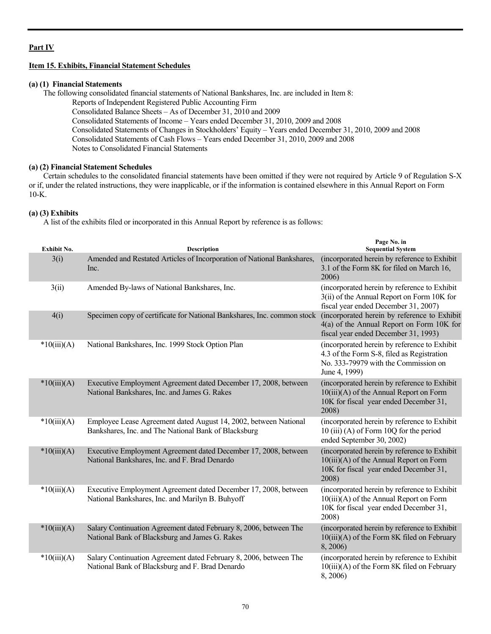# **Part IV**

# **Item 15. Exhibits, Financial Statement Schedules**

# **(a) (1) Financial Statements**

The following consolidated financial statements of National Bankshares, Inc. are included in Item 8:

Reports of Independent Registered Public Accounting Firm

Consolidated Balance Sheets – As of December 31, 2010 and 2009

Consolidated Statements of Income – Years ended December 31, 2010, 2009 and 2008

Consolidated Statements of Changes in Stockholders' Equity – Years ended December 31, 2010, 2009 and 2008

Consolidated Statements of Cash Flows – Years ended December 31, 2010, 2009 and 2008

Notes to Consolidated Financial Statements

# **(a) (2) Financial Statement Schedules**

 Certain schedules to the consolidated financial statements have been omitted if they were not required by Article 9 of Regulation S-X or if, under the related instructions, they were inapplicable, or if the information is contained elsewhere in this Annual Report on Form 10-K.

# **(a) (3) Exhibits**

A list of the exhibits filed or incorporated in this Annual Report by reference is as follows:

| Exhibit No.   | <b>Description</b>                                                                                                       | Page No. in<br><b>Sequential System</b>                                                                                                             |
|---------------|--------------------------------------------------------------------------------------------------------------------------|-----------------------------------------------------------------------------------------------------------------------------------------------------|
| 3(i)          | Amended and Restated Articles of Incorporation of National Bankshares,<br>Inc.                                           | (incorporated herein by reference to Exhibit<br>3.1 of the Form 8K for filed on March 16,<br>2006)                                                  |
| 3(ii)         | Amended By-laws of National Bankshares, Inc.                                                                             | (incorporated herein by reference to Exhibit<br>3(ii) of the Annual Report on Form 10K for<br>fiscal year ended December 31, 2007)                  |
| 4(i)          | Specimen copy of certificate for National Bankshares, Inc. common stock                                                  | (incorporated herein by reference to Exhibit<br>4(a) of the Annual Report on Form 10K for<br>fiscal year ended December 31, 1993)                   |
| $*10(iii)(A)$ | National Bankshares, Inc. 1999 Stock Option Plan                                                                         | (incorporated herein by reference to Exhibit<br>4.3 of the Form S-8, filed as Registration<br>No. 333-79979 with the Commission on<br>June 4, 1999) |
| $*10(iii)(A)$ | Executive Employment Agreement dated December 17, 2008, between<br>National Bankshares, Inc. and James G. Rakes          | (incorporated herein by reference to Exhibit<br>10(iii)(A) of the Annual Report on Form<br>10K for fiscal year ended December 31,<br>2008)          |
| $*10(iii)(A)$ | Employee Lease Agreement dated August 14, 2002, between National<br>Bankshares, Inc. and The National Bank of Blacksburg | (incorporated herein by reference to Exhibit<br>10 (iii) (A) of Form 10Q for the period<br>ended September 30, 2002)                                |
| $*10(iii)(A)$ | Executive Employment Agreement dated December 17, 2008, between<br>National Bankshares, Inc. and F. Brad Denardo         | (incorporated herein by reference to Exhibit<br>10(iii)(A) of the Annual Report on Form<br>10K for fiscal year ended December 31,<br>2008)          |
| $*10(iii)(A)$ | Executive Employment Agreement dated December 17, 2008, between<br>National Bankshares, Inc. and Marilyn B. Buhyoff      | (incorporated herein by reference to Exhibit<br>10(iii)(A) of the Annual Report on Form<br>10K for fiscal year ended December 31,<br>2008)          |
| $*10(iii)(A)$ | Salary Continuation Agreement dated February 8, 2006, between The<br>National Bank of Blacksburg and James G. Rakes      | (incorporated herein by reference to Exhibit<br>10(iii)(A) of the Form 8K filed on February<br>8, 2006)                                             |
| $*10(iii)(A)$ | Salary Continuation Agreement dated February 8, 2006, between The<br>National Bank of Blacksburg and F. Brad Denardo     | (incorporated herein by reference to Exhibit<br>10(iii)(A) of the Form 8K filed on February<br>8, 2006)                                             |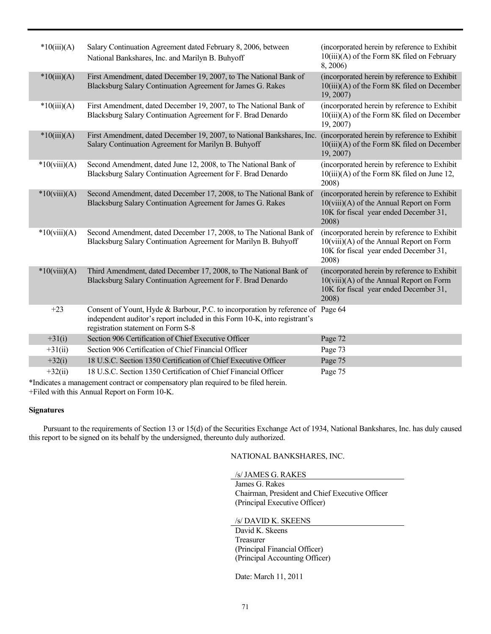| $*10(iii)(A)$                                                                     | Salary Continuation Agreement dated February 8, 2006, between<br>National Bankshares, Inc. and Marilyn B. Buhyoff                                                                           | (incorporated herein by reference to Exhibit<br>10(iii)(A) of the Form 8K filed on February<br>8, 2006)                                       |  |
|-----------------------------------------------------------------------------------|---------------------------------------------------------------------------------------------------------------------------------------------------------------------------------------------|-----------------------------------------------------------------------------------------------------------------------------------------------|--|
| $*10(iii)(A)$                                                                     | First Amendment, dated December 19, 2007, to The National Bank of<br>Blacksburg Salary Continuation Agreement for James G. Rakes                                                            | (incorporated herein by reference to Exhibit<br>10(iii)(A) of the Form 8K filed on December<br>19, 2007                                       |  |
| $*10(iii)(A)$                                                                     | First Amendment, dated December 19, 2007, to The National Bank of<br>Blacksburg Salary Continuation Agreement for F. Brad Denardo                                                           | (incorporated herein by reference to Exhibit<br>10(iii)(A) of the Form 8K filed on December<br>19, 2007)                                      |  |
| $*10(iii)(A)$                                                                     | First Amendment, dated December 19, 2007, to National Bankshares, Inc.<br>Salary Continuation Agreement for Marilyn B. Buhyoff                                                              | (incorporated herein by reference to Exhibit<br>10(iii)(A) of the Form 8K filed on December<br>19, 2007                                       |  |
| $*10(viii)(A)$                                                                    | Second Amendment, dated June 12, 2008, to The National Bank of<br>Blacksburg Salary Continuation Agreement for F. Brad Denardo                                                              | (incorporated herein by reference to Exhibit<br>10(iii)(A) of the Form 8K filed on June 12,<br>2008)                                          |  |
| $*10(viii)(A)$                                                                    | Second Amendment, dated December 17, 2008, to The National Bank of<br>Blacksburg Salary Continuation Agreement for James G. Rakes                                                           | (incorporated herein by reference to Exhibit<br>10(viii)(A) of the Annual Report on Form<br>10K for fiscal year ended December 31,<br>2008)   |  |
| $*10(viii)(A)$                                                                    | Second Amendment, dated December 17, 2008, to The National Bank of<br>Blacksburg Salary Continuation Agreement for Marilyn B. Buhyoff                                                       | (incorporated herein by reference to Exhibit<br>$10(viii)(A)$ of the Annual Report on Form<br>10K for fiscal year ended December 31,<br>2008) |  |
| $*10(viii)(A)$                                                                    | Third Amendment, dated December 17, 2008, to The National Bank of<br>Blacksburg Salary Continuation Agreement for F. Brad Denardo                                                           | (incorporated herein by reference to Exhibit<br>10(viii)(A) of the Annual Report on Form<br>10K for fiscal year ended December 31,<br>2008)   |  |
| $+23$                                                                             | Consent of Yount, Hyde & Barbour, P.C. to incorporation by reference of<br>independent auditor's report included in this Form 10-K, into registrant's<br>registration statement on Form S-8 | Page 64                                                                                                                                       |  |
| $+31(i)$                                                                          | Section 906 Certification of Chief Executive Officer                                                                                                                                        | Page 72                                                                                                                                       |  |
| $+31(ii)$                                                                         | Section 906 Certification of Chief Financial Officer                                                                                                                                        | Page 73                                                                                                                                       |  |
| $+32(i)$                                                                          | 18 U.S.C. Section 1350 Certification of Chief Executive Officer                                                                                                                             | Page 75                                                                                                                                       |  |
| $+32(ii)$                                                                         | 18 U.S.C. Section 1350 Certification of Chief Financial Officer                                                                                                                             | Page 75                                                                                                                                       |  |
| *Indicates a management contract or companiatory plan required to be filed herein |                                                                                                                                                                                             |                                                                                                                                               |  |

\*Indicates a management contract or compensatory plan required to be filed herein.

+Filed with this Annual Report on Form 10-K.

# **Signatures**

 Pursuant to the requirements of Section 13 or 15(d) of the Securities Exchange Act of 1934, National Bankshares, Inc. has duly caused this report to be signed on its behalf by the undersigned, thereunto duly authorized.

NATIONAL BANKSHARES, INC.

# /s/ JAMES G. RAKES

James G. Rakes Chairman, President and Chief Executive Officer (Principal Executive Officer)

## /s/ DAVID K. SKEENS

David K. Skeens Treasurer (Principal Financial Officer) (Principal Accounting Officer)

Date: March 11, 2011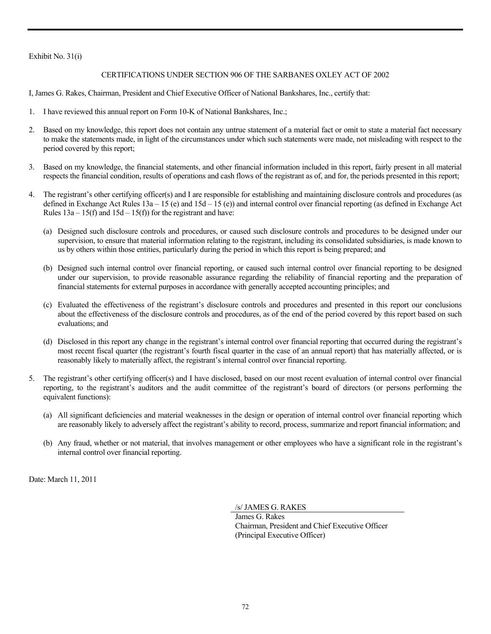Exhibit No. 31(i)

# CERTIFICATIONS UNDER SECTION 906 OF THE SARBANES OXLEY ACT OF 2002

- I, James G. Rakes, Chairman, President and Chief Executive Officer of National Bankshares, Inc., certify that:
- 1. I have reviewed this annual report on Form 10-K of National Bankshares, Inc.;
- 2. Based on my knowledge, this report does not contain any untrue statement of a material fact or omit to state a material fact necessary to make the statements made, in light of the circumstances under which such statements were made, not misleading with respect to the period covered by this report;
- 3. Based on my knowledge, the financial statements, and other financial information included in this report, fairly present in all material respects the financial condition, results of operations and cash flows of the registrant as of, and for, the periods presented in this report;
- 4. The registrant's other certifying officer(s) and I are responsible for establishing and maintaining disclosure controls and procedures (as defined in Exchange Act Rules 13a – 15 (e) and 15d – 15 (e)) and internal control over financial reporting (as defined in Exchange Act Rules  $13a - 15(f)$  and  $15d - 15(f)$  for the registrant and have:
	- (a) Designed such disclosure controls and procedures, or caused such disclosure controls and procedures to be designed under our supervision, to ensure that material information relating to the registrant, including its consolidated subsidiaries, is made known to us by others within those entities, particularly during the period in which this report is being prepared; and
	- (b) Designed such internal control over financial reporting, or caused such internal control over financial reporting to be designed under our supervision, to provide reasonable assurance regarding the reliability of financial reporting and the preparation of financial statements for external purposes in accordance with generally accepted accounting principles; and
	- (c) Evaluated the effectiveness of the registrant's disclosure controls and procedures and presented in this report our conclusions about the effectiveness of the disclosure controls and procedures, as of the end of the period covered by this report based on such evaluations; and
	- (d) Disclosed in this report any change in the registrant's internal control over financial reporting that occurred during the registrant's most recent fiscal quarter (the registrant's fourth fiscal quarter in the case of an annual report) that has materially affected, or is reasonably likely to materially affect, the registrant's internal control over financial reporting.
- 5. The registrant's other certifying officer(s) and I have disclosed, based on our most recent evaluation of internal control over financial reporting, to the registrant's auditors and the audit committee of the registrant's board of directors (or persons performing the equivalent functions):
	- (a) All significant deficiencies and material weaknesses in the design or operation of internal control over financial reporting which are reasonably likely to adversely affect the registrant's ability to record, process, summarize and report financial information; and
	- (b) Any fraud, whether or not material, that involves management or other employees who have a significant role in the registrant's internal control over financial reporting.

Date: March 11, 2011

/s/ JAMES G. RAKES

James G. Rakes Chairman, President and Chief Executive Officer (Principal Executive Officer)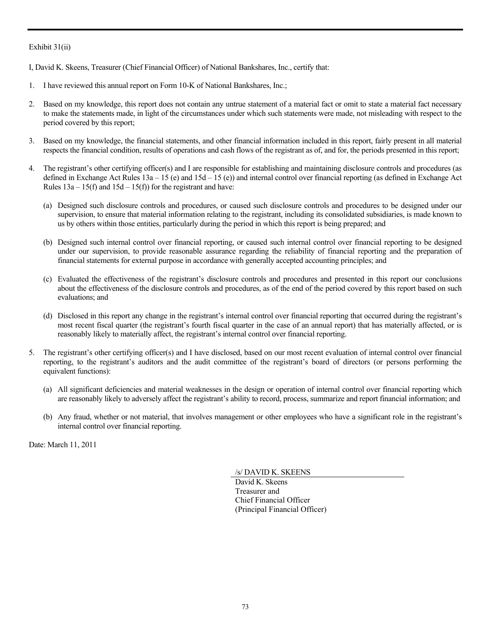## Exhibit 31(ii)

I, David K. Skeens, Treasurer (Chief Financial Officer) of National Bankshares, Inc., certify that:

- 1. I have reviewed this annual report on Form 10-K of National Bankshares, Inc.;
- 2. Based on my knowledge, this report does not contain any untrue statement of a material fact or omit to state a material fact necessary to make the statements made, in light of the circumstances under which such statements were made, not misleading with respect to the period covered by this report;
- 3. Based on my knowledge, the financial statements, and other financial information included in this report, fairly present in all material respects the financial condition, results of operations and cash flows of the registrant as of, and for, the periods presented in this report;
- 4. The registrant's other certifying officer(s) and I are responsible for establishing and maintaining disclosure controls and procedures (as defined in Exchange Act Rules  $13a - 15$  (e) and  $15d - 15$  (e)) and internal control over financial reporting (as defined in Exchange Act Rules  $13a - 15(f)$  and  $15d - 15(f)$  for the registrant and have:
	- (a) Designed such disclosure controls and procedures, or caused such disclosure controls and procedures to be designed under our supervision, to ensure that material information relating to the registrant, including its consolidated subsidiaries, is made known to us by others within those entities, particularly during the period in which this report is being prepared; and
	- (b) Designed such internal control over financial reporting, or caused such internal control over financial reporting to be designed under our supervision, to provide reasonable assurance regarding the reliability of financial reporting and the preparation of financial statements for external purpose in accordance with generally accepted accounting principles; and
	- (c) Evaluated the effectiveness of the registrant's disclosure controls and procedures and presented in this report our conclusions about the effectiveness of the disclosure controls and procedures, as of the end of the period covered by this report based on such evaluations; and
	- (d) Disclosed in this report any change in the registrant's internal control over financial reporting that occurred during the registrant's most recent fiscal quarter (the registrant's fourth fiscal quarter in the case of an annual report) that has materially affected, or is reasonably likely to materially affect, the registrant's internal control over financial reporting.
- 5. The registrant's other certifying officer(s) and I have disclosed, based on our most recent evaluation of internal control over financial reporting, to the registrant's auditors and the audit committee of the registrant's board of directors (or persons performing the equivalent functions):
	- (a) All significant deficiencies and material weaknesses in the design or operation of internal control over financial reporting which are reasonably likely to adversely affect the registrant's ability to record, process, summarize and report financial information; and
	- (b) Any fraud, whether or not material, that involves management or other employees who have a significant role in the registrant's internal control over financial reporting.

Date: March 11, 2011

/s/ DAVID K. SKEENS

David K. Skeens Treasurer and Chief Financial Officer (Principal Financial Officer)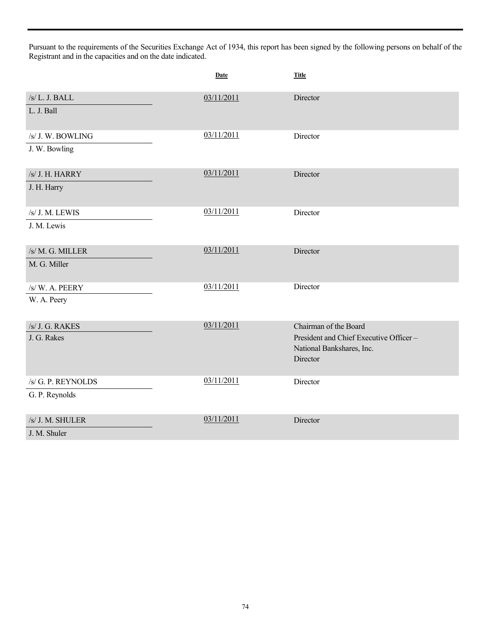Pursuant to the requirements of the Securities Exchange Act of 1934, this report has been signed by the following persons on behalf of the Registrant and in the capacities and on the date indicated.

|                                      | <b>Date</b> | <b>Title</b>                                                                                             |
|--------------------------------------|-------------|----------------------------------------------------------------------------------------------------------|
| /s/ L. J. BALL<br>L. J. Ball         | 03/11/2011  | Director                                                                                                 |
| /s/ J. W. BOWLING<br>J. W. Bowling   | 03/11/2011  | Director                                                                                                 |
| /s/ J. H. HARRY<br>J. H. Harry       | 03/11/2011  | Director                                                                                                 |
| /s/ J. M. LEWIS<br>J. M. Lewis       | 03/11/2011  | Director                                                                                                 |
| /s/ M. G. MILLER<br>M. G. Miller     | 03/11/2011  | Director                                                                                                 |
| /s/W. A. PEERY<br>W. A. Peery        | 03/11/2011  | Director                                                                                                 |
| /s/ J. G. RAKES<br>J. G. Rakes       | 03/11/2011  | Chairman of the Board<br>President and Chief Executive Officer-<br>National Bankshares, Inc.<br>Director |
| /s/ G. P. REYNOLDS<br>G. P. Reynolds | 03/11/2011  | Director                                                                                                 |
| /s/ J. M. SHULER<br>J. M. Shuler     | 03/11/2011  | Director                                                                                                 |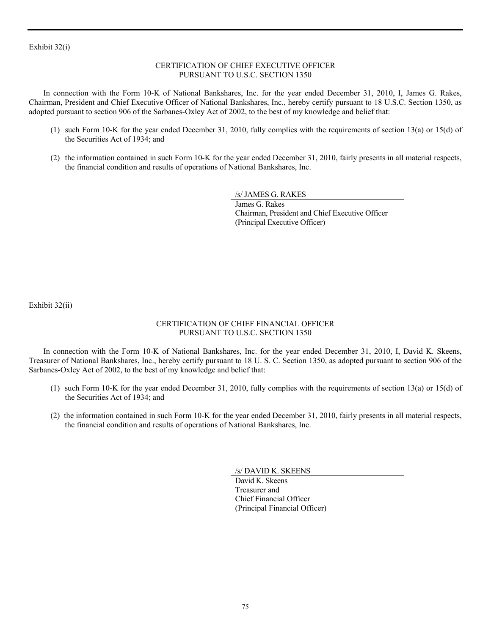Exhibit 32(i)

## CERTIFICATION OF CHIEF EXECUTIVE OFFICER PURSUANT TO U.S.C. SECTION 1350

 In connection with the Form 10-K of National Bankshares, Inc. for the year ended December 31, 2010, I, James G. Rakes, Chairman, President and Chief Executive Officer of National Bankshares, Inc., hereby certify pursuant to 18 U.S.C. Section 1350, as adopted pursuant to section 906 of the Sarbanes-Oxley Act of 2002, to the best of my knowledge and belief that:

- (1) such Form 10-K for the year ended December 31, 2010, fully complies with the requirements of section 13(a) or 15(d) of the Securities Act of 1934; and
- (2) the information contained in such Form 10-K for the year ended December 31, 2010, fairly presents in all material respects, the financial condition and results of operations of National Bankshares, Inc.

/s/ JAMES G. RAKES

James G. Rakes Chairman, President and Chief Executive Officer (Principal Executive Officer)

Exhibit 32(ii)

## CERTIFICATION OF CHIEF FINANCIAL OFFICER PURSUANT TO U.S.C. SECTION 1350

 In connection with the Form 10-K of National Bankshares, Inc. for the year ended December 31, 2010, I, David K. Skeens, Treasurer of National Bankshares, Inc., hereby certify pursuant to 18 U. S. C. Section 1350, as adopted pursuant to section 906 of the Sarbanes-Oxley Act of 2002, to the best of my knowledge and belief that:

- (1) such Form 10-K for the year ended December 31, 2010, fully complies with the requirements of section 13(a) or 15(d) of the Securities Act of 1934; and
- (2) the information contained in such Form 10-K for the year ended December 31, 2010, fairly presents in all material respects, the financial condition and results of operations of National Bankshares, Inc.

/s/ DAVID K. SKEENS

David K. Skeens Treasurer and Chief Financial Officer (Principal Financial Officer)